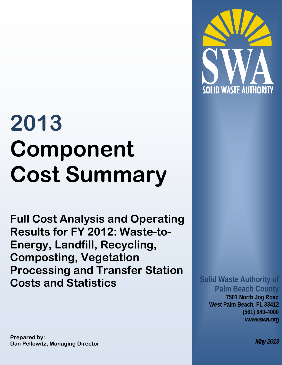

# **2013 Component Cost Summary**

**Full Cost Analysis and Operating Results for FY 2012: Waste-to-Energy, Landfill, Recycling, Composting, Vegetation Processing and Transfer Station Costs and Statistics** 

# **Solid Waste Authority of Palm Beach County**

**7501 North Jog Road West Palm Beach, FL 33412 (561) 640-4000** *www.swa.org* 

**Prepared by: Dan Pellowitz, Managing Director** 

*May 2013*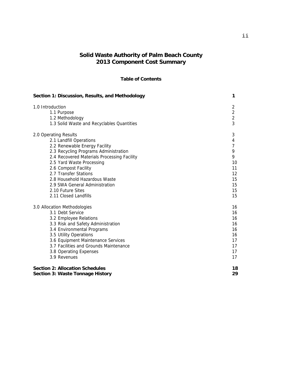## **Solid Waste Authority of Palm Beach County 2013 Component Cost Summary**

#### **Table of Contents**

| Section 1: Discussion, Results, and Methodology | 1              |
|-------------------------------------------------|----------------|
| 1.0 Introduction                                | $\overline{2}$ |
| 1.1 Purpose                                     | $\overline{2}$ |
| 1.2 Methodology                                 | $\overline{2}$ |
| 1.3 Solid Waste and Recyclables Quantities      | 3              |
| 2.0 Operating Results                           | 3              |
| 2.1 Landfill Operations                         | 4              |
| 2.2 Renewable Energy Facility                   | $\overline{7}$ |
| 2.3 Recycling Programs Administration           | 9              |
| 2.4 Recovered Materials Processing Facility     | 9              |
| 2.5 Yard Waste Processing                       | 10             |
| 2.6 Compost Facility                            | 11             |
| 2.7 Transfer Stations                           | 12             |
| 2.8 Household Hazardous Waste                   | 15             |
| 2.9 SWA General Administration                  | 15             |
| 2.10 Future Sites                               | 15             |
| 2.11 Closed Landfills                           | 15             |
| 3.0 Allocation Methodologies                    | 16             |
| 3.1 Debt Service                                | 16             |
| 3.2 Employee Relations                          | 16             |
| 3.3 Risk and Safety Administration              | 16             |
| 3.4 Environmental Programs                      | 16             |
| 3.5 Utility Operations                          | 16             |
| 3.6 Equipment Maintenance Services              | 17             |
| 3.7 Facilities and Grounds Maintenance          | 17             |
| 3.8 Operating Expenses                          | 17             |
| 3.9 Revenues                                    | 17             |
| <b>Section 2: Allocation Schedules</b>          | 18             |
| <b>Section 3: Waste Tonnage History</b>         | 29             |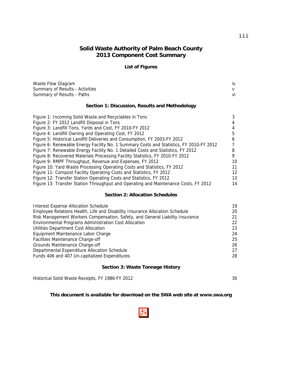# **Solid Waste Authority of Palm Beach County 2013 Component Cost Summary**

#### **List of Figures**

| Waste Flow Diagram                                                                      | iv |
|-----------------------------------------------------------------------------------------|----|
| Summary of Results - Activities                                                         | v  |
| Summary of Results - Paths                                                              | Vİ |
| Section 1: Discussion, Results and Methodology                                          |    |
| Figure 1: Incoming Solid Waste and Recyclables in Tons                                  | 3  |
| Figure 2: FY 2012 Landfill Disposal in Tons                                             |    |
| Figure 3: Landfill Tons, Yards and Cost, FY 2010-FY 2012                                | 4  |
| Figure 4: Landfill Owning and Operating Cost, FY 2012                                   | 5  |
| Figure 5: Historical Landfill Deliveries and Consumption, FY 2003-FY 2012               | 6  |
| Figure 6: Renewable Energy Facility No. 1 Summary Costs and Statistics, FY 2010-FY 2012 |    |
| Figure 7: Renewable Energy Facility No. 1 Detailed Costs and Statistics, FY 2012        | 8  |
| Figure 8: Recovered Materials Processing Facility Statistics, FY 2010-FY 2012           | 9  |
| Figure 9: RMPF Throughput, Revenue and Expenses, FY 2012                                | 10 |
| Figure 10: Yard Waste Processing Operating Costs and Statistics, FY 2012                | 11 |
| Figure 11: Compost Facility Operating Costs and Statistics, FY 2012                     | 12 |
| <b>Figure 12: Transfer Station Operating Costs and Statistics FV 2012</b>               | 13 |

#### Figure 12: Transfer Station Operating Costs and Statistics, FY 2012 13 Figure 13: Transfer Station Throughput and Operating and Maintenance Costs, FY 2012 14

#### **Section 2: Allocation Schedules**

| <b>Interest Expense Allocation Schedule</b>                                   | 19  |
|-------------------------------------------------------------------------------|-----|
| Employee Relations Health, Life and Disability Insurance Allocation Schedule  | 20  |
| Risk Management Workers Compensation, Safety, and General Liability Insurance | 21  |
| Environmental Programs Administration Cost Allocation                         | 22. |
| Utilities Department Cost Allocation                                          | 23  |
| Equipment Maintenance Labor Charge                                            | 24  |
| Facilities Maintenance Charge-off                                             | 25  |
| Grounds Maintenance Charge-off                                                | 26  |
| Departmental Expenditure Allocation Schedule                                  | 27  |
| Funds 406 and 407 Un-capitalized Expenditures                                 | 28  |

#### **Section 3: Waste Tonnage History**

Historical Solid Waste Receipts, FY 1986-FY 2012 30

#### **This document is available for download on the SWA web site at www.swa.org**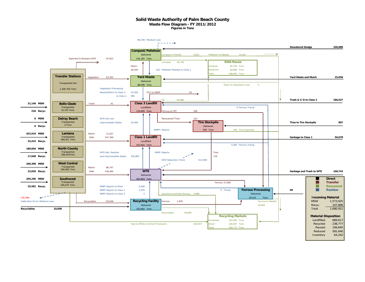#### **Solid Waste Authority of Palm Beach County Waste Flow Diagram - FY 2011/2012 Figures in Tons**

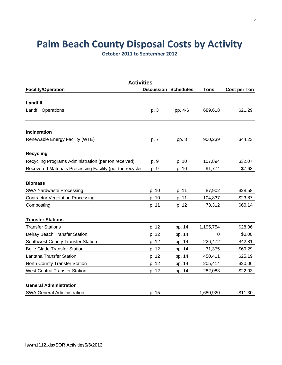# **Palm Beach County Disposal Costs by Activity**

**October 2011 to September 2012**

| <b>Activities</b>                                         |                             |         |             |                     |  |  |
|-----------------------------------------------------------|-----------------------------|---------|-------------|---------------------|--|--|
| <b>Facility/Operation</b>                                 | <b>Discussion Schedules</b> |         | <b>Tons</b> | <b>Cost per Ton</b> |  |  |
|                                                           |                             |         |             |                     |  |  |
| Landfill                                                  |                             |         |             |                     |  |  |
| <b>Landfill Operations</b>                                | p. 3                        | pp. 4-6 | 689,618     | \$21.29             |  |  |
|                                                           |                             |         |             |                     |  |  |
| Incineration                                              |                             |         |             |                     |  |  |
| Renewable Energy Facility (WTE)                           | p. 7                        | pp. 8   | 900,239     | \$44.23             |  |  |
| <b>Recycling</b>                                          |                             |         |             |                     |  |  |
| Recycling Programs Administration (per ton received)      | p. 9                        | p. 10   | 107,894     | \$32.07             |  |  |
| Recovered Materials Processing Facility (per ton recycled | p. 9                        | p. 10   | 91,774      | \$7.63              |  |  |
| <b>Biomass</b>                                            |                             |         |             |                     |  |  |
| <b>SWA Yardwaste Processing</b>                           | p. 10                       | p. 11   | 87,902      | \$28.58             |  |  |
| <b>Contractor Vegetation Processing</b>                   | p. 10                       | p. 11   | 104,837     | \$23.87             |  |  |
| Composting                                                | p. 11                       | p. 12   | 73,312      | \$60.14             |  |  |
| <b>Transfer Stations</b>                                  |                             |         |             |                     |  |  |
| <b>Transfer Stations</b>                                  | p. 12                       | pp. 14  | 1,195,754   | \$28.06             |  |  |
| Delray Beach Transfer Station                             | p. 12                       | pp. 14  | 0           | \$0.00              |  |  |
| <b>Southwest County Transfer Station</b>                  | p. 12                       | pp. 14  | 226,472     | \$42.81             |  |  |
| <b>Belle Glade Transfer Station</b>                       | p. 12                       | pp. 14  | 31,375      | \$69.29             |  |  |
| Lantana Transfer Station                                  | p. 12                       | pp. 14  | 450,411     | \$25.19             |  |  |
| North County Transfer Station                             | p. 12                       | pp. 14  | 205,414     | \$20.06             |  |  |
| <b>West Central Transfer Station</b>                      | p. 12                       | pp. 14  | 282,083     | \$22.03             |  |  |
| <b>General Administration</b>                             |                             |         |             |                     |  |  |
| <b>SWA General Administration</b>                         | p. 15                       |         | 1,680,920   | \$11.30             |  |  |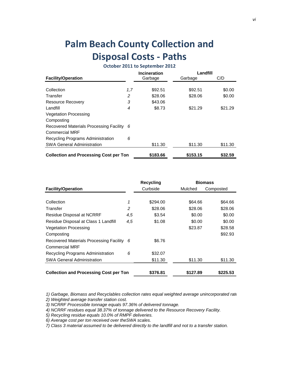# **Palm Beach County Collection and Disposal Costs ‐ Paths**

# **October 2011 to September 2012**

|                                               |     | <b>Incineration</b> | Landfill |         |
|-----------------------------------------------|-----|---------------------|----------|---------|
| <b>Facility/Operation</b>                     |     | Garbage             | Garbage  | C/D     |
| Collection                                    | 1,7 | \$92.51             | \$92.51  | \$0.00  |
|                                               |     |                     |          |         |
| Transfer                                      | 2   | \$28.06             | \$28.06  | \$0.00  |
| <b>Resource Recovery</b>                      | 3   | \$43.06             |          |         |
| Landfill                                      | 4   | \$8.73              | \$21.29  | \$21.29 |
| <b>Vegetation Processing</b>                  |     |                     |          |         |
| Composting                                    |     |                     |          |         |
| Recovered Materials Processing Facility 6     |     |                     |          |         |
| <b>Commercial MRF</b>                         |     |                     |          |         |
| Recycling Programs Administration             | 6   |                     |          |         |
| <b>SWA General Administration</b>             |     | \$11.30             | \$11.30  | \$11.30 |
| <b>Collection and Processing Cost per Ton</b> |     | \$183.66            | \$153.15 | \$32.59 |

|                                               |     | <b>Recycling</b> |          | <b>Biomass</b> |
|-----------------------------------------------|-----|------------------|----------|----------------|
| <b>Facility/Operation</b>                     |     | Curbside         | Mulched  | Composted      |
|                                               |     |                  |          |                |
| Collection                                    | 1   | \$294.00         | \$64.66  | \$64.66        |
| Transfer                                      | 2   | \$28.06          | \$28.06  | \$28.06        |
| Residue Disposal at NCRRF                     | 4,5 | \$3.54           | \$0.00   | \$0.00         |
| Residue Disposal at Class 1 Landfill          | 4,5 | \$1.08           | \$0.00   | \$0.00         |
| <b>Vegetation Processing</b>                  |     |                  | \$23.87  | \$28.58        |
| Composting                                    |     |                  |          | \$92.93        |
| Recovered Materials Processing Facility 6     |     | \$6.76           |          |                |
| <b>Commercial MRF</b>                         |     |                  |          |                |
| Recycling Programs Administration             | 6   | \$32.07          |          |                |
| <b>SWA General Administration</b>             |     | \$11.30          | \$11.30  | \$11.30        |
|                                               |     |                  |          |                |
| <b>Collection and Processing Cost per Ton</b> |     | \$376.81         | \$127.89 | \$225.53       |

*1) Garbage, Biomass and Recyclables collection rates equal weighted average unincorporated rate*

*2) Weighted average transfer station cost.*

*3) NCRRF Processible tonnage equals 97.36% of delivered tonnage.*

*4) NCRRF residues equal 38.37% of tonnage delivered to the Resource Recovery Facility.*

*5) Recycling residue equals 10.0% of RMPF deliveries.*

*6) Average cost per ton received over theSWA scales.*

*7) Class 3 material assumed to be delivered directly to the landfill and not to a transfer station.*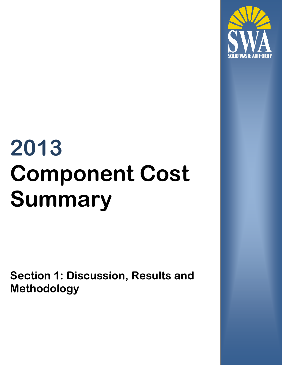

# **2013 Component Cost Summary**

**Section 1: Discussion, Results and Methodology**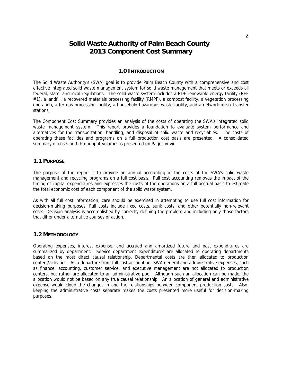# **Solid Waste Authority of Palm Beach County 2013 Component Cost Summary**

#### **1.0 INTRODUCTION**

The Solid Waste Authority's (SWA) goal is to provide Palm Beach County with a comprehensive and cost effective integrated solid waste management system for solid waste management that meets or exceeds all federal, state, and local regulations. The solid waste system includes a RDF renewable energy facility (REF #1), a landfill, a recovered materials processing facility (RMPF), a compost facility, a vegetation processing operation, a ferrous processing facility, a household hazardous waste facility, and a network of six transfer stations.

The Component Cost Summary provides an analysis of the costs of operating the SWA's integrated solid waste management system. This report provides a foundation to evaluate system performance and alternatives for the transportation, handling, and disposal of solid waste and recyclables. The costs of operating these facilities and programs on a full production cost basis are presented. A consolidated summary of costs and throughput volumes is presented on Pages vi-vii.

#### **1.1 PURPOSE**

The purpose of the report is to provide an annual accounting of the costs of the SWA's solid waste management and recycling programs on a full cost basis. Full cost accounting removes the impact of the timing of capital expenditures and expresses the costs of the operations on a full accrual basis to estimate the total economic cost of each component of the solid waste system.

As with all full cost information, care should be exercised in attempting to use full cost information for decision-making purposes. Full costs include fixed costs, sunk costs, and other potentially non-relevant costs. Decision analysis is accomplished by correctly defining the problem and including only those factors that differ under alternative courses of action.

#### **1.2 METHODOLOGY**

Operating expenses, interest expense, and accrued and amortized future and past expenditures are summarized by department. Service department expenditures are allocated to operating departments based on the most direct causal relationship. Departmental costs are then allocated to production centers/activities. As a departure from full cost accounting, SWA general and administrative expenses, such as finance, accounting, customer service, and executive management are not allocated to production centers, but rather are allocated to an administrative pool. Although such an allocation can be made, the allocation would not be based on any true causal relationship. An allocation of general and administrative expense would cloud the changes in and the relationships between component production costs. Also, keeping the administrative costs separate makes the costs presented more useful for decision-making purposes.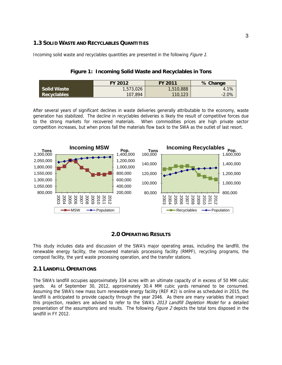#### **1.3 SOLID WASTE AND RECYCLABLES QUANTITIES**

Incoming solid waste and recyclables quantities are presented in the following *Figure 1*.

#### **Figure 1: Incoming Solid Waste and Recyclables in Tons**

|                    | FY 2012   | <b>FY 2011</b> | % Change |
|--------------------|-----------|----------------|----------|
| <b>Solid Waste</b> | 1,573,026 | 1,510,888      | 4.1%     |
| Recyclables        | 107,894   | 110,123        | $-2.0%$  |

After several years of significant declines in waste deliveries generally attributable to the economy, waste generation has stabilized. The decline in recyclables deliveries is likely the result of competitive forces due to the strong markets for recovered materials. When commodities prices are high private sector competition increases, but when prices fall the materials flow back to the SWA as the outlet of last resort.



#### **2.0 OPERATING RESULTS**

This study includes data and discussion of the SWA's major operating areas, including the landfill, the renewable energy facility, the recovered materials processing facility (RMPF), recycling programs, the compost facility, the yard waste processing operation, and the transfer stations.

#### **2.1 LANDFILL OPERATIONS**

The SWA's landfill occupies approximately 334 acres with an ultimate capacity of in excess of 50 MM cubic yards. As of September 30, 2012, approximately 30.4 MM cubic yards remained to be consumed. Assuming the SWA's new mass burn renewable energy facility (REF #2) is online as scheduled in 2015, the landfill is anticipated to provide capacity through the year 2046. As there are many variables that impact this projection, readers are advised to refer to the SWA's 2013 Landfill Depletion Model for a detailed presentation of the assumptions and results. The following *Figure 2* depicts the total tons disposed in the landfill in FY 2012.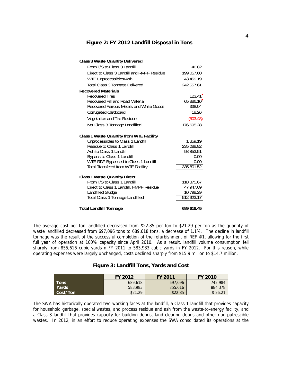#### **Figure 2: FY 2012 Landfill Disposal in Tons**

| <b>Class 3 Waste Quantity Delivered</b>     |            |
|---------------------------------------------|------------|
| From T/S to Class 31 andfill                | 40.82      |
| Direct to Class 3 Landfill and RMPF Residue | 199,057.60 |
| <b>WTE Unprocessibles/Ash</b>               | 43,459.19  |
| <b>Total Class 3 Tonnage Delivered</b>      | 242,557.61 |
| <b>Recovered Materials</b>                  |            |
| Recovered Tires                             | 123.41     |
| Recovered Fill and Road Material            | 65.886.10  |
| Recovered Ferrous Metals and White Goods    | 338.04     |
| <b>Corrugated Cardboard</b>                 | 18.26      |
| <b>Vegetation and Tire Residue</b>          | (503.48)   |
| Net Class 3 Tonnage Landfilled              | 176,695.28 |
| Class 1 Waste Quantity from WTE Facility    |            |
| Unprocessibles to Class 1 Landfill          | 1,859.19   |
| Residue to Class 1 Landfill                 | 235,088.82 |
| Ash to Class 1 Landfill                     | 98,853.51  |
| <b>Bypass to Class 1 Landfill</b>           | 0.00       |
| WTE RDF Bypassed to Class 1 Landfill        | 0.00       |
| <b>Total Transfered from WTE Facility</b>   | 335,801.52 |
| <b>Class 1 Waste Quantity Direct</b>        |            |
| From T/S to Class 1 Landfill                | 118,375.67 |
| Direct to Class 1 Landfill, RMPF Residue    | 47,947.69  |
| <b>Landfilled Sludge</b>                    | 10,798.29  |
| <b>Total Class 1 Tonnage Landfilled</b>     | 512,923.17 |
|                                             |            |
| <b>Total Landfill Tonnage</b>               | 689,618.45 |

The average cost per ton landfilled decreased from \$22.85 per ton to \$21.29 per ton as the quantity of waste landfilled decreased from 697,096 tons to 689,618 tons, a decrease of 1.1%. The decline in landfill tonnage was the result of the successful completion of the refurbishment of REF #1, allowing for the first full year of operation at 100% capacity since April 2010. As a result, landfill volume consumption fell sharply from 855,616 cubic yards n FY 2011 to 583,983 cubic yards in FY 2012. For this reason, while operating expenses were largely unchanged, costs declined sharply from \$15.9 million to \$14.7 million.

| Figure 3: Landfill Tons, Yards and Cost |  |
|-----------------------------------------|--|
|-----------------------------------------|--|

|             | FY 2012 | <b>FY 2011</b> | <b>FY 2010</b> |
|-------------|---------|----------------|----------------|
| <b>Tons</b> | 689,618 | 697.096        | 742,984        |
| Yards       | 583,983 | 855,616        | 884,378        |
| Cost/Ton    | \$21.29 | \$22.85        | \$26.21        |

The SWA has historically operated two working faces at the landfill, a Class 1 landfill that provides capacity for household garbage, special wastes, and process residue and ash from the waste-to-energy facility, and a Class 3 landfill that provides capacity for building debris, land clearing debris and other non-putrescible wastes. In 2012, in an effort to reduce operating expenses the SWA consolidated its operations at the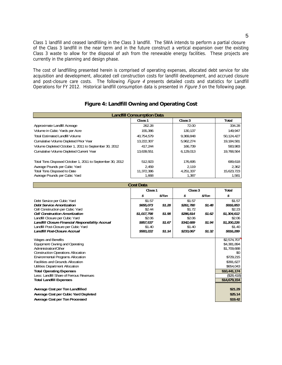Class 1 landfill and ceased landfilling in the Class 3 landfill. The SWA intends to perform a partial closure of the Class 3 landfill in the near term and in the future construct a vertical expansion over the existing Class 3 waste to allow for the disposal of ash from the renewable energy facilities. These projects are currently in the planning and design phase.

The cost of landfilling presented herein is comprised of operating expenses, allocated debt service for site acquisition and development, allocated cell construction costs for landfill development, and accrued closure and post-closure care costs. The following *Figure 4* presents detailed costs and statistics for Landfill Operations for FY 2012. Historical landfill consumption data is presented in *Figure 5* on the following page.

| <b>Landfill Consumption Data</b>                                                          |                     |        |                     |        |                       |  |
|-------------------------------------------------------------------------------------------|---------------------|--------|---------------------|--------|-----------------------|--|
|                                                                                           | Class 1             |        | Class <sub>3</sub>  |        | <b>Total</b>          |  |
| Approximate Landfill Acreage                                                              | 262.28              |        | 72.00               |        | 334.28                |  |
| Volume in Qubic Yards per Acre                                                            | 155,386             |        | 130,137             |        | 149,947               |  |
| <b>Total Estimated Landfill Volume</b>                                                    | 40,754,579          |        | 9,369,848           |        | 50, 124, 427          |  |
| <b>Cumulative Volume Depleted Prior Year</b>                                              | 13,222,307          |        | 5,962,274           |        | 19, 184, 581          |  |
| Volume Depleted October 1, 2011 to September 30, 2012                                     | 417,244             |        | 166,739             |        | 583,983               |  |
| <b>Cumulative Volume Depleted Current Year</b>                                            | 13,639,551          |        | 6,129,013           |        | 19,768,564            |  |
|                                                                                           |                     |        |                     |        |                       |  |
| Total Tons Disposed October 1, 2011 to September 30, 2012                                 | 512,923             |        | 176,695             |        | 689,618               |  |
| Average Pounds per Oubic Yard                                                             | 2,459               |        | 2,119               |        | 2,362                 |  |
| <b>Total Tons Disposed to Date</b>                                                        | 11,372,386          |        | 4,251,337           |        | 15,623,723            |  |
| Average Pounds per Oubic Yard                                                             | 1,668               |        | 1,387               |        | 1,581                 |  |
|                                                                                           |                     |        |                     |        |                       |  |
|                                                                                           | <b>Cost Data</b>    |        |                     |        |                       |  |
|                                                                                           | Class 1             |        | $\frac{Class3}{}$   |        | <b>Total</b>          |  |
|                                                                                           | \$                  | \$/Ton | \$                  | \$/Ton | \$                    |  |
| Debt Service per Qubic Yard                                                               | \$1.57              |        | \$1.57              |        | \$1.57                |  |
| <b>Debt Service Amortization</b>                                                          | \$655,073           | \$1.28 | \$261,780           | \$1.48 | \$916,853             |  |
| Cell Construction per Cubic Yard                                                          | \$2.44              |        | \$1.72              |        | \$2.23                |  |
| <b>Cell Construction Amortization</b>                                                     | \$1,017,798         | \$1.98 | \$286,814           | \$1.62 | \$1,304,612           |  |
| Landfill Closure per Cubic Yard                                                           | \$2.06              |        | \$2.06              |        | \$2.06                |  |
| Landfill Closure Financial Responsibility Accrual<br>Landfill Post-Closure per Cubic Yard | \$857,537<br>\$1.40 | \$1.67 | \$342,689<br>\$1.40 | \$1.94 | \$1,200,226<br>\$1.40 |  |
| Landfill Post-Closure Accrual                                                             | \$583,222           | \$1.14 | \$233,067           | \$1.32 | \$816,289             |  |
|                                                                                           |                     |        |                     |        |                       |  |
| <b>Wages and Benefits</b>                                                                 |                     |        |                     |        | \$2,574,707           |  |
| <b>Equipment Owning and Operating</b>                                                     |                     |        |                     |        | \$4,381,894           |  |
| Administration/Other                                                                      |                     |        |                     |        | \$1,709,688           |  |
| <b>Construction Operations Allocation</b>                                                 |                     |        |                     |        | \$O                   |  |
| <b>Environmental Programs Allocation</b>                                                  |                     |        |                     |        | \$729,215             |  |
| <b>Facilities and Grounds Allocation</b>                                                  |                     |        |                     |        | \$391,627             |  |
| Utilities Department Allocation                                                           |                     |        |                     |        | \$654,043             |  |
| <b>Total Operating Expenses</b>                                                           |                     |        |                     |        | \$10,441,174          |  |
| Less: Landfill Share of Ferrous Revenues                                                  |                     |        |                     |        | (\$28,418)            |  |
| <b>Total Landfill Expenses</b>                                                            |                     |        |                     |        | \$14,679,154          |  |
|                                                                                           |                     |        |                     |        |                       |  |
| Average Cost per Ton Landfilled<br>Average Cost per Cubic Yard Depleted                   |                     |        |                     |        | \$21.29<br>\$25.14    |  |
| Average Cost per Ton Processed                                                            |                     |        |                     |        | \$19.42               |  |
|                                                                                           |                     |        |                     |        |                       |  |

#### **Figure 4: Landfill Owning and Operating Cost**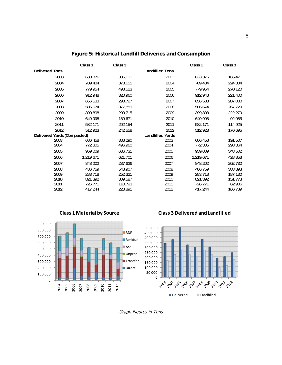|                             | Class 1   | $\text{Class} 3$ |                         | Class 1   | Class <sub>3</sub> |
|-----------------------------|-----------|------------------|-------------------------|-----------|--------------------|
| <b>Delivered Tons</b>       |           |                  | <b>Landfilled Tons</b>  |           |                    |
| 2003                        | 633,376   | 335,501          | 2003                    | 633,376   | 165,471            |
| 2004                        | 709.484   | 373,655          | 2004                    | 709,484   | 224,334            |
| 2005                        | 779,954   | 493,523          | 2005                    | 779,954   | 270,120            |
| 2006                        | 912,948   | 320,960          | 2006                    | 912,948   | 221,400            |
| 2007                        | 656,533   | 293,727          | 2007                    | 656,533   | 207,030            |
| 2008                        | 506,674   | 377,889          | 2008                    | 506,674   | 267,729            |
| 2009                        | 399,898   | 299,715          | 2009                    | 399,898   | 222,279            |
| 2010                        | 649,998   | 189,671          | 2010                    | 649,998   | 92,985             |
| 2011                        | 582,171   | 202,154          | 2011                    | 582,171   | 114,925            |
| 2012                        | 512,923   | 242,558          | 2012                    | 512,923   | 176,695            |
| Delivered Yards (Compacted) |           |                  | <b>Landfilled Yards</b> |           |                    |
| 2003                        | 686.458   | 388.290          | 2003                    | 686.458   | 191,507            |
| 2004                        | 772,305   | 496,960          | 2004                    | 772,305   | 298,364            |
| 2005                        | 959,009   | 636,731          | 2005                    | 959,009   | 348,502            |
| 2006                        | 1,219,671 | 621,701          | 2006                    | 1,219,671 | 428,853            |
| 2007                        | 848.202   | 287,626          | 2007                    | 848,202   | 202,730            |
| 2008                        | 486.759   | 548,907          | 2008                    | 486.759   | 388,893            |
| 2009                        | 283,718   | 252,321          | 2009                    | 283,718   | 187,130            |
| 2010                        | 821,392   | 309,587          | 2010                    | 821,392   | 151,773            |
| 2011                        | 726,771   | 110,793          | 2011                    | 726,771   | 62,986             |
| 2012                        | 417.244   | 228,891          | 2012                    | 417,244   | 166,739            |

# **Figure 5: Historical Landfill Deliveries and Consumption**



#### **Class 3 Delivered and Landfilled**



Graph Figures in Tons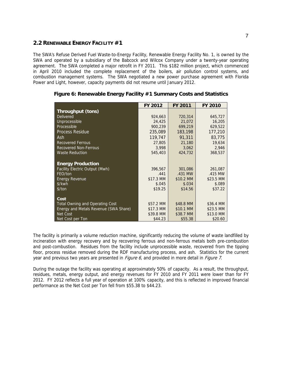#### **2.2 RENEWABLE ENERGY FACILITY #1**

The SWA's Refuse Derived Fuel Waste-to-Energy Facility, Renewable Energy Facility No. 1, is owned by the SWA and operated by a subsidiary of the Babcock and Wilcox Company under a twenty-year operating agreement. The SWA completed a major retrofit in FY 2011. This \$182 million project, which commenced in April 2010 included the complete replacement of the boilers, air pollution control systems, and combustion management systems. The SWA negotiated a new power purchase agreement with Florida Power and Light, however, capacity payments did not resume until January 2012.

|                                              | FY 2012   | <b>FY 2011</b> | <b>FY 2010</b> |
|----------------------------------------------|-----------|----------------|----------------|
| <b>Throughput (tons)</b>                     |           |                |                |
| <b>Delivered</b>                             | 924,663   | 720,314        | 645,727        |
| Unprocessible                                | 24,425    | 21,072         | 16,205         |
| Processible                                  | 900,239   | 699,219        | 629,522        |
| <b>Process Residue</b>                       | 235,089   | 183,198        | 177,210        |
| Ash.                                         | 119,747   | 91,311         | 83,775         |
| <b>Recovered Ferrous</b>                     | 27,805    | 21,180         | 19,634         |
| <b>Recovered Non-Ferrous</b>                 | 3,998     | 3,062          | 2,946          |
| <b>Waste Reduction</b>                       | 545,403   | 424,732        | 368,537        |
|                                              |           |                |                |
| <b>Energy Production</b>                     |           |                |                |
| Facility Electric Output (Mwh)               | 396,567   | 301,086        | 261,087        |
| FEO/ton                                      | .441      | .431 MW        | .415 MW        |
| <b>Energy Revenue</b>                        | \$17.3 MM | \$10.2 MM      | \$23.5 MM      |
| \$/kwh                                       | \$.045    | \$.034         | \$.089         |
| \$/ton                                       | \$19.25   | \$14.56        | \$37.22        |
|                                              |           |                |                |
| Cost                                         |           |                |                |
| <b>Total Owning and Operating Cost</b>       | \$57.2 MM | \$48.8 MM      | \$36.4 MM      |
| <b>Energy and Metals Revenue (SWA Share)</b> | \$17.3 MM | \$10.1 MM      | \$23.5 MM      |
| Net Cost                                     | \$39.8 MM | \$38.7 MM      | \$13.0 MM      |
| Net Cost per Ton                             | \$44.23   | \$55.38        | \$20.60        |

#### **Figure 6: Renewable Energy Facility #1 Summary Costs and Statistics**

The facility is primarily a volume reduction machine, significantly reducing the volume of waste landfilled by incineration with energy recovery and by recovering ferrous and non-ferrous metals both pre-combustion and post-combustion. Residues from the facility include unprocessible waste, recovered from the tipping floor, process residue removed during the RDF manufacturing process, and ash. Statistics for the current year and previous two years are presented in *Figure 6*, and provided in more detail in *Figure 7*.

During the outage the facility was operating at approximately 50% of capacity. As a result, the throughput, residues, metals, energy output, and energy revenues for FY 2010 and FY 2011 were lower than for FY 2012. FY 2012 reflects a full year of operation at 100% capacity, and this is reflected in improved financial performance as the Net Cost per Ton fell from \$55.38 to \$44.23.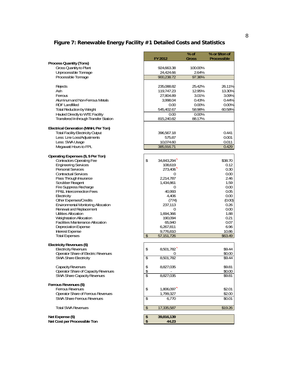# **Figure 7: Renewable Energy Facility #1 Detailed Costs and Statistics**

|                                                                       |                |              | % of    | % or \$/ton of     |
|-----------------------------------------------------------------------|----------------|--------------|---------|--------------------|
|                                                                       |                | FY 2012      | Gross   | <b>Processible</b> |
| <b>Process Quantity (Tons)</b>                                        |                |              |         |                    |
| Gross Quantity to Plant                                               |                | 924,663.38   | 100.00% |                    |
| Unprocessible Tonnage                                                 |                | 24,424.66    | 2.64%   |                    |
| Processible Tonnage                                                   |                | 900.238.72   | 97.36%  |                    |
|                                                                       |                |              |         |                    |
| <b>Rejects</b>                                                        |                | 235,088.82   | 25.42%  | 26.11%             |
| Ash                                                                   |                | 119,747.23   | 12.95%  | 13.30%             |
| Ferrous                                                               |                | 27,804.89    | 3.01%   | 3.09%              |
| Aluminum and Non-Ferrous Metals                                       |                | 3,998.04     | 0.43%   | 0.44%              |
| <b>RDF Landfilled</b>                                                 |                | 0.00         | 0.00%   | 0.00%              |
| Total Reduction by Weight                                             |                | 545,402.67   | 58.98%  | 60.58%             |
| <b>Hauled Directly to WTE Facility</b>                                |                | 0.00         | 0.00%   |                    |
| <b>Transfered In through Transfer Station</b>                         |                | 815,240.82   | 88.17%  |                    |
|                                                                       |                |              |         |                    |
|                                                                       |                |              |         |                    |
| Electrical Generation (MMH, Per Ton)                                  |                |              |         |                    |
| <b>Total Facility Electricity Output</b>                              |                | 396,567.18   |         | 0.441              |
| Less: Line Loss/Adjustments                                           |                | 575.87       |         | 0.001              |
| Less: SWA Usage                                                       |                | 10,074.60    |         | 0.011              |
| Megawatt Hours to FPL                                                 |                | 385,916.71   |         | 0.429              |
|                                                                       |                |              |         |                    |
| Operating Expenses (\$, \$ Per Ton)                                   |                |              |         |                    |
| <b>Contractors Operating Fee</b>                                      | \$             | 34,843,294   |         | \$38.70            |
| <b>Engineering Services</b>                                           |                | 108,619      |         | 0.12               |
| Personal Services                                                     |                | 273,406      |         | 0.30               |
| <b>Contractual Services</b>                                           |                | 0            |         | 0.00               |
| Pass Through Insurance                                                |                | 2,214,787    |         | 2.46               |
| Scrubber Reagent                                                      |                | 1,434,861    |         | 1.59               |
| <b>Fire Suppress Recharge</b>                                         |                | 0            |         | 0.00               |
| FP&L Interconnection Fees                                             |                | 40,993       |         | 0.05               |
| Electricity                                                           |                | 4,406        |         | 0.00               |
| <b>Other Expenses/Credits</b>                                         |                | (774)        |         | (0.00)             |
| <b>Environmental Monitoring Allocation</b><br>Renewal and Replacement |                | 237,113<br>0 |         | 0.26<br>0.00       |
| Utilities Allocation                                                  |                | 1,694,366    |         | 1.88               |
| <b>Weighstation Allocation</b>                                        |                | 190,094      |         | 0.21               |
| <b>Facilities Maintenance Allocation</b>                              |                | 65,940       |         | 0.07               |
| Depreciation Expense                                                  |                | 6,267,811    |         | 6.96               |
| <b>Interest Expense</b>                                               |                | 9,776,810    |         | 10.86              |
| <b>Total Expenses</b>                                                 | $\mathfrak{S}$ | 57, 151, 726 |         | \$63.49            |
|                                                                       |                |              |         |                    |
| Electricity Revenues (\$)                                             |                |              |         |                    |
| <b>Electricity Revenues</b>                                           | \$             | 8,501,782    |         | \$9.44             |
| <b>Operator Share of Electric Revenues</b>                            |                | 0            |         | \$0.00             |
| SWA Share Electricity                                                 | \$             | 8,501,782    |         | \$9.44             |
|                                                                       |                |              |         |                    |
| Capacity Revenues                                                     | \$             | 8,827,035    |         | \$9.81             |
| <b>Operator Share of Capacity Revenues</b>                            | $\frac{1}{2}$  |              |         | \$0.00             |
| SWA Share Capacity Revenues                                           | \$             | 8,827,035    |         | \$9.81             |
|                                                                       |                |              |         |                    |
| Ferrous Revenues (\$)                                                 |                |              |         |                    |
| <b>Ferrous Revenues</b>                                               | \$             | 1,806,097    |         | \$2.01             |
| <b>Operator Share of Ferrous Revenues</b>                             |                | 1,799,327    |         | \$2.00             |
| <b>SWA Share Ferrous Revenues</b>                                     | \$             | 6,770        |         | \$0.01             |
|                                                                       |                |              |         |                    |
| <b>Total SWA Revenues</b>                                             | $\frac{1}{2}$  | 17,335,587   |         | \$19.26            |
|                                                                       |                |              |         |                    |
| Net Expense (\$)                                                      | \$             | 39,816,139   |         |                    |
| Net Cost per Processible Ton                                          | \$             | 44.23        |         |                    |
|                                                                       |                |              |         |                    |
|                                                                       |                |              |         |                    |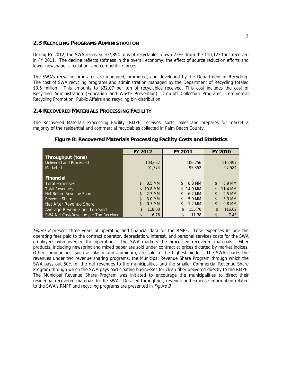#### **2.3 RECYCLING PROGRAMS ADMINISTRATION**

During FY 2012, the SWA received 107,894 tons of recyclables, down 2.0% from the 110,123 tons received in FY 2011. The decline reflects softness in the overall economy, the effect of source reduction efforts and lower newspaper circulation, and competitive forces.

The SWA's recycling programs are managed, promoted, and developed by the Department of Recycling. The cost of SWA recycling programs and administration managed by the Department of Recycling totaled \$3.5 million. This amounts to \$32.07 per ton of recyclables received. This cost includes the cost of Recycling Administration (Education and Waste Prevention), Drop-off Collection Programs, Commercial Recycling Promotion, Public Affairs and recycling bin distribution.

#### **2.4 RECOVERED MATERIALS PROCESSING FACILITY**

The Recovered Materials Processing Facility (RMPF) receives, sorts, bales and prepares for market a majority of the residential and commercial recyclables collected in Palm Beach County.

|                                       | FY 2012                  | FY 2011        | <b>FY 2010</b> |
|---------------------------------------|--------------------------|----------------|----------------|
| Throughput (tons)                     |                          |                |                |
| Delivered and Processed               | 103,662                  | 106,756        | 110,497        |
| Marketed                              | 91.774                   | 95,352         | 97,584         |
|                                       |                          |                |                |
| <b>Financial</b>                      |                          |                |                |
| Total Expenses                        | 8.5 MM<br>$\mathcal{S}$  | 8.8 MM<br>\$.  | 8.9 MM<br>\$   |
| <b>Total Revenues</b>                 | 10.8 MM<br>$\mathcal{S}$ | 14.9 MM<br>\$  | 11.4 MM        |
| Net Before Revenue Share              | 2.3 MM                   | 6.2 MM         | 2.5 MM<br>\$   |
| Revenue Share                         | 3.0 MM<br>\$             | 5.0 MM<br>\$   | \$<br>3.3 MM   |
| Net After Revenue Share               | 0.7 MM<br>-\$            | $1.2$ MM<br>\$ | -\$<br>0.8 MM  |
| Average Revenue per Ton Sold          | 118.08<br>\$             | 156.70<br>\$.  | \$<br>116.62   |
| SWA Net Cost/Revenue per Ton Received | -\$<br>6.76              | 11.38<br>\$    | -\$<br>7.43    |

#### **Figure 8: Recovered Materials Processing Facility Costs and Statistics**

Figure 8 present three years of operating and financial data for the RMPF. Total expenses include the operating fees paid to the contract operator, depreciation, interest, and personal services costs for the SWA employees who oversee the operation. The SWA markets the processed recovered materials. Fiber products, including newsprint and mixed paper are sold under contract at prices dictated by market indices. Other commodities, such as plastic and aluminum, are sold to the highest bidder. The SWA shares the revenues under two revenue sharing programs, the Municipal Revenue Share Program through which the SWA pays out 50% of the net revenues to the municipalities and the smaller Commercial Revenue Share Program through which the SWA pays participating businesses for clean fiber delivered directly to the RMPF. The Municipal Revenue Share Program was initiated to encourage the municipalities to direct their residential recovered materials to the SWA. Detailed throughput, revenue and expense information related to the SWA's RMPF and recycling programs are presented in *Figure 9*.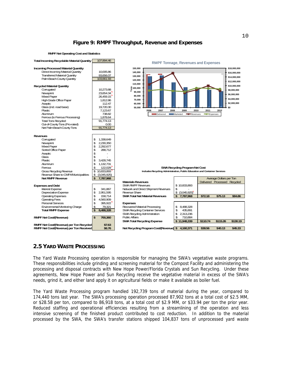#### **Figure 9: RMPF Throughput, Revenue and Expenses**

**RMPF Net Operating Cost and Statistics**



#### **2.5 YARD WASTE PROCESSING**

The Yard Waste Processing operation is responsible for managing the SWA's vegetative waste programs. These responsibilities include grinding and screening material for the Compost Facility and administering the processing and disposal contracts with New Hope Power/Florida Crystals and Sun Recycling. Under these agreements, New Hope Power and Sun Recycling receive the vegetative material in excess of the SWA's needs, grind it, and either land apply it on agricultural fields or make it available as boiler fuel.

The Yard Waste Processing program handled 192,739 tons of material during the year, compared to 174,440 tons last year. The SWA's processing operation processed 87,902 tons at a total cost of \$2.5 MM, or \$28.58 per ton, compared to 86,918 tons, at a total cost of \$2.9 MM, or \$33.94 per ton the prior year. Reduced staffing and operational efficiencies resulting from a streamlining of the operation and less intensive screening of the finished product contributed to cost reduction. In addition to the material processed by the SWA, the SWA's transfer stations shipped 104,837 tons of unprocessed yard waste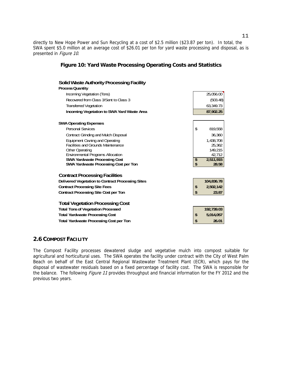directly to New Hope Power and Sun Recycling at a cost of \$2.5 million (\$23.87 per ton). In total, the SWA spent \$5.0 million at an average cost of \$26.01 per ton for yard waste processing and disposal, as is presented in Figure 10.

#### **Figure 10: Yard Waste Processing Operating Costs and Statistics**

| Solid Waste Authority Processing Facility                                     |          |                    |
|-------------------------------------------------------------------------------|----------|--------------------|
| <b>Process Quantity</b>                                                       |          |                    |
| Incoming Vegetation (Tons)                                                    |          | 25,056.00          |
| Recovered from Class 3/Sent to Class 3                                        |          | (503.48)           |
| <b>Transferred Vegetation</b>                                                 |          | 63,349.73          |
| <b>Incoming Vegetation to SWA Yard Waste Area</b>                             |          | 87,902.25          |
| <b>SWA Operating Expenses</b>                                                 |          |                    |
| Personal Services                                                             | \$       | 819,558            |
| Contract Grinding and Mulch Disposal                                          |          | 36,360             |
| <b>Equipment Owning and Operating</b>                                         |          | 1,438,708          |
| <b>Facilities and Grounds Maintenance</b>                                     |          | 25,362             |
| <b>Other Operating</b>                                                        |          | 149,215            |
| <b>Environmental Programs Allocation</b>                                      |          | 42,712             |
| <b>SWA Yardwaste Processing Cost</b><br>SWA Yardwaste Processing Cost per Ton | \$<br>\$ | 2,511,915<br>28.58 |
| <b>Contract Processing Facilities</b>                                         |          |                    |
| Delivered Vegetation to Contract Processing Sites                             |          | 104,836.78         |
| <b>Contract Processing Site Fees</b>                                          | \$       | 2,502,142          |
| <b>Contract Processing Site Cost per Ton</b>                                  | \$       | 23.87              |
| <b>Total Vegetation Processing Cost</b>                                       |          |                    |
| <b>Total Tons of Vegetation Processed</b>                                     |          | 192,739.03         |
| <b>Total Yardwaste Processing Cost</b>                                        | \$       | 5,014,057          |
| <b>Total Yardwaste Processing Cost per Ton</b>                                | \$       | 26.01              |

#### **2.6 COMPOST FACILITY**

The Compost Facility processes dewatered sludge and vegetative mulch into compost suitable for agricultural and horticultural uses. The SWA operates the facility under contract with the City of West Palm Beach on behalf of the East Central Regional Wastewater Treatment Plant (ECR), which pays for the disposal of wastewater residuals based on a fixed percentage of facility cost. The SWA is responsible for the balance. The following *Figure 11* provides throughput and financial information for the FY 2012 and the previous two years.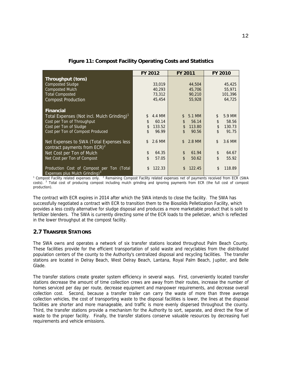|                                                        | FY 2012       | <b>FY 2011</b>           | <b>FY 2010</b>         |
|--------------------------------------------------------|---------------|--------------------------|------------------------|
| <b>Throughput (tons)</b>                               |               |                          |                        |
| <b>Composted Sludge</b>                                | 33,019        | 44,504                   | 45,425                 |
| <b>Composted Mulch</b>                                 | 40.293        | 45,706                   | 55,971                 |
| <b>Total Composted</b>                                 | 73,312        | 90,210                   | 101,396                |
| <b>Compost Production</b>                              | 45,454        | 55,928                   | 64,725                 |
|                                                        |               |                          |                        |
| <b>Financial</b>                                       |               |                          |                        |
| Total Expenses (Not incl. Mulch Grinding) <sup>1</sup> | \$.<br>4.4 MM | $\mathfrak{L}$<br>5.1 MM | \$<br>5.9 MM           |
| Cost per Ton of Throughput                             | \$<br>60.14   | \$<br>56.14              | \$<br>58.56            |
| Cost per Ton of Sludge                                 | \$<br>133.52  | 113.80<br>\$             | \$<br>130.73           |
| Cost per Ton of Compost Produced                       | \$<br>96.99   | \$<br>90.56              | $\mathsf{\$}$<br>91.75 |
|                                                        |               |                          |                        |
| Net Expenses to SWA (Total Expenses less               | 2.6 MM<br>\$. | 2.8 MM<br>\$             | \$<br>3.6 MM           |
| contract payments from $ECR)^2$                        |               |                          |                        |
| Net Cost per Ton of Mulch                              | \$<br>64.35   | \$<br>61.94              | \$<br>64.67            |
| Net Cost per Ton of Compost                            | \$<br>57.05   | \$<br>50.62              | \$<br>55.92            |
|                                                        |               |                          |                        |
| Production Cost of Compost per Ton (Total              | 122.33        | 122.45                   | \$<br>118.89           |
| <b>Expenses plus Mulch Grinding</b> <sup>3</sup>       |               |                          |                        |

#### **Figure 11: Compost Facility Operating Costs and Statistics**

Expenses plus Mulch Grinding)<sup>3</sup><br><sup>1</sup> Compost Facility related expenses only. <sup>2</sup> Remaining Compost Facility related expenses net of payments received from ECR (SWA costs). <sup>3</sup> Total cost of producing compost including mulch grinding and ignoring payments from ECR (the full cost of compost production).

The contract with ECR expires in 2014 after which the SWA intends to close the facility. The SWA has successfully negotiated a contract with ECR to transition them to the Biosolids Pelletization Facility, which provides a less costly alternative for sludge disposal and produces a more marketable product that is sold to fertilizer blenders. The SWA is currently directing some of the ECR loads to the pelletizer, which is reflected in the lower throughput at the compost facility.

# **2.7 TRANSFER STATIONS**

The SWA owns and operates a network of six transfer stations located throughout Palm Beach County. These facilities provide for the efficient transportation of solid waste and recyclables from the distributed population centers of the county to the Authority's centralized disposal and recycling facilities. The transfer stations are located in Delray Beach, West Delray Beach, Lantana, Royal Palm Beach, Jupiter, and Belle Glade.

The transfer stations create greater system efficiency in several ways. First, conveniently located transfer stations decrease the amount of time collection crews are away from their routes, increase the number of homes serviced per day per route, decrease equipment and manpower requirements, and decrease overall collection cost. Second, because a transfer trailer can carry the waste of more than three average collection vehicles, the cost of transporting waste to the disposal facilities is lower, the lines at the disposal facilities are shorter and more manageable, and traffic is more evenly dispersed throughout the county. Third, the transfer stations provide a mechanism for the Authority to sort, separate, and direct the flow of waste to the proper facility. Finally, the transfer stations conserve valuable resources by decreasing fuel requirements and vehicle emissions.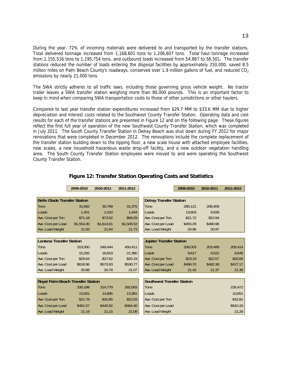During the year, 72% of incoming materials were delivered to and transported by the transfer stations. Total delivered tonnage increased from 1,168,601 tons to 1,206,607 tons. Total haul tonnage increased from 1,155,516 tons to 1,195,754 tons, and outbound loads increased from 54,867 to 56,501. The transfer stations reduced the number of loads entering the disposal facilities by approximately 250,000, saved 8.5 million miles on Palm Beach County's roadways, conserved over 1.9 million gallons of fuel, and reduced CO<sub>2</sub> emissions by nearly 21,000 tons.

The SWA strictly adheres to all traffic laws, including those governing gross vehicle weight. No tractor trailer leaves a SWA transfer station weighing more than 80,000 pounds. This is an important factor to keep in mind when comparing SWA transportation costs to those of other jurisdictions or other haulers.

Compared to last year transfer station expenditures increased from \$29.7 MM to \$33.6 MM due to higher depreciation and interest costs related to the Southwest County Transfer Station. Operating data and cost results for each of the transfer stations are presented in Figure 12 and on the following page. These figures reflect the first full year of operation of the new Southwest County Transfer Station, which was completed in July 2011. The South County Transfer Station in Delray Beach was shut down during FY 2012 for major renovations that were completed in December 2012. The renovations include the complete replacement of the transfer station building down to the tipping floor, a new scale house with attached employee facilities, new scales, a new household hazardous waste drop-off facility, and a new outdoor vegetation handling area. The South County Transfer Station employees were moved to and were operating the Southwest County Transfer Station.

|                                          | 2009-2010  | 2010-2011  | 2011-2012  |                                   | 2009-2010 | 2010-2011 | 2011-2012 |
|------------------------------------------|------------|------------|------------|-----------------------------------|-----------|-----------|-----------|
|                                          |            |            |            |                                   |           |           |           |
| <b>Belle Glade Transfer Station</b>      |            |            |            | <b>Delray Transfer Station</b>    |           |           |           |
| <b>Tons</b>                              | 31.682     | 30,799     | 31,375     | Tons                              | 285,121   | 208,409   |           |
| Loads                                    | 1.451      | 1.410      | 1.444      | Loads                             | 13.603    | 9.939     |           |
| Ave. Cost per Ton                        | \$71.18    | \$73.92    | \$69.29    | Ave. Cost per Ton                 | \$21.72   | \$22.94   |           |
| Ave. Cost per Load                       | \$1.554.30 | \$1.614.61 | \$1.505.53 | Ave. Cost per Load                | \$455.29  | \$480.96  |           |
| Ave. Load Weight                         | 21.83      | 21.84      | 21.73      | Ave. Load Weight                  | 20.96     | 20.97     |           |
|                                          |            |            |            |                                   |           |           |           |
| <b>Lantana Transfer Station</b>          |            |            |            | <b>Jupiter Transfer Station</b>   |           |           |           |
| Tons                                     | 319,300    | 349,444    | 450,411    | Tons                              | 206,003   | 203,489   | 205,414   |
| Loads                                    | 15.292     | 16.819     | 21.380     | Loads                             | 9.617     | 9.522     | 9.645     |
| Ave. Cost per Ton                        | \$29.64    | \$27.62    | \$25.19    | Ave. Cost per Ton                 | \$23.19   | \$22.57   | \$20.06   |
| Ave. Cost per Load                       | \$618.96   | \$573.93   | \$530.77   | Ave. Cost per Load                | \$496.70  | \$482.38  | \$427.17  |
| Ave. Load Weight                         | 20.88      | 20.78      | 21.07      | Ave. Load Weight                  | 21.42     | 21.37     | 21.30     |
|                                          |            |            |            |                                   |           |           |           |
| <b>Royal Palm Beach Transfer Station</b> |            |            |            | <b>Southwest Transfer Station</b> |           |           |           |
| Tons                                     | 330,188    | 314,779    | 282,083    | Tons                              |           |           | 226,472   |
| Loads                                    | 15.581     | 14.885     | 13,381     | Loads                             |           |           | 10,651    |
| Ave. Cost per Ton                        | \$21.78    | \$20.85    | \$22.03    | Ave. Cost per Ton                 |           |           | \$42.81   |
| Ave. Cost per Load                       | \$461.57   | \$440.92   | \$464.40   | Ave. Cost per Load                |           |           | \$910.33  |
| Ave. Load Weight                         | 21.19      | 21.15      | 21.08      | Ave. Load Weight                  |           |           | 21.26     |
|                                          |            |            |            |                                   |           |           |           |
|                                          |            |            |            |                                   |           |           |           |

#### **Figure 12: Transfer Station Operating Costs and Statistics**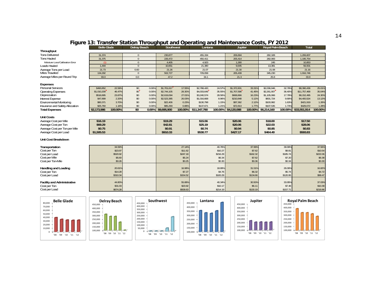# **Figure 13: Transfer Station Throughput and Operating and Maintenance Costs, FY 2012**

|                                    | <b>Belle Glade</b> |          | Delray Beach                |       | Southwest   |          | Lantana      |          | <b>Jupiter</b>      |          | Royal PalmBeach |          | Total        |          |
|------------------------------------|--------------------|----------|-----------------------------|-------|-------------|----------|--------------|----------|---------------------|----------|-----------------|----------|--------------|----------|
| <b>Throughput</b>                  |                    |          |                             |       |             |          |              |          |                     |          |                 |          |              |          |
| <b>Tons Delivered</b>              | 31,374             |          | $\circ$                     |       | 230,877     |          | 455,334      |          | 206.694             |          | 282,328         |          | 1,206,607    |          |
| <b>Tons Hauled</b>                 | 31,375             |          | $\circ$                     |       | 226,472     |          | 450,411      |          | 205,414             |          | 282,083         |          | 1,195,754    |          |
| Moisture Loss/Calibration Error    | (1)                |          | $\Omega$                    |       | 4.405       |          | 4.923        |          | 1.280               |          | 245             |          | 10.853       |          |
| Loads Hauled                       | 1,444              |          | $\mathbf{O}$                |       | 10,651      |          | 21,380       |          | 9,645               |          | 13,381          |          | 56,501       |          |
| Average Tons per Load              | 21.73              |          | 0.00                        |       | 21.26       |          | 21.07        |          | 21.30               |          | 21.08           |          | 21.16        |          |
| <b>Miles Traveled</b>              | 134,292            |          | $\circ$                     |       | 502,727     |          | 729,058      |          | 205,439             |          | 345,230         |          | 1,916,746    |          |
| Average Miles per Round Trip       | 93.0               |          | 0.0                         |       | 47.2        |          | 34.1         |          | 21.3                |          | 25.8            |          | 33.9         |          |
|                                    |                    |          |                             |       |             |          |              |          |                     |          |                 |          |              |          |
| <b>Expenses</b>                    |                    |          |                             |       |             |          |              |          |                     |          |                 |          |              |          |
| <b>Personal Services</b>           | \$490,852          | 22.58%   | $\boldsymbol{\mathsf{50}}$  | 0.00% | \$1,701,617 | 17.55%   | \$2,788,420  | 24.57%   | \$1,372,601         | 33.31%   | \$2,036,946     | 32.78%   | \$8,390,436  | 25.01%   |
| <b>Operating Expenses</b>          | \$1,010,209        | 46.47%   | $\boldsymbol{\mathfrak{D}}$ | 0.00% | \$2,744,105 | 28.30%   | \$4,033,649  | 35.55%   | \$1,707,598         | 41.45%   | \$2,261,907     | 36.40%   | \$11,757,468 | 35.04%   |
| Depreciation                       | \$518,895          | 23.87%   | $\infty$                    | 0.00% | \$2,619,094 | 27.01%   | \$3,240,574  | 28.56%   | \$668,866           | 16.23%   | \$1,105,066     | 17.78%   | \$8,152,495  | 24.30%   |
| <b>Interest Expense</b>            | \$47,899           | 2.20%    | $\infty$                    | 0.00% | \$2,523,385 | 26.03%   | \$1,016,668  | 8.96%    | \$210,848           | 5.12%    | \$601,724       | 9.68%    | \$4,400,524  | 13.12%   |
| <b>Environmental Monitoring</b>    | \$80,371           | 3.70%    | $\infty$                    | 0.00% | \$22,406    | 0.23%    | \$130,798    | 1.15%    | \$87,362            | 212%     | \$100,982       | 1.63%    | \$421,919    | 1.26%    |
| Insurance and Safety Allocation    | \$25,760           | 1.18%    | $\infty$                    | 0.00% | \$85,293    | 0.88%    | \$137,671    | 1.21%    | \$72,813            | 1.77%    | \$107,535       | 1.73%    | \$429,072    | 1.28%    |
| <b>Total Expenses</b>              | \$2,173,986        | 100.00%  | \$0                         | 0.00% | \$9,695,900 | 100.00%  | \$11,347,780 |          | 100.00% \$4,120,088 | 100.00%  | \$6,214,160     | 100.00%  | \$33,551,914 | 100.00%  |
|                                    |                    |          |                             |       |             |          |              |          |                     |          |                 |          |              |          |
| <b>Unit Costs</b>                  |                    |          |                             |       |             |          |              |          |                     |          |                 |          |              |          |
| Average Cost per Mile              | \$16.19            |          |                             |       | \$19.29     |          | \$15.56      |          | \$20.06             |          | \$18.00         |          | \$17.50      |          |
| Average Cost per Ton               | \$69.29            |          |                             |       | \$42.81     |          | \$25.19      |          | \$20.06             |          | \$22.03         |          | \$28.06      |          |
| Average Cost per Ton per Mile      | \$0.75             |          |                             |       | \$0.91      |          | \$0.74       |          | \$0.94              |          | \$0.85          |          | \$0.83       |          |
| Average Cost per Load              | \$1,505.53         |          |                             |       | \$910.33    |          | \$530.77     |          | \$427.17            |          | \$464.40        |          | \$593.83     |          |
| Unit Cost Breakdown                |                    |          |                             |       |             |          |              |          |                     |          |                 |          |              |          |
|                                    |                    |          |                             |       |             |          |              |          |                     |          |                 |          |              |          |
| Transportation                     |                    | 34.59%   |                             |       |             | 27.14%   |              | 40.76%   |                     | 37.99%   |                 | 39.99%   |              | 37.56%   |
| Cost per Ton                       |                    | \$23.97  |                             |       |             | \$11.62  |              | \$10.27  |                     | \$7.62   |                 | \$8.81   |              | \$10.54  |
| Cost per Load                      |                    | \$520.92 |                             |       |             | \$247.18 |              | \$216.29 |                     | \$162.32 |                 | \$185.74 |              | \$222.06 |
| Cost per Mile                      |                    | \$5.60   |                             |       |             | \$5.24   |              | \$6.34   |                     | \$7.62   |                 | \$7.20   |              | \$6.38   |
| Cost per Ton-Mile                  |                    | \$0.26   |                             |       |             | \$0.25   |              | \$0.30   |                     | \$0.36   |                 | \$0.34   |              | \$0.30   |
|                                    |                    |          |                             |       |             |          |              |          |                     |          |                 |          |              |          |
| <b>Handling and Loading</b>        |                    | 20.61%   |                             |       |             | 16.98%   |              | 18.89%   |                     | 31.51%   |                 | 26.06%   |              | 16.82%   |
| Cost per Ton                       |                    | \$14.28  |                             |       |             | \$7.27   |              | \$4.76   |                     | \$6.32   |                 | \$5.74   |              | \$4.72   |
| Cost per Load                      |                    | \$310.34 |                             |       |             | \$154.52 |              | \$100.29 |                     | \$134.66 |                 | \$120.95 |              | \$99.47  |
| <b>Facility and Administrative</b> |                    | 44.80%   |                             |       |             | 55.88%   |              | 40.34%   |                     | 30.50%   |                 | 33.95%   |              | 37.03%   |
| Cost per Ton                       |                    | \$31.03  |                             |       |             | \$23.92  |              | \$10.17  |                     | \$6.11   |                 | \$7.48   |              | \$10.39  |
| Cost per Load                      |                    | \$674.28 |                             |       |             | \$508.63 |              | \$214.19 |                     | \$130.19 |                 | \$157.71 |              | \$218.86 |
|                                    |                    |          |                             |       |             |          |              |          |                     |          |                 |          |              |          |











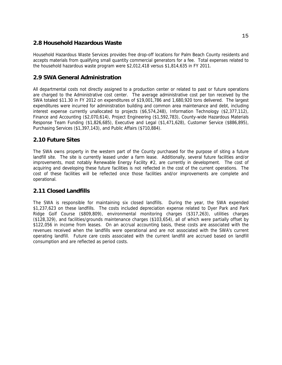# **2.8 Household Hazardous Waste**

Household Hazardous Waste Services provides free drop-off locations for Palm Beach County residents and accepts materials from qualifying small quantity commercial generators for a fee. Total expenses related to the household hazardous waste program were \$2,012,418 versus \$1,814,635 in FY 2011.

# **2.9 SWA General Administration**

All departmental costs not directly assigned to a production center or related to past or future operations are charged to the Administrative cost center. The average administrative cost per ton received by the SWA totaled \$11.30 in FY 2012 on expenditures of \$19,001,786 and 1,680,920 tons delivered. The largest expenditures were incurred for administration building and common area maintenance and debt, including interest expense currently unallocated to projects (\$6,574,248), Information Technology (\$2,377,112), Finance and Accounting (\$2,070,614), Project Engineering (\$1,592,783), County-wide Hazardous Materials Response Team Funding (\$1,826,685), Executive and Legal (\$1,471,628), Customer Service (\$886,895), Purchasing Services (\$1,397,143), and Public Affairs (\$710,884).

# **2.10 Future Sites**

The SWA owns property in the western part of the County purchased for the purpose of siting a future landfill site. The site is currently leased under a farm lease. Additionally, several future facilities and/or improvements, most notably Renewable Energy Facility #2, are currently in development. The cost of acquiring and developing these future facilities is not reflected in the cost of the current operations. The cost of these facilities will be reflected once those facilities and/or improvements are complete and operational.

# **2.11 Closed Landfills**

The SWA is responsible for maintaining six closed landfills. During the year, the SWA expended \$1,237,623 on these landfills. The costs included depreciation expense related to Dyer Park and Park Ridge Golf Course (\$809,809), environmental monitoring charges (\$317,263), utilities charges (\$128,329), and facilities/grounds maintenance charges (\$103,654), all of which were partially offset by \$122,056 in income from leases. On an accrual accounting basis, these costs are associated with the revenues received when the landfills were operational and are not associated with the SWA's current operating landfill. Future care costs associated with the current landfill are accrued based on landfill consumption and are reflected as period costs.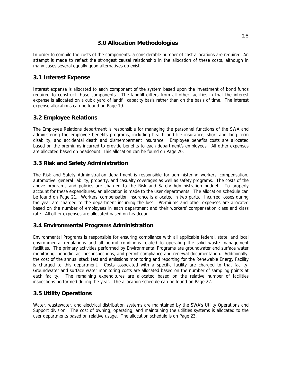# **3.0 Allocation Methodologies**

In order to compile the costs of the components, a considerable number of cost allocations are required. An attempt is made to reflect the strongest causal relationship in the allocation of these costs, although in many cases several equally good alternatives do exist.

#### **3.1 Interest Expense**

Interest expense is allocated to each component of the system based upon the investment of bond funds required to construct those components. The landfill differs from all other facilities in that the interest expense is allocated on a cubic yard of landfill capacity basis rather than on the basis of time. The interest expense allocations can be found on Page 19.

# **3.2 Employee Relations**

The Employee Relations department is responsible for managing the personnel functions of the SWA and administering the employee benefits programs, including health and life insurance, short and long term disability, and accidental death and dismemberment insurance. Employee benefits costs are allocated based on the premiums incurred to provide benefits to each department's employees. All other expenses are allocated based on headcount. This allocation can be found on Page 20.

# **3.3 Risk and Safety Administration**

The Risk and Safety Administration department is responsible for administering workers' compensation, automotive, general liability, property, and casualty coverages as well as safety programs. The costs of the above programs and policies are charged to the Risk and Safety Administration budget. To properly account for these expenditures, an allocation is made to the user departments. The allocation schedule can be found on Page 21. Workers' compensation insurance is allocated in two parts. Incurred losses during the year are charged to the department incurring the loss. Premiums and other expenses are allocated based on the number of employees in each department and their workers' compensation class and class rate. All other expenses are allocated based on headcount.

# **3.4 Environmental Programs Administration**

Environmental Programs is responsible for ensuring compliance with all applicable federal, state, and local environmental regulations and all permit conditions related to operating the solid waste management facilities. The primary activities performed by Environmental Programs are groundwater and surface water monitoring, periodic facilities inspections, and permit compliance and renewal documentation. Additionally, the cost of the annual stack test and emissions monitoring and reporting for the Renewable Energy Facility is charged to this department. Costs associated with a specific facility are charged to that facility. Groundwater and surface water monitoring costs are allocated based on the number of sampling points at each facility. The remaining expenditures are allocated based on the relative number of facilities inspections performed during the year. The allocation schedule can be found on Page 22.

# **3.5 Utility Operations**

Water, wastewater, and electrical distribution systems are maintained by the SWA's Utility Operations and Support division. The cost of owning, operating, and maintaining the utilities systems is allocated to the user departments based on relative usage. The allocation schedule is on Page 23.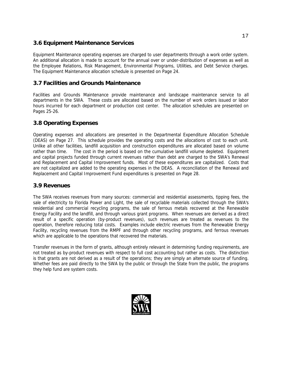# **3.6 Equipment Maintenance Services**

Equipment Maintenance operating expenses are charged to user departments through a work order system. An additional allocation is made to account for the annual over or under-distribution of expenses as well as the Employee Relations, Risk Management, Environmental Programs, Utilities, and Debt Service charges. The Equipment Maintenance allocation schedule is presented on Page 24.

# **3.7 Facilities and Grounds Maintenance**

Facilities and Grounds Maintenance provide maintenance and landscape maintenance service to all departments in the SWA. These costs are allocated based on the number of work orders issued or labor hours incurred for each department or production cost center. The allocation schedules are presented on Pages 25-26.

# **3.8 Operating Expenses**

Operating expenses and allocations are presented in the Departmental Expenditure Allocation Schedule (DEAS) on Page 27. This schedule provides the operating costs and the allocations of cost to each unit. Unlike all other facilities, landfill acquisition and construction expenditures are allocated based on volume rather than time. The cost in the period is based on the cumulative landfill volume depleted. Equipment and capital projects funded through current revenues rather than debt are charged to the SWA's Renewal and Replacement and Capital Improvement funds. Most of these expenditures are capitalized. Costs that are not capitalized are added to the operating expenses in the DEAS. A reconciliation of the Renewal and Replacement and Capital Improvement Fund expenditures is presented on Page 28.

#### **3.9 Revenues**

The SWA receives revenues from many sources: commercial and residential assessments, tipping fees, the sale of electricity to Florida Power and Light, the sale of recyclable materials collected through the SWA's residential and commercial recycling programs, the sale of ferrous metals recovered at the Renewable Energy Facility and the landfill, and through various grant programs. When revenues are derived as a direct result of a specific operation (by-product revenues), such revenues are treated as revenues to the operation, therefore reducing total costs. Examples include electric revenues from the Renewable Energy Facility, recycling revenues from the RMPF and through other recycling programs, and ferrous revenues which are applicable to the operations that recovered the materials.

Transfer revenues in the form of grants, although entirely relevant in determining funding requirements, are not treated as by-product revenues with respect to full cost accounting but rather as costs. The distinction is that grants are not derived as a result of the operations; they are simply an alternate source of funding. Whether fees are paid directly to the SWA by the public or through the State from the public, the programs they help fund are system costs.

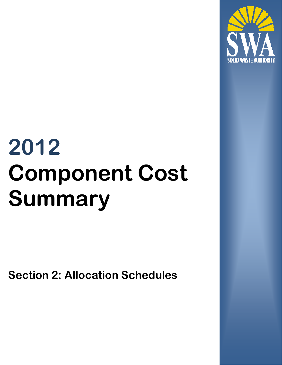

# **2012 Component Cost Summary**

**Section 2: Allocation Schedules**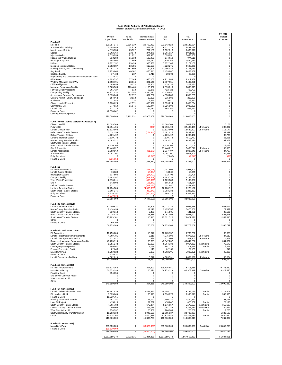#### **Solid Waste Authority of Palm Beach County Interest Expense Allocation Schedule - FY 2012**

|                                                                          | Project                     | Project                    | <b>Financial Costs</b>    | Total                    | Total                      |                          | FY 2012<br>Interest      |
|--------------------------------------------------------------------------|-----------------------------|----------------------------|---------------------------|--------------------------|----------------------------|--------------------------|--------------------------|
| <b>Fund 410</b>                                                          | Expenditure                 | Coordination               | Interest Income           | Cost                     | Investment                 | Notes                    | Expense                  |
| <b>NCRRRF</b><br><b>Administration Building</b>                          | 190,787,176<br>5,498,640    | 2,596,019<br>74,819        | 29.760.430<br>857,720     | 223.143.624<br>6.431.179 | 223, 143, 624<br>6,431,179 |                          | 0<br>0                   |
| Maintenance Building                                                     | 4,815,358                   | 65,522                     | 751,136                   | 5,632,016                | 5,632,016                  |                          | 0                        |
| Scales<br><b>Injection Wells</b>                                         | 1,762,164<br>6,013,239      | 23,978<br>81,821           | 274,876<br>937,991        | 2,061,017<br>7,033,051   | 2,061,017<br>7,033,051     |                          | 0<br>0                   |
| <b>Hazardous Waste Building</b><br>Interceptor System                    | 833,289<br>1,308,803        | 11,338<br>17,809           | 129,983<br>204,157        | 974,610<br>1,530,769     | 974,610<br>1,530,769       |                          | $\pmb{0}$<br>$\pmb{0}$   |
| Utilities                                                                | 6,132,132                   | 83,439                     | 956.536                   | 7,172,108                | 7,172,108                  |                          | 0                        |
| Electrical Interconnection<br>Parking, Roads, and Landscaping            | 3,952,887<br>11,281,716     | 53,786<br>153,509          | 616.601<br>1,759,808      | 4,623,275<br>13,195,033  | 4,623,275<br>13,195,033    |                          | 0<br>0                   |
| Jog Road                                                                 | 2,953,064                   | 40,182                     | 460,641                   | 3,453,887                | 3,453,887                  |                          | 0                        |
| Septage Facility<br>Engineering and Construction Management Fees         | 17,433<br>3.722.831         | 237<br>$\Omega$            | 2,719<br>$\Omega$         | 20,390<br>$\Omega$       | 20,390<br>$\Omega$         |                          | 0<br>$\mathsf 0$         |
| 45th Street                                                              | 4,199,737<br>2.058.791      | 57.145                     | 655,107<br>321.146        | 4,911,989                | 4,911,989                  |                          | 0                        |
| Wetland Mitigation and SWM<br>Offsite Mitigation                         | 409,659                     | 28,014<br>5,574            | 63,902                    | 2,407,951<br>479,135     | 2,407,951<br>479,135       |                          | 0<br>0                   |
| Materials Processing Facility<br>Ferrous Metal Processing                | 7,603,506<br>361,427        | 103,460<br>4,918           | 1,186,052<br>56,378       | 8,893,019<br>422,723     | 8,893,019<br>422,723       |                          | 0<br>0                   |
| <b>Composting Facility</b>                                               | 14,937,534                  | 203,253                    | 2,330,070                 | 17,470,857               | 17,470,857                 |                          | 0                        |
| Assessment Program Development<br>General Admin., Engin., and Legal      | 3,893,046<br>184.662        | 52,972<br>2,513            | 607,267<br>28,805         | 4,553,285<br>215.980     | 4,553,285<br>215,980       |                          | $\pmb{0}$<br>0           |
| Ironhorse<br>Class I Landfill Expansion                                  | 17,024<br>3,128,626         | 232<br>42,571              | 2,656<br>488,027          | 19,911<br>3,659,224      | 19,911<br>3,659,224        |                          | 0<br>0                   |
| Commercial MRF                                                           | 877,919                     | 11,946                     | 136,944                   | 1,026,809                | 1,026,809                  |                          | 0                        |
| Landfill Gas<br><b>Financial Costs</b>                                   | 571,275<br>42,678,062       | 7,773<br>$\Omega$          | 89,112<br>$\mathbf 0$     | 668,160<br>$\Omega$      | 668,160<br>$\Omega$        |                          | 0<br>$\mathsf 0$         |
| Contingency/Unexpended                                                   | $^{\circ}$                  | 0                          | 0                         | 0                        | $\Omega$                   |                          | 0                        |
|                                                                          | 320,000,000                 | 3,722,831                  | 42,678,062                | 320,000,000              | 320,000,000                |                          | 0                        |
| Fund 401/411 (Series 1985/1989/1992/1998A)<br>Closed Landfill            | 12,609,509                  | $\bf{0}$                   | 0                         | 12,609,509               | 12,609,509                 |                          | 110.168                  |
| <b>Future Site</b>                                                       | 32.494.495                  | 0                          | (996)                     | 32,493,499               | 32,493,499                 | LF Volume                | 283,892                  |
| <b>Landfill Construction</b><br><b>Belle Glade Transfer Station</b>      | 13,522,802<br>5,634,259     | 0<br>0                     | 0<br>(151, 844)           | 13,522,802<br>5.482.415  | 13,522,802<br>5,482,415    | LF Volume                | 118,147<br>47,899        |
| <b>Delray Transfer Station</b>                                           | 4,209,492                   | 0                          | 0                         | 4,209,492                | 4,209,492                  |                          | 36,778                   |
| Lantana Transfer Station<br>North County Transfer Station                | 7,510,772<br>9,483,521      | 0<br>0                     | 0<br>$\mathbf 0$          | 7,510,772<br>9,483,521   | 7,510,772<br>9,483,521     |                          | 65,621<br>82,857         |
| Southwest Transfer Station<br>West Central Transfer Station              | $\Omega$<br>8,710,105       | $\mathbf 0$<br>0           | $\Omega$<br>0             | $\Omega$<br>8.710.105    | $\Omega$<br>8,710,105      |                          | $^{\circ}$<br>76,099     |
| Site 7 Acquisition                                                       | 17,446,227                  | 0                          | 0                         | 17,446,227               | 17,435,776                 | LF Volume                | 152.335                  |
| Landfill Modification<br>Administration                                  | 2,898,569<br>4,001,201      | 0<br>$\mathbf 0$           | (81,072)<br>0             | 2,817,497<br>4,001,201   | 2,827,948<br>4,001,201     | LF Volume                | 24,707<br>34,958         |
| <b>Fully Amortized</b>                                                   | $^{\circ}$                  | 0                          | (2,040)                   | (2,040)                  | (2,040)                    |                          | (18)                     |
| <b>Financial Costs</b>                                                   | (235.952)<br>118,285,000    | 0<br>0                     | 0<br>(235, 952)           | 0<br>118,285,000         | $\Omega$<br>118,285,000    |                          | $\mathbf 0$<br>1,033,443 |
| <b>Fund 412</b>                                                          |                             |                            |                           |                          |                            |                          |                          |
| <b>NCRRRF</b> Warehouse                                                  | 2,368,351                   | 0                          | (426, 748)                | 1,941,603                | 1,941,603                  |                          | 0                        |
| Landfill Gas to Electric<br>Interceptor System                           | 16,839<br>137,590           | 0<br>$\mathbf 0$           | (3,034)<br>(24, 792)      | 13,805<br>112,798        | 13,805<br>112,798          |                          | 0<br>$\mathsf 0$         |
| <b>Compost Facility</b>                                                  | 5,103,287                   | $\mathbf 0$                | (919, 549)                | 4,183,738                | 4,183,738                  |                          | $\pmb{0}$                |
| Yard Waste Processing<br>Site 7                                          | 2,573,011<br>842,893        | 0<br>0                     | (463, 625)<br>(151, 879)  | 2,109,386<br>691,014     | 2,109,386<br>691,014       |                          | 0<br>0                   |
| <b>Delray Transfer Station</b>                                           | 1,771,121                   | 0<br>0                     | (319, 134)                | 1,451,987                | 1,451,987                  |                          | 0<br>0                   |
| Lantana Transfer Station<br>South West Transfer Station                  | 22,234,505<br>1,565,275     | 0                          | (4,006,383)<br>(282, 043) | 18,228,122<br>1,283,232  | 18,228,122<br>1,283,232    |                          | 0                        |
| <b>Fully Amortized</b><br><b>Financial Costs</b>                         | 4,719,757<br>(7, 447, 628)  | $\mathbf 0$<br>0           | (850, 442)<br>$^{\circ}$  | 3,869,315<br>0           | 3,869,315<br>$\Omega$      |                          | $\pmb{0}$<br>0           |
|                                                                          | 33,885,000                  | 0                          | (7, 447, 628)             | 33,885,000               | 33,885,000                 |                          | 0                        |
| <b>Fund 409 (Series 2002B)</b>                                           |                             |                            |                           |                          |                            |                          |                          |
| Lantana Transfer Station<br>North County Transfer Station                | 17,940,631<br>2,414,439     | 0<br>$\mathbf 0$           | 82,604<br>11.117          | 18,023,235<br>2,425,556  | 18,023,235<br>2,425,556    |                          | 951,047<br>127,991       |
| South County Transfer Station                                            | 539,318                     | 0                          | 2,483                     | 541.801                  | 541,801                    |                          | 28,590                   |
| West Central Transfer Station<br>South West Transfer Station             | 9,915,438<br>25,703,181     | 0<br>0                     | 45.654<br>118,345         | 9,961,092<br>25,821,526  | 9,961,092<br>25,821,526    |                          | 525.625<br>1,362,546     |
| Other<br><b>Financial Costs</b>                                          | 0                           | 0<br>0                     | $^{\circ}$                | $^{\circ}$               | $\mathbf 0$<br>$\mathbf 0$ |                          | 0                        |
|                                                                          | 260,202<br>56,773,209       | 0                          | 0<br>260,202              | 0<br>56,773,209          | 56,773,209                 |                          | 0<br>2,995,799           |
| Fund 408 (2008 Bank Loan)                                                |                             |                            |                           |                          |                            |                          |                          |
| Fill Acquisition                                                         | 10,750,205                  | 0                          | 15,547                    | 10,765,752               | 10,765,752                 |                          | 83,938                   |
| Landfill Infrastructure Improvements<br>Landfill Gas System Expansion    | 4,368,781<br>571,077        | 0<br>0                     | 6,318<br>826              | 4,375,099<br>571,903     | 4,375,099<br>571,903       | LF Volume<br>LF Volume   | 34,112<br>4,459          |
| Recovered Materials Processing Facility<br>South County Transfer Station | 43,783,916<br>9,051,242     | $\mathbf 0$<br>$\mathbf 0$ | 63,321<br>13,090          | 43,847,237<br>9,064,332  | 43,847,237<br>9,064,332    | Incomplete               | 341,867<br>70,673        |
| Contingency/Unexpended                                                   | 800.561                     | 0                          | 1,158                     | 801,719                  | 801,719                    | Admin.                   | 6,251                    |
| Ferrous Processing Facility<br>Mass Burn Plant                           | 82,046<br>5,793,822         | 0<br>0                     | 119<br>8,379              | 82,165<br>5,802,201      | 82,165<br>5,802,201        | Incomplete               | 641<br>45,238            |
| <b>Financial Costs</b>                                                   | 115,531                     | $\mathbf 0$<br>0           | $^{\circ}$                | $\Omega$                 | $^{\circ}$<br>4,689,591    |                          | $\mathbf 0$              |
| <b>Landfill Operations Building</b>                                      | 4,682,819<br>80,000,000     | 0                          | 6,772<br>115,531          | 4,689,591<br>80,000,000  | 80,000,000                 | LF Volume                | 36,564<br>623,742        |
| <b>Fund 416 (Series 2009)</b>                                            |                             |                            |                           |                          |                            |                          |                          |
| <b>NCRRF Refurbishment</b>                                               | 179,122,352                 | 0                          | 294,329                   | 179,416,681              | 179,416,681                |                          | 9,776,810                |
| Mass Burn Facility<br><b>Financial Costs</b>                             | 60,873,293<br>394,355       | 0<br>$\mathbf 0$           | 100,026<br>0              | 60,973,319<br>$^{\circ}$ | 60,973,319<br>$\mathbf 0$  | Capitalize               | 3,322,570<br>0           |
| Site Seven Common Areas<br>West County Landfill                          | $\Omega$<br>0               | $\mathbf 0$<br>0           | $\pmb{0}$<br>0            | $\Omega$<br>0            | $\bf{0}$<br>$\bf{0}$       |                          | 0<br>0                   |
| Other                                                                    | $\mathbf 0$                 | $\bf{0}$                   | $\pmb{0}$                 | $\Omega$                 | $\mathbf 0$                |                          | $\mathbf 0$              |
|                                                                          | 240,390,000                 | 0                          | 394,355                   | 240,390,000              | 240,390,000                |                          | 13,099,380               |
| <b>Fund 417 (Series 2008)</b><br>Landfill Cell Development - Hold        | 16,667,520                  | $\bf{0}$                   | 2,481,657                 | 19,149,177               | 19,149,177                 | Admin.                   | 1,171,508                |
| Fill Hatcher - Hold                                                      | 7,825,000                   | $\bf{0}$                   | 1,165,078                 | 8,990,078                | 8,990,078                  | Admin.                   | 549,995                  |
| <b>Financial Costs</b><br>Winding Waters Fill Material                   | 15,339,765<br>1,297,187     | 0<br>0                     | $\Omega$<br>193,140       | $\Omega$<br>1,490,327    | $\Omega$<br>1,490,327      |                          | $^{\circ}$<br>91,175     |
| Lake Fill Project                                                        | 415,010                     | 0                          | 61,792                    | 476,802                  | 476,802                    | Admin.                   | 29,170                   |
| South County Tranfer Station<br>Central County Transfer Station          | 4,505,783<br>2,000,000      | 0<br>$\mathbf 0$           | 670,874<br>297,784        | 5,176,657<br>2,297,784   | 5,176,657<br>2,297,784     | Incomplete<br>Incomplete | 316,697<br>140,574       |
| West County Landfill<br>Southwest County Transfer Station                | 174,332<br>19,763,338       | $\mathbf 0$<br>0           | 25,957<br>2,942,599       | 200,289<br>22,705,937    | 200,289<br>22,705,937      | Admin.                   | 12,253<br>1,389,103      |
| Other                                                                    | 50,378,104                  | 0                          | 7,500,885                 | 57,878,989               | 57,878,989                 | Admin.                   | 3,540,919                |
|                                                                          | 118,366,039                 | 0                          | 15,339,765                | 118,366,039              | 118,366,040                |                          | 7,241,394                |
| <b>Fund 418 (Series 2011)</b>                                            |                             |                            |                           |                          |                            |                          |                          |
| Mass Burn Plant<br><b>Financial Costs</b>                                | 639,680,000<br>(39,820,000) | $\bf{0}$                   | (39, 820, 000)            | 599,860,000              | 599,860,000                | Capitalize               | 26,840,293               |
|                                                                          | 599,860,000                 | 0                          | (39, 820, 000)            | 599,860,000              | 599,860,000                |                          | 26,840,293               |
|                                                                          | 1,567,559,248               | 3,722,831                  | 11,284,335                | 1,567,559,248            | 1,567,559,250              |                          | 51,834,051               |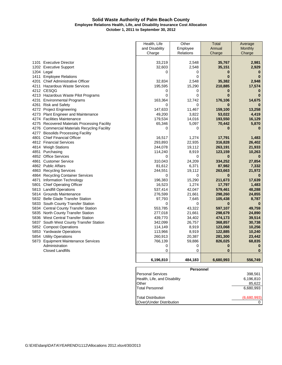#### **Solid Waste Authority of Palm Beach County Employee Relations Health, Life, and Disability Insurance Cost Allocation October 1, 2011 to September 30, 2012**

|      |                                              | Health, Life   | Other     | <b>Total</b> | Average  |
|------|----------------------------------------------|----------------|-----------|--------------|----------|
|      |                                              | and Disability | Employee  | Annual       | Monthly  |
|      |                                              | Charge         | Relations | Charge       | Charge   |
|      |                                              |                |           |              |          |
|      | 1101 Executive Director                      | 33,219         | 2,548     | 35,767       | 2,981    |
|      | 1202 Executive Support                       | 32,603         | 2,548     | 35,151       | 2,929    |
|      | 1204 Legal                                   | 0              | 0         | $\bf{0}$     | 0        |
|      | 1411 Employee Relations                      |                | 0         | $\bf{0}$     | $\bf{0}$ |
|      | 4201 Chief Administrative Officer            | 32,834         | 2,548     | 35,382       | 2,948    |
|      | 4211 Hazardous Waste Services                | 195,595        | 15,290    | 210,885      | 17,574   |
|      | 4212 CESQG                                   | 0              | 0         | $\bf{0}$     | O        |
|      | 4213 Hazardous Waste Pilot Programs          | 0              | 0         | O            |          |
|      | 4231 Environmental Programs                  | 163,364        | 12,742    | 176,106      | 14,675   |
| 4261 | <b>Risk and Safety</b>                       | 0              | 0         | 0            |          |
|      | 4272 Project Engineering                     | 147,633        | 11,467    | 159,100      | 13,258   |
|      | 4273 Plant Engineer and Maintenance          | 49,200         | 3,822     | 53,022       | 4,419    |
|      | 4274 Facilities Maintenance                  | 179,534        | 14,016    | 193,550      | 16,129   |
|      | 4275 Recovered Materials Processing Facility | 65,346         | 5,097     | 70,442       | 5,870    |
|      | 4276 Commercial Materials Recycling Facility | 0              | 0         |              |          |
|      | 4277 Biosolids Processing Facility           |                |           |              |          |
| 4801 | <b>Chief Financial Officer</b>               | 16,517         | 1,274     | 17,791       | 1,483    |
|      | 4812 Financial Services                      | 293,893        | 22,935    | 316,828      | 26,402   |
|      | 4814 Weigh Stations                          | 244,078        | 19,112    | 263,191      | 21,933   |
|      | 4851 Purchasing                              | 114,240        | 8,919     | 123,159      | 10,263   |
|      | 4852 Office Services                         | 0              | 0         | $\bf{0}$     | $\bf{0}$ |
| 4861 | <b>Customer Service</b>                      | 310,043        | 24,209    | 334,252      | 27,854   |
|      | 4862 Public Affairs                          | 81,612         | 6,371     | 87,982       | 7,332    |
|      | 4863 Recycling Services                      | 244,551        | 19,112    | 263,663      | 21,972   |
|      | 4864 Recycling Container Services            | 0              | 0         | $\bf{0}$     |          |
| 4871 | Information Technology                       | 196,383        | 15,290    | 211,673      | 17,639   |
| 5801 | <b>Chief Operating Officer</b>               | 16,523         | 1,274     | 17,797       | 1,483    |
|      | 5813 Landfill Operations                     | 537,414        | 42,047    | 579,461      | 48,288   |
|      | 5814 Grounds Maintenance                     | 276,599        | 21,661    | 298,260      | 24,855   |
|      | 5832 Belle Glade Transfer Station            | 97,793         | 7,645     | 105,438      | 8,787    |
|      | 5833 South County Transfer Station           | 0              | 0         | $\bf{0}$     | $\bf{0}$ |
|      | 5834 Central County Transfer Station         | 553,785        | 43,322    | 597,107      | 49,759   |
|      | 5835 North County Transfer Station           | 277,018        | 21,661    | 298,679      | 24,890   |
|      | 5836 West Central Transfer Station           | 439,770        | 34,402    | 474,173      | 39,514   |
|      | 5837 South West County Transfer Station      | 342,099        | 26,757    | 368,857      | 30,738   |
|      | 5852 Compost Operations                      | 114,149        | 8,919     | 123,068      | 10,256   |
|      | 5853 Yardwaste Operations                    | 113,966        | 8,919     | 122,885      | 10,240   |
|      | 5854 Utility Operations                      | 260,913        | 20,387    | 281,300      | 23,442   |
|      | 5873 Equipment Maintenance Services          | 766,139        | 59,886    | 826,025      | 68,835   |
|      | Administration                               | 0              | 0         | $\bf{0}$     | 0        |
|      | <b>Closed Landfills</b>                      | 0              | 0         | $\bf{0}$     | $\bf{0}$ |
|      |                                              |                |           |              |          |
|      |                                              | 6.196.810      | 484.183   | 6.680.993    | 556.749  |

| <b>Personnel</b>             |             |
|------------------------------|-------------|
| <b>Personal Services</b>     | 398.561     |
| Health, Life, and Disability | 6,196,810   |
| Other                        | 85.622      |
| Total Personnel              | 6,680,993   |
|                              |             |
| Total Distribution           | (6,680,993) |
| (Over)/Under Distribution    |             |
|                              |             |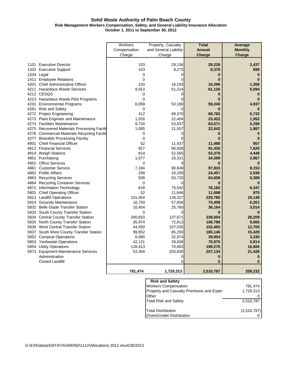#### **Solid Waste Authority of Palm Beach County Risk Management Workers Compensation, Safety, and General Liability Insurance Allocation October 1, 2011 to September 30, 2012**

|      |                                             | Workers      | Property, Casualty    | <b>Total</b>  | Average        |
|------|---------------------------------------------|--------------|-----------------------|---------------|----------------|
|      |                                             | Compensation | and General Liability | <b>Annual</b> | <b>Monthly</b> |
|      |                                             | Charge       | Charge                | Charge        | Charge         |
|      |                                             |              |                       |               |                |
| 1101 | <b>Executive Director</b>                   | 103          | 29,136                | 29,239        | 2,437          |
|      | 1202 Executive Support                      | 103          | 8,273                 | 8,376         | 698            |
|      | 1204 Legal                                  | 0            | 0                     | 0             | $\bf{0}$       |
| 1411 | <b>Employee Relations</b>                   | $\mathbf 0$  | 0                     | $\bf{0}$      | $\Omega$       |
| 4201 | <b>Chief Administrative Officer</b>         | 103          | 16,193                | 16,296        | 1,358          |
| 4211 | <b>Hazardous Waste Services</b>             | 9,913        | 51,214                | 61,126        | 5,094          |
|      | 4212 CESQG                                  | 0            | 0                     | O             |                |
|      | 4213 Hazardous Waste Pilot Programs         | $\Omega$     |                       |               |                |
|      | 4231 Environmental Programs                 | 6,059        | 53,180                | 59,240        | 4,937          |
| 4261 | <b>Risk and Safety</b>                      | 0            | 0                     |               |                |
|      | 4272 Project Engineering                    | 412          | 68,370                | 68,782        | 5,732          |
|      | 4273 Plant Engineer and Maintenance         | 1,018        | 22,404                | 23,422        | 1,952          |
|      | 4274 Facilities Maintenance                 | 9,734        | 53,837                | 63,571        | 5,298          |
|      | 4275 Recovered Materials Processing Facilit | 1,085        | 21,557                | 22,642        | 1,887          |
|      | 4276 Commercial Materials Recycling Facilit | 0            | 0                     | 0             | 0              |
|      | 4277 Biosolids Processing Facility          | $\mathbf 0$  | 0                     | 0             | $\bf{0}$       |
| 4801 | <b>Chief Financial Officer</b>              | 52           | 11,437                | 11,488        | 957            |
|      | 4812 Financial Services                     | 927          | 90,508                | 91,435        | 7,620          |
|      | 4814 Weigh Stations                         | 814          | 52,565                | 53,379        | 4,448          |
|      | 4851 Purchasing                             | 1,077        | 33,321                | 34,399        | 2,867          |
|      | 4852 Office Services                        | 0            | 0                     | 0             | $\bf{0}$       |
| 4861 | <b>Customer Service</b>                     | 7,184        | 90,649                | 97,833        | 8,153          |
|      | 4862 Public Affairs                         | 258          | 24,200                | 24,457        | 2,038          |
|      | 4863 Recycling Services                     | 938          | 63,720                | 64,658        | 5,388          |
|      | 4864 Recycling Container Services           | 0            | 0                     |               |                |
| 4871 | Information Technology                      | 618          | 75,542                | 76,160        | 6,347          |
| 5801 | <b>Chief Operating Officer</b>              | 52           | 11,646                | 11,698        | 975            |
|      | 5813 Landfill Operations                    | 101,454      | 128,327               | 229,780       | 19,148         |
|      | 5814 Grounds Maintenance                    | 16,750       | 57,658                | 74,408        | 6,201          |
|      | 5832 Belle Glade Transfer Station           | 10,404       | 25,760                | 36,164        | 3,014          |
|      | 5833 South County Transfer Station          | $\Omega$     | 0                     | $\bf{0}$      |                |
|      | 5834 Central County Transfer Station        | 200,833      | 137,671               | 338,504       | 28,209         |
|      | 5835 North County Transfer Station          | 35,974       | 72,813                | 108,788       | 9,066          |
|      | 5836 West Central Transfer Station          | 44,930       | 107,535               | 152,465       | 12,705         |
|      | 5837 South West County Transfer Station     | 99,852       | 85,293                | 185,146       | 15,429         |
|      | 5852 Compost Operations                     | 6,980        | 32,974                | 39,954        | 3,330          |
|      | 5853 Yardwaste Operations                   | 42,131       | 28,839                | 70,970        | 5,914          |
|      | 5854 Utility Operations                     | 128,413      | 70,863                | 199,276       | 16,606         |
|      | 5873 Equipment Maintenance Services         | 53,304       | 203,830               | 257,134       | 21,428         |
|      | Administration                              |              | 0                     | 0             |                |
|      | <b>Closed Landfill</b>                      |              | 0                     | $\bf{0}$      | $\bf{0}$       |
|      |                                             | 781,474      | 1,729,313             | 2,510,787     | 209,232        |

| <b>Risk and Safety</b>                   |             |
|------------------------------------------|-------------|
| <b>Workers Compensation</b>              | 781,474     |
| Property and Casualty Premiums and Exper | 1,729,313   |
| Other                                    |             |
| <b>Total Risk and Safety</b>             | 2,510,787   |
| <b>Total Distribution</b>                | (2,510,787) |
| (Over)/Under Distribution                |             |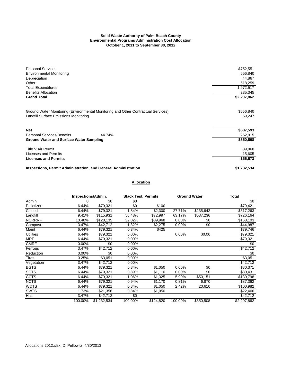#### **Solid Waste Authority of Palm Beach County Environmental Programs Administration Cost Allocation October 1, 2011 to September 30, 2012**

| <b>Personal Services</b>                                                                                                          | \$752,551           |
|-----------------------------------------------------------------------------------------------------------------------------------|---------------------|
| <b>Environmental Monitoring</b>                                                                                                   | 656,840             |
| Depreciation                                                                                                                      | 44,867              |
| Other                                                                                                                             | 518,259             |
| <b>Total Expenditures</b>                                                                                                         | 1,972,517           |
| <b>Benefits Allocation</b>                                                                                                        | 235,345             |
| <b>Grand Total</b>                                                                                                                | \$2,207,862         |
| Ground Water Monitoring (Environmental Monitoring and Other Contractual Services)<br><b>Landfill Surface Emissions Monitoring</b> | \$656,840<br>69,247 |
| <b>Net</b>                                                                                                                        | \$587,593           |
| <b>Personal Services/Benefits</b><br>44.74%                                                                                       | 262,915             |
| <b>Ground Water and Surface Water Sampling</b>                                                                                    | \$850,508           |
| Title V Air Permit                                                                                                                | 39,968              |
| Licenses and Permits                                                                                                              | 15,605              |
| <b>Licenses and Permits</b>                                                                                                       | \$55,573            |
| <b>Inspections, Permit Administration, and General Administration</b>                                                             | \$1,232,534         |

#### **Allocation**

|                  | <b>Inspections/Admin.</b> |             | <b>Stack Test, Permits</b> |           |          | <b>Ground Water</b> | Total       |  |  |
|------------------|---------------------------|-------------|----------------------------|-----------|----------|---------------------|-------------|--|--|
| Admin            | 0                         | \$0         | \$0                        |           |          |                     | \$0         |  |  |
| Pelletizer       | 6.44%                     | \$79,321    | \$0                        | \$100     |          |                     | \$79,421    |  |  |
| Closed           | 6.44%                     | \$79,321    | 1.84%                      | \$2,300   | 27.71%   | \$235,642           | \$317,263   |  |  |
| Landfill         | 9.41%                     | \$115,931   | 58.48%                     | \$72,997  | 63.17%   | \$537,236           | \$726,164   |  |  |
| <b>NCRRRF</b>    | 10.40%                    | \$128,135   | 32.02%                     | \$39,968  | $0.00\%$ | \$0                 | \$168,103   |  |  |
| Compost          | 3.47%                     | \$42,712    | 1.82%                      | \$2,275   | $0.00\%$ | \$0                 | \$44,987    |  |  |
| Maint            | 6.44%                     | \$79,321    | 0.34%                      | \$425     |          |                     | \$79,746    |  |  |
| <b>Utilities</b> | 6.44%                     | \$79,321    | 0.00%                      |           | 0.00%    | \$0.00              | \$79,321    |  |  |
| <b>MRF</b>       | 6.44%                     | \$79,321    | 0.00%                      |           |          |                     | \$79,321    |  |  |
| <b>CMRF</b>      | 0.00%                     | \$0         | $0.00\%$                   |           |          |                     | \$0         |  |  |
| Ferrous          | 3.47%                     | \$42,712    | $0.00\%$                   |           |          |                     | \$42,712    |  |  |
| Reduction        | 0.00%                     | \$0         | $0.00\%$                   |           |          |                     | \$0         |  |  |
| Tires            | 0.25%                     | \$3,051     | 0.00%                      |           |          |                     | \$3,051     |  |  |
| Vegetation       | 3.47%                     | \$42,712    | 0.00%                      |           |          |                     | \$42,712    |  |  |
| <b>BGTS</b>      | 6.44%                     | \$79,321    | 0.84%                      | \$1,050   | $0.00\%$ | \$0                 | \$80,371    |  |  |
| <b>SCTS</b>      | 6.44%                     | \$79,321    | 0.89%                      | \$1,110   | $0.00\%$ | \$0                 | \$80,431    |  |  |
| <b>CCTS</b>      | 6.44%                     | \$79,321    | 1.06%                      | \$1,325   | 5.90%    | \$50,151            | \$130,798   |  |  |
| <b>NCTS</b>      | 6.44%                     | \$79,321    | 0.94%                      | \$1,170   | 0.81%    | 6,870               | \$87,362    |  |  |
| <b>WCTS</b>      | 6.44%                     | \$79,321    | 0.84%                      | \$1,050   | 2.42%    | 20,610              | \$100,982   |  |  |
| <b>SWTS</b>      | 1.73%                     | \$21,356    | 0.84%                      | \$1,050   |          |                     | \$22,406    |  |  |
| Haz              | 3.47%                     | \$42,712    | \$0                        |           |          |                     | \$42,712    |  |  |
|                  | 100.00%                   | \$1,232,534 | 100.00%                    | \$124,820 | 100.00%  | \$850,508           | \$2,207,862 |  |  |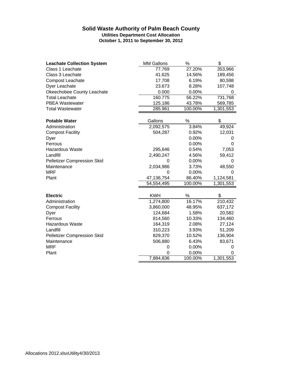#### **Solid Waste Authority of Palm Beach County Utilities Department Cost Allocation October 1, 2011 to September 30, 2012**

| <b>Leachate Collection System</b>  | <b>MM Gallons</b> | $\%$    | \$        |
|------------------------------------|-------------------|---------|-----------|
| Class 1 Leachate                   | 77.769            | 27.20%  | 353,966   |
| Class 3 Leachate                   | 41.625            | 14.56%  | 189,456   |
| <b>Compost Leachate</b>            | 17.708            | 6.19%   | 80,598    |
| Dyer Leachate                      | 23.673            | 8.28%   | 107,748   |
| Okeechobee County Leachate         | 0.000             | 0.00%   | 0         |
| <b>Total Leachate</b>              | 160.775           | 56.22%  | 731,768   |
| <b>PBEA Wastewater</b>             | 125.186           | 43.78%  | 569,785   |
| <b>Total Wastewater</b>            | 285.961           | 100.00% | 1,301,553 |
|                                    |                   |         |           |
| <b>Potable Water</b>               | Gallons           | $\%$    | \$        |
| Administration                     | 2,092,575         | 3.84%   | 49,924    |
| <b>Compost Facility</b>            | 504,287           | 0.92%   | 12,031    |
| Dyer                               |                   | 0.00%   | 0         |
| Ferrous                            |                   | 0.00%   | $\Omega$  |
| Hazardous Waste                    | 295,646           | 0.54%   | 7,053     |
| Landfill                           | 2,490,247         | 4.56%   | 59,412    |
| <b>Pelletizer Compression Skid</b> | 0                 | 0.00%   | 0         |
| Maintenance                        | 2,034,986         | 3.73%   | 48,550    |
| <b>MRF</b>                         | 0                 | 0.00%   | 0         |
| Plant                              | 47,136,754        | 86.40%  | 1,124,581 |
|                                    | 54,554,495        | 100.00% | 1,301,553 |
| <b>Electric</b>                    | <b>KWH</b>        | $\%$    | \$        |
| Administration                     | 1,274,800         | 16.17%  | 210,432   |
| <b>Compost Facility</b>            | 3,860,000         | 48.95%  | 637,172   |
|                                    | 124,684           | 1.58%   | 20,582    |
| Dyer<br>Ferrous                    |                   | 10.33%  |           |
|                                    | 814,560           |         | 134,460   |
| <b>Hazardous Waste</b>             | 164,319           | 2.08%   | 27,124    |
| Landfill                           | 310,223           | 3.93%   | 51,209    |
| <b>Pelletizer Compression Skid</b> | 829,370           | 10.52%  | 136,904   |
| Maintenance                        | 506,880           | 6.43%   | 83,671    |
| <b>MRF</b>                         | 0                 | 0.00%   | 0         |
| Plant                              | 0                 | 0.00%   | 0         |
|                                    | 7,884,836         | 100.00% | 1,301,553 |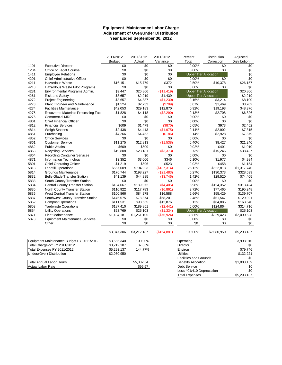#### **Equipment Maintenance Labor Charge Year Ended September 30, 2012 Adjustment of Over/Under Distribution**

|                          |                                           | 2011/2012       | 2011/2012   | 2011/2012   | Percent                       | Distribution | Adjusted     |  |  |  |
|--------------------------|-------------------------------------------|-----------------|-------------|-------------|-------------------------------|--------------|--------------|--|--|--|
|                          |                                           | <b>Budget</b>   | Actual      | Variance    | Total                         | Correction   | Distribution |  |  |  |
| 1101                     | <b>Executive Director</b>                 | $\overline{50}$ | \$0         | \$0         | 0.00%                         | \$0          | \$0          |  |  |  |
| 1204                     | Office of Legal Counsel                   | \$0             | \$0         | \$0         | 0.00%                         | \$0          | \$0          |  |  |  |
| 1411                     | <b>Employee Relations</b>                 | \$0             | \$0         | \$0         | <b>Upper Tier Allocation</b>  |              | \$0          |  |  |  |
| 4201                     | <b>Chief Administrative Officer</b>       | \$0             | \$0         | \$0         | 0.00%                         | \$0          | \$0          |  |  |  |
| 4211                     | <b>Hazardous Waste</b>                    | \$16,151        | \$15,779    | \$372       | 0.50%                         | \$10,378     | \$26,157     |  |  |  |
| 4213                     | Hazardous Waste Pilot Programs            | \$0             | \$0         | \$0         | 0.00%                         | \$0          | \$0          |  |  |  |
| 4231                     | Environmental Programs Admin.             | \$9,447         | \$20,866    | (\$11,419)  | <b>Upper Tier Allocation</b>  |              | \$20,866     |  |  |  |
| 4261                     | <b>Risk and Safety</b>                    | \$3,657         | \$2,219     | \$1,439     | <b>Upper Tier Allocation</b>  |              | \$2,219      |  |  |  |
| 4272                     | <b>Project Engineering</b>                | \$3,657         | \$4,887     | (\$1,230)   | 0.15%                         | \$3,214      | \$8,100      |  |  |  |
| 4273                     | <b>Plant Engineer and Maintenance</b>     | \$1,524         | \$2,233     | (\$709)     | 0.07%                         | \$1,469      | \$3,702      |  |  |  |
| 4274                     | <b>Facilities Maintenance</b>             | \$42,053        | \$29,183    | \$12,870    | 0.92%                         | \$19,193     | \$48,376     |  |  |  |
| 4275                     | Recovered Materials Processing Faci       | \$1,828         | \$4,118     | (\$2,290)   | 0.13%                         | \$2,708      | \$6,826      |  |  |  |
| 4276                     | <b>Commercial MRF</b>                     | \$0             | \$0         | \$0         | 0.00%                         | \$0          | \$0          |  |  |  |
| 4801                     | <b>Chief Financial Officer</b>            | \$0             | \$0         | \$0         | 0.00%                         | \$0          | \$0          |  |  |  |
| 4812                     | <b>Financial Services</b>                 | \$609           | \$1,479     | (S870)      | 0.05%                         | \$973        | \$2,452      |  |  |  |
| 4814                     | <b>Weigh Stations</b>                     | \$2,438         | \$4,413     | (\$1,975)   | 0.14%                         | \$2,902      | \$7,315      |  |  |  |
| 4851                     | Purchasing                                | \$4,266         | \$4,452     | (\$186)     | 0.14%                         | \$2,928      | \$7,379      |  |  |  |
| 4852                     | <b>Office Services</b>                    | \$0             | \$0         | \$0         | 0.00%                         | \$0          | \$0          |  |  |  |
| 4861                     | <b>Customer Service</b>                   | \$11,275        | \$12,813    | (\$1,538)   | 0.40%                         | \$8,427      | \$21,240     |  |  |  |
| 4862                     | <b>Public Affairs</b>                     | \$609           | \$609       | \$0         | 0.02%                         | \$401        | \$1,010      |  |  |  |
| 4863                     | <b>Recycling Services</b>                 | \$19,808        | \$23,181    | ( \$3,373)  | 0.73%                         | \$15,246     | \$38,427     |  |  |  |
| 4864                     | <b>Recycling Container Services</b>       | \$0             | \$0         | \$0         | 0.00%                         | \$0          | \$0          |  |  |  |
| 4871                     | Information Technology                    | \$3,352         | \$3,006     | \$346       | 0.10%                         | \$1,977      | \$4,984      |  |  |  |
| 5801                     | <b>Chief Operating Officer</b>            | \$1,219         | \$696       | \$523       | 0.02%                         | \$458        | \$1,154      |  |  |  |
| 5813                     | <b>Landfill Operations</b>                | \$657,609       | \$794,923   | (\$137,314) | 25.12%                        | \$522,818    | \$1,317,740  |  |  |  |
| 5814                     | <b>Grounds Maintenance</b>                | \$176,744       | \$198,227   | (\$21,483)  | 6.27%                         | \$130,373    | \$328,599    |  |  |  |
| 5832                     | <b>Belle Glade Transfer Station</b>       | \$41,139        | \$44,885    | (\$3,746)   | 1.42%                         | \$29,520     | \$74,405     |  |  |  |
| 5833                     | South County Transfer Station             | \$0             | \$0         | \$0         | 0.00%                         | \$0          | \$0          |  |  |  |
| 5834                     | <b>Central County Transfer Station</b>    | \$184,667       | \$189,072   | (\$4,405)   | 5.98%                         | \$124,352    | \$313,424    |  |  |  |
| 5835                     | North County Transfer Station             | \$110,922       | \$117,783   | (\$6,861)   | 3.72%                         | \$77,465     | \$195,248    |  |  |  |
| 5836                     | <b>West Central Transfer Station</b>      | \$100,866       | \$84,278    | \$16,588    | 2.66%                         | \$55,429     | \$139,707    |  |  |  |
| 5837                     | Southwest County Transfer Station         | \$146,575       | \$78,374    | \$68,201    | 2.48%                         | \$51,547     | \$129,921    |  |  |  |
| 5852                     | <b>Compost Operations</b>                 | \$111,531       | \$98,655    | \$12,876    | 3.12%                         | \$64,885     | \$163,540    |  |  |  |
| 5853                     | <b>Yardwaste Operations</b>               | \$187,410       | \$189,851   | (\$2,441)   | 6.00%                         | \$124,864    | \$314,716    |  |  |  |
| 5854                     | <b>Utility Operations</b>                 | \$23,769        | \$25,103    | (\$1,334)   | <b>Upper Tier Allocation</b>  |              | \$25,103     |  |  |  |
| 5871                     | <b>Fleet Maintenance</b>                  | \$1,184,181     | \$1,261,105 | (\$76,924)  | 39.86%                        | \$829,423    | \$2,090,528  |  |  |  |
| 5873                     | <b>Equipment Maintenance Services</b>     | \$0             | \$0         | \$0         | 0.00%                         | \$0          | \$0          |  |  |  |
|                          | Other                                     | \$0             | \$0         | \$0         | \$0                           | \$0          | \$0          |  |  |  |
|                          |                                           | \$3,047,306     | \$3,212,187 | (\$164,881) | 100.00%                       | \$2,080,950  | \$5,293,137  |  |  |  |
|                          | Equipment Maintenance Budget FY 2011/2012 | \$3,656,340     | 100.00%     |             | Operating                     |              | 3,998,010    |  |  |  |
|                          | Total Charge-off FY 2011/2012             | \$3,212,187     | 87.85%      |             | Director                      |              | \$0          |  |  |  |
|                          | Total Expenses FY 2011/2012               | \$5,293,137     | 144.77%     |             | Environ                       |              | \$79,746     |  |  |  |
|                          | Under/(Over) Distribution                 | \$2,080,950     |             |             | <b>Utilities</b>              |              |              |  |  |  |
|                          |                                           |                 |             |             | <b>Facilities and Grounds</b> |              | \$0          |  |  |  |
|                          | <b>Total Annual Labor Hours</b>           |                 | 55,382.54   |             | <b>Benefits Allocation</b>    |              | \$1,083,159  |  |  |  |
| <b>Actual Labor Rate</b> |                                           |                 | \$95.57     |             | <b>Debt Service</b>           |              | \$0          |  |  |  |
|                          |                                           |                 |             |             | Less 401/410 Depreciation     |              | \$0          |  |  |  |

Total Expenses \$5,293,137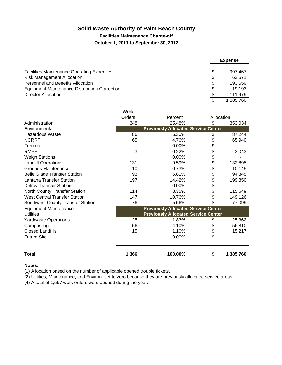# **Solid Waste Authority of Palm Beach County**

**Facilities Maintenance Charge-off**

#### **October 1, 2011 to September 30, 2012**

|                                                      |     | <b>Expense</b> |
|------------------------------------------------------|-----|----------------|
| <b>Facilities Maintenance Operating Expenses</b>     | \$  | 997.467        |
| <b>Risk Management Allocation</b>                    | \$  | 63.571         |
| Personnel and Benefits Allocation                    | \$  | 193.550        |
| <b>Equipment Maintenance Distribution Correction</b> | \$  | 19.193         |
| Director Allocation                                  | \$  | 111,979        |
|                                                      | \$. | 1.385.760      |

|                                      | Work   |                                            |            |           |
|--------------------------------------|--------|--------------------------------------------|------------|-----------|
|                                      | Orders | Percent                                    | Allocation |           |
| Administration                       | 348    | 25.48%                                     | \$         | 353,034   |
| Environmental                        |        | <b>Previously Allocated Service Center</b> |            |           |
| <b>Hazardous Waste</b>               | 86     | 6.30%                                      | \$         | 87,244    |
| <b>NCRRF</b>                         | 65     | 4.76%                                      | \$         | 65,940    |
| Ferrous                              |        | 0.00%                                      | \$         |           |
| <b>RMPF</b>                          | 3      | 0.22%                                      | \$         | 3,043     |
| <b>Weigh Stations</b>                |        | 0.00%                                      | \$         |           |
| <b>Landfill Operations</b>           | 131    | 9.59%                                      | \$         | 132,895   |
| <b>Grounds Maintenance</b>           | 10     | 0.73%                                      | \$         | 10,145    |
| <b>Belle Glade Transfer Station</b>  | 93     | 6.81%                                      | \$         | 94,345    |
| <b>Lantana Transfer Station</b>      | 197    | 14.42%                                     | \$         | 199,850   |
| <b>Delray Transfer Station</b>       |        | 0.00%                                      | \$         |           |
| North County Transfer Station        | 114    | 8.35%                                      | \$         | 115,649   |
| <b>West Central Transfer Station</b> | 147    | 10.76%                                     | \$         | 149,126   |
| Southwest County Transfer Station    | 76     | 5.56%                                      | \$         | 77,099    |
| <b>Equipment Maintenance</b>         |        | <b>Previously Allocated Service Center</b> |            |           |
| <b>Utilities</b>                     |        | <b>Previously Allocated Service Center</b> |            |           |
| <b>Yardwaste Operations</b>          | 25     | 1.83%                                      | \$         | 25,362    |
| Composting                           | 56     | 4.10%                                      | \$         | 56,810    |
| <b>Closed Landfills</b>              | 15     | 1.10%                                      | \$         | 15,217    |
| <b>Future Site</b>                   |        | 0.00%                                      | \$         |           |
| <b>Total</b>                         | 1,366  | 100.00%                                    | \$         | 1,385,760 |

#### **Notes:**

(1) Allocation based on the number of applicable opened trouble tickets.

(2) Utilities, Maintenance, and Environ. set to zero because they are previously allocated service areas.

(4) A total of 1,597 work orders were opened during the year.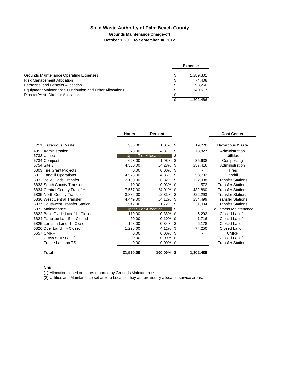# **Solid Waste Authority of Palm Beach County**

#### **Grounds Maintenance Charge-off**

**October 1, 2011 to September 30, 2012**

|                                                                 |    | <b>Expense</b> |
|-----------------------------------------------------------------|----|----------------|
| Grounds Maintenance Operating Expenses                          | \$ | 1.289.301      |
| <b>Risk Management Allocation</b>                               | \$ | 74.408         |
| Personnel and Benefits Allocation                               | \$ | 298.260        |
| <b>Equipment Maintenance Distribution and Other Allocations</b> | S  | 140.517        |
| Director/Asst. Director Allocation                              | \$ |                |
|                                                                 |    | 1.802.486      |

|                                    | <b>Hours</b>                 | <b>Percent</b> |     |           | <b>Cost Center</b>           |
|------------------------------------|------------------------------|----------------|-----|-----------|------------------------------|
|                                    |                              |                |     |           |                              |
| 4211 Hazardous Waste               | 336.00                       | 1.07% \$       |     | 19,220    | Hazardous Waste              |
| 4852 Administration                | 1,378.00                     | 4.37%          | \$  | 78,827    | Administration               |
| 5732 Utilities                     | <b>Upper Tier Allocation</b> |                | \$  |           | Utilities                    |
| 5734 Compost                       | 623.00                       | 1.98%          | \$  | 35,638    | Composting                   |
| 5754 Site 7                        | 4,500.00                     | 14.28%         | \$  | 257,416   | Administration               |
| 5803 Tire Grant Projects           | 0.00                         | $0.00\%$       | \$. |           | Tires                        |
| 5813 Landfill Operations           | 4,523.00                     | 14.35%         | \$. | 258,732   | Landfill                     |
| 5832 Belle Glade Transfer          | 2,150.00                     | 6.82%          | \$. | 122,988   | <b>Transfer Stations</b>     |
| 5833 South County Transfer         | 10.00                        | $0.03\%$       | \$  | 572       | <b>Transfer Stations</b>     |
| 5834 Central County Transfer       | 7,567.00                     | 24.01%         | \$. | 432,860   | <b>Transfer Stations</b>     |
| 5835 North County Transfer         | 3,886.00                     | 12.33% \$      |     | 222,293   | <b>Transfer Stations</b>     |
| 5836 West Central Transfer         | 4,449.00                     | 14.12% \$      |     | 254,499   | <b>Transfer Stations</b>     |
| 5837 Southwest Transfer Station    | 542.00                       | 1.72%          | S   | 31,004    | <b>Transfer Stations</b>     |
| 5873 Maintenance                   | <b>Upper Tier Allocation</b> |                | \$  |           | <b>Equipment Maintenance</b> |
| 5822 Belle Glade Landfill - Closed | 110.00                       | 0.35%          | \$. | 6,292     | <b>Closed Landfill</b>       |
| 5824 Pahokee Landfill - Closed     | 30.00                        | 0.10%          | \$  | 1,716     | <b>Closed Landfill</b>       |
| 5825 Lantana Landfill - Closed     | 108.00                       | 0.34%          | \$. | 6,178     | Closed Landfill              |
| 5826 Dyer Landfill - Closed        | 1,298.00                     | 4.12% \$       |     | 74,250    | Closed Landfill              |
| 5657 CMRF                          | 0.00                         | $0.00\%$ \$    |     |           | <b>CMRF</b>                  |
| <b>Cross State Landfill</b>        | 0.00                         | $0.00\%$ \$    |     |           | Closed Landfill              |
| <b>Future Lantana TS</b>           | 0.00                         | $0.00\%$ \$    |     |           | <b>Transfer Stations</b>     |
| <b>Total</b>                       | 31,510.00                    | 100.00% \$     |     | 1,802,486 |                              |

#### **Notes:**

(1) Allocation based on hours reported by Grounds Maintanance

(2) Utilities and Maintanance set at zero because they are previously allocated service areas.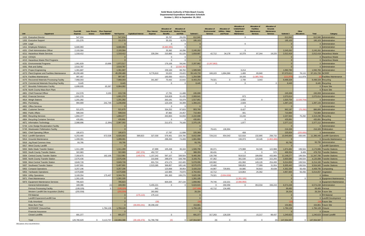#### **Solid Waste Authority of Palm Beach County Departmental Expenditure Allocation Schedule October 1, 2011 to September 30, 2012**

|                                                                   | <b>Fund 403</b>    | Less: Encum- Plus: Expensed |                    |                             | <b>Plus: Interest</b> | Allocation of<br>Personnel and | <b>Allocation of</b><br><b>Workers Comp.</b> |              | <b>Allocation of</b><br>Environmental | <b>Allocation of</b><br><b>Utilities - Water</b> | <b>Allocation of</b><br><b>Undistributed</b><br>Equipment | <b>Allocation of</b><br><b>Facilities</b><br>Maintenance | <b>Allocation of</b><br>Grounds<br>Maintenance |             | Other              |                   |                                              |
|-------------------------------------------------------------------|--------------------|-----------------------------|--------------------|-----------------------------|-----------------------|--------------------------------|----------------------------------------------|--------------|---------------------------------------|--------------------------------------------------|-----------------------------------------------------------|----------------------------------------------------------|------------------------------------------------|-------------|--------------------|-------------------|----------------------------------------------|
| Unit<br>Department                                                | Expense            | Fund 406/407<br>brance      | <b>Net Expense</b> | <b>Capitalized Interest</b> | Expense               | <b>Benefits</b>                | and Risk                                     | Subtotal 1   | <b>Services</b>                       | and Power                                        | Maintenance                                               | <b>Services</b>                                          | <b>Services</b>                                | Subtotal 2  | <b>Allocations</b> | Total             | Category                                     |
| 1101 Executive Director                                           | 547,934            |                             | 547,934            |                             |                       | 35,767                         | 29.239                                       | 612,940      |                                       |                                                  | $\Omega$                                                  |                                                          |                                                | 612,940     |                    |                   | 612,940 Administration                       |
| 1202 Executive Support                                            | 151,576            |                             | 151,576            |                             |                       | 35,151                         | 8,376                                        | 195,103      |                                       |                                                  |                                                           |                                                          |                                                | 195,103     |                    |                   | 195,103 Administration                       |
| 1204 Legal                                                        |                    |                             |                    |                             |                       | $\Omega$                       |                                              |              |                                       |                                                  | $\Omega$                                                  |                                                          |                                                |             |                    |                   | Administration                               |
| 1411 Employee Relations                                           | 6,680,993          |                             | 6,680,993          |                             |                       | (6,680,993)                    |                                              |              |                                       |                                                  |                                                           |                                                          |                                                |             |                    |                   | Administration                               |
| 4201 Chief Administrative Officer                                 | 2,193,584          |                             | 2,193,584          |                             |                       | 35,382                         | 16,296                                       | 2,245,262    |                                       |                                                  | $\overline{0}$                                            |                                                          |                                                | 2,245,262   |                    |                   | 2,245,262 Administration                     |
| 4211 Hazardous Waste Services                                     | 1,318,412          |                             | 1,318,412          |                             | 228,264               | 210,885                        | 61,126                                       | 1,818,687    | 42,712                                | 34,178                                           | 10,378                                                    | 87,244                                                   | 19,220                                         | 2,012,418   |                    |                   | 2,012,418 Hazardous Waste                    |
| 4212 CESQG                                                        |                    |                             |                    |                             |                       | $\Omega$                       |                                              |              |                                       |                                                  |                                                           |                                                          |                                                |             |                    |                   | <b>Hazardous Waste</b>                       |
| 4213 Hazardous Waste Pilot Programs                               |                    |                             | $\Omega$           |                             |                       | $\overline{0}$                 |                                              |              |                                       |                                                  |                                                           |                                                          |                                                |             |                    |                   | 0 Hazardous Waste                            |
| 4231 Environmental Programs                                       | 1,961,829          | 10,688                      | 1,972,517          |                             |                       | 176,106                        | 59,240                                       | 2,207,862    | (2,207,862)                           |                                                  |                                                           |                                                          |                                                |             |                    |                   | 0 Administration                             |
| 4261 Risk and Safety                                              | 2,510,787          |                             | 2,510,787          |                             |                       | $\Omega$                       | (2.510.78)                                   |              |                                       |                                                  |                                                           |                                                          |                                                |             |                    |                   | 0 Administration                             |
| 4272 Project Engineering                                          | 1,361,687          |                             | 1,361,687          |                             |                       | 159,100                        | 68,782                                       | 1,589,569    |                                       |                                                  | 3,214                                                     |                                                          |                                                | 1,592,783   |                    |                   | 1,592,783 Administration                     |
| 4273 Plant Engineer and Facilities Maintanance                    | 45,290,480         |                             | 45,290,480         |                             | 9,776,810             | 53,022                         | 23,422                                       | 55, 143, 733 | 168,103                               | 1,694,366                                        | 1,469                                                     | 65.940                                                   |                                                | 57,073,611  | 78,115             | 57,151,726 NCRRF  |                                              |
| 4274 Facilities Maintenance                                       | 997.467            |                             | 997,467            |                             |                       | 193,550                        | 63.571                                       | 1,254,588    |                                       |                                                  | 19.193                                                    | (1.385.760)                                              |                                                | (111.97     | 111.979            |                   | <b>Facilities Maintenance</b>                |
| 4275 Recovered Materials Processing Facility                      | 7,968,303          |                             | 7,968,303          |                             | 341,867               | 70,442                         | 22,642                                       | 8,403,254    | 79,321<br>$\Omega$                    | $\overline{0}$                                   | 2,708<br>$\Omega$                                         | 3,043                                                    |                                                | 8,488,328   |                    |                   | 8,488,328 Recycling                          |
| 4276 Commercial Materials Recycling Facility                      | 8,445<br>6,898,695 | 65,387                      | 8,445<br>6,964,082 |                             |                       | $\Omega$                       |                                              | 8,445        |                                       |                                                  |                                                           |                                                          |                                                | 8,445       |                    |                   | 8,445 Recycling<br><b>Future Site</b>        |
| 4277 Biosolids Pelletization Facility                             |                    |                             |                    |                             |                       |                                |                                              |              |                                       |                                                  |                                                           |                                                          |                                                |             |                    |                   |                                              |
| 4278 North County Mass Burn Plant<br>4801 Chief Financial Officer | 212,578            | 3,150                       | 215,728            |                             |                       | 17,791                         | 11,488                                       | 245,008      |                                       |                                                  |                                                           |                                                          |                                                | 245,008     |                    |                   | <b>Future Site</b><br>245,008 Administration |
| 4812 Financial Services                                           | 1,661,378          |                             | 1,661,378          |                             |                       | 316,828                        | 91,435                                       | 2,069,641    |                                       |                                                  | 973                                                       |                                                          |                                                | 2,070,614   |                    |                   | 2,070,614 Administration                     |
| 4814 Weigh Stations                                               | 1,201,282          |                             | 1,201,282          |                             |                       | 263,191                        | 53,379                                       | 1,517,851    |                                       |                                                  | 2,902                                                     | $\Omega$                                                 |                                                | 1,520,754   | (1,520,75)         |                   | Administration                               |
| 4851 Purchasing                                                   | 994,909            | 241,749                     | 1,236,658          |                             |                       | 123,159                        | 34,399                                       | 1,394,215    |                                       |                                                  | 2,928                                                     |                                                          |                                                | 1,397,143   |                    |                   | 1,397,143 Administration                     |
| 4852 Office Services                                              |                    |                             |                    |                             |                       | $\Omega$                       |                                              |              |                                       |                                                  | $\Omega$                                                  |                                                          |                                                |             |                    |                   | 0 Administration                             |
| 4861 Customer Service                                             | 521,675            |                             | 521,675            |                             |                       | 334,252                        | 97,833                                       | 953,760      |                                       |                                                  | 8,427                                                     |                                                          |                                                | 962,187     | (75.29)            |                   | 886,895 Administration                       |
| 4862 Public Affairs                                               | 598,044            |                             | 598,044            |                             |                       | 87,982                         | 24,457                                       | 710,484      |                                       |                                                  | 401                                                       |                                                          |                                                | 710,884     |                    |                   | 710,884 Administration                       |
| 4863 Recycling Services                                           | 1.894.377          |                             | 1,894,377          |                             |                       | 263,663                        | 64.658                                       | 2,222,698    |                                       |                                                  | 15.246                                                    |                                                          |                                                | 2,237,944   | 75.292             |                   | 2,313,236 Recycling                          |
| 4864 Recycling Container Services                                 | 435,891            |                             | 435,891            |                             |                       | $\Omega$                       |                                              | 435,891      |                                       |                                                  | $\Omega$                                                  |                                                          |                                                | 435,891     |                    |                   | 435,891 Recycling                            |
| 4871 Information Technology                                       | 2,088,696          | (1, 394)                    | 2,087,302          |                             |                       | 211,673                        | 76,160                                       | 2,375,135    |                                       |                                                  | 1,977                                                     |                                                          |                                                | 2,377,112   |                    |                   | 2,377,112 Administration                     |
| 5744 Lime Sludge Recalcination Facility                           |                    |                             |                    |                             |                       |                                |                                              |              |                                       |                                                  |                                                           |                                                          |                                                |             |                    |                   | Administration                               |
| 5745 Wastewater Pelletization Facility                            |                    |                             |                    |                             |                       |                                |                                              |              | 79,421                                | 136,904                                          |                                                           |                                                          |                                                | 216,326     |                    |                   | 216,326 Pelletization                        |
| 5801 Chief Operating Officer                                      | 195,873            |                             | 195,873            |                             |                       | 17,797                         | 11,698                                       | 225,368      |                                       |                                                  | 458                                                       |                                                          |                                                | 225,826     | (225, 826)         |                   | 0 Administration                             |
| 5813 Landfill Operations                                          | 6,253,465          | 672,538                     | 6,926,003          | 589,823                     | 327,030               | 579,461                        | 229,780                                      | 8,652,098    | 729,215                               | 654,043                                          | 522,818                                                   | 132.895                                                  | 258,732                                        | 10,949,800  | 436,645            |                   | 11,386,445 Landfill Operations               |
| 5814 Grounds Maintenance                                          | 1,289,301          |                             | 1,289,301          |                             |                       | 298,260                        | 74.408                                       | 1,661,968    |                                       |                                                  | 130,373                                                   | 10,145                                                   | (1,802,48)                                     |             |                    |                   | Grounds Maintenance                          |
| 5816 Jog Road Common Area                                         | 93,795             |                             | 93,795             |                             |                       |                                |                                              | 93,795       |                                       |                                                  |                                                           |                                                          |                                                | 93,795      |                    |                   | 93,795 Administration                        |
| 5817 West County Landfill                                         |                    |                             |                    |                             |                       |                                |                                              |              |                                       |                                                  |                                                           |                                                          |                                                |             |                    |                   | <b>Landfill Operations</b>                   |
| 5832 Belle Glade Transfer Station                                 | 1,311,289          |                             | 1,311,289          |                             | 47,899                | 105,438                        | 36,164                                       | 1,500,790    | 80,371                                |                                                  | 175,988                                                   | 94,345                                                   | 122,988                                        | 1,974,482   | 199,504            |                   | 2,173,986 Transfer Stations                  |
| 5833 South County Transfer Station                                | 322,983            |                             | 322,983            | (387, 370)                  | 452,737               | $\overline{0}$                 |                                              | 388,350      | 80,431                                |                                                  | $\overline{0}$                                            | $\mathbf{0}$                                             | 572                                            | 469,354     | 9,409              |                   | 478,763 Transfer Stations                    |
| 5834 Central County Transfer Station                              | 7,350,875          | 162,106                     | 7,512,981          | (140.574)                   | 1,157,242             | 597,107                        | 338,504                                      | 9,465,260    | 130,798                               |                                                  | 919,510                                                   | 199,850                                                  | 432,860                                        | 11,148,277  | 199,504            |                   | 11,347,780 Transfer Stations                 |
| 5835 North County Transfer Station                                | 2,575,436          |                             | 2,575,436          |                             | 210,848               | 298,679                        | 108,788                                      | 3,193,751    | 87,362                                |                                                  | 301,530                                                   | 115,649                                                  | 222,293                                        | 3,920,585   | 199,504            |                   | 4,120,088 Transfer Stations                  |
| 5836 West Central Transfer Station                                | 3,849,728          |                             | 3,849,728          |                             | 601,724               | 474,173                        | 152,465                                      | 5,078,090    | 100,982                               |                                                  | 431,960                                                   | 149,126                                                  | 254,499                                        | 6,014,656   | 199,504            |                   | 6,214,160 Transfer Stations                  |
| 5837 Southwest Transfer Station                                   | 5,497,691          |                             | 5,497,691          |                             | 2,523,385             | 368,857                        | 185,146                                      | 8,575,079    | 22,406                                |                                                  | 599,853                                                   | 77,099                                                   | 31,004                                         | 9,305,442   | 199,504            |                   | 9,504,945 Transfer Stations                  |
| 5852 Compost Operations                                           | 3,257,196          |                             | 3,257,196          |                             |                       | 123,068                        | 39,954                                       | 3,420,218    | 44,987                                | 729,801                                          | 64,885                                                    | 56,810                                                   | 35,638                                         | 4,352,339   | 56,456             |                   | 4,408,795 Composting                         |
| 5853 Yardwaste Operations                                         | 4,570,808          |                             | 4,570,808          |                             |                       | 122,885                        | 70,970                                       | 4,764,663    | 42,712                                |                                                  | 124,864                                                   | 25,362                                                   |                                                | 4,957,600   | 56,456             |                   | 5,014,057 Vegetation                         |
| 5854 Utility Operations                                           | 3,169,354          | 175,407                     | 3,344,761          |                             |                       | 281,300                        | 199,276                                      | 3,825,336    | 79,321                                | (3,904,658)                                      |                                                           |                                                          |                                                |             |                    |                   | 0 Utilities                                  |
| 5871 Fleet Maintenance                                            | 1,261,105          |                             | 1,261,105          |                             |                       |                                |                                              | 1,261,105    |                                       |                                                  | (1,261,105)                                               |                                                          |                                                |             |                    |                   | 0 Equipment Maintenance                      |
| 5873 Equipment Maintenance Services                               | 785,823            |                             | 785,823            |                             |                       | 826,025                        | 257,134                                      | 1,868,982    | 79,746                                | 132,221                                          | (2,080,950)                                               |                                                          |                                                |             |                    |                   | 0 Equipment Maintenance                      |
| <b>General Administration</b>                                     | 169,396            |                             | 169,394            |                             | 5,455,221             | $\Omega$                       |                                              | 5,624,615    | $\mathbf{0}$                          | 260,356                                          | $\Omega$                                                  | 353,034                                                  | 336,243                                        | 6,574,248   |                    |                   | 6,574,248 Administration                     |
| <b>Ferrous Processing Facility</b>                                | (108, 329)         |                             | (108.32)           |                             | 641                   |                                |                                              | (107.68)     | 42,712                                | 134,460                                          |                                                           |                                                          |                                                | 69,483      |                    |                   | 69,483 Ferrous                               |
| Western Landfill Site Acquisition (Stofin)                        | (255, 559)         |                             | (255.55)           |                             | 283,892               |                                |                                              | 28,334       |                                       |                                                  |                                                           |                                                          |                                                | 28,334      |                    |                   | 28,334 Future Site                           |
| <b>Fill Material</b>                                              |                    |                             | $\Omega$           | (175, 113)                  | 175,113               |                                |                                              |              |                                       |                                                  |                                                           |                                                          |                                                |             |                    |                   | 0 Fill Material                              |
| Landfill Expansion/Landfill Gas                                   |                    |                             | $\Omega$           |                             |                       |                                |                                              |              |                                       |                                                  |                                                           |                                                          |                                                |             |                    |                   | 0 Landfill Development                       |
| <b>Fully Amortized</b>                                            |                    |                             | $\Omega$           |                             | (18)                  |                                |                                              |              |                                       |                                                  |                                                           |                                                          |                                                |             |                    |                   | Future Site                                  |
| <b>Mass Burn Plant</b>                                            |                    |                             |                    | (30,053,241)                | 30,208,102            |                                |                                              | 154,861      |                                       |                                                  |                                                           |                                                          |                                                | 154,861     |                    |                   | 154,861 Future Site                          |
| <b>NCRSWDF Closure/Gas</b>                                        |                    | 1,784,128                   | 1,784,128          |                             |                       |                                |                                              | 1,784,128    |                                       |                                                  |                                                           |                                                          |                                                | 1,784,128   |                    | 1,784,128 Closure |                                              |
| <b>Financial Assurance</b>                                        |                    |                             |                    |                             |                       |                                |                                              |              |                                       |                                                  |                                                           |                                                          |                                                |             |                    |                   | $0$ Closure                                  |
| <b>Closed Landfills</b>                                           | 691,377            |                             | 691,377            |                             |                       | $\mathbf{0}$                   |                                              | 691,377      | 317,263                               | 128,329                                          |                                                           | 15,217                                                   | 88,437                                         | 1,240,623   |                    |                   | 1,240,623 Closed Landfill                    |
| Total                                                             | 129,780,629        | $0$ 3,113,757 132,894,386   |                    | $(30, 166, 476)$ 51,790,758 |                       | (0)                            | $\Omega$                                     | 147,554,587  | (0)                                   | $\overline{0}$                                   | (0)                                                       | $\Omega$                                                 |                                                | 147,554,587 | $\overline{0}$     | 147,554,587       |                                              |

Allocations 2012.xlsx4/30/2013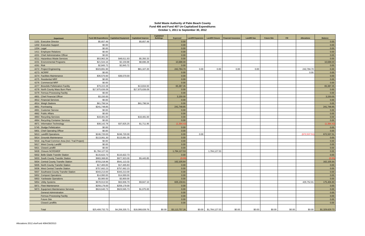#### **Solid Waste Authority of Palm Beach County Fund 406 and Fund 407 Un-Capitalized Expenditures October 1, 2011 to September 30, 2012**

| <b>Department</b>                               | Fund 406 Expenditures  | <b>Capitalized Equipment</b> | <b>Capitalized Improve</b>     | <b>Capitalized</b><br><b>Buildings</b> | <b>Expensed</b>    | <b>Landfill Expansion</b> | <b>Landfill Closure</b> | <b>Financial Assurance</b> | <b>Landfill Gas</b> | <b>Future Site</b> | Fill   | <b>Allocations</b> | <b>Balance</b> |
|-------------------------------------------------|------------------------|------------------------------|--------------------------------|----------------------------------------|--------------------|---------------------------|-------------------------|----------------------------|---------------------|--------------------|--------|--------------------|----------------|
| 1101 Executive Director                         | \$5,657.49             |                              | \$5,657.49                     |                                        | 0.00               |                           |                         |                            |                     |                    |        |                    | 0.00           |
| 1202 Executive Support                          | \$0.00                 |                              |                                |                                        | 0.00               |                           |                         |                            |                     |                    |        |                    | 0.00           |
| 1204 Legal                                      | \$0.00                 |                              |                                |                                        | 0.00               |                           |                         |                            |                     |                    |        |                    | 0.00           |
| 1411 Employee Relations                         | \$0.00                 |                              |                                |                                        | 0.00               |                           |                         |                            |                     |                    |        |                    | 0.00           |
| 4201 Chief Administrative Officer               | \$0.00                 |                              |                                |                                        | 0.00               |                           |                         |                            |                     |                    |        |                    | 0.00           |
| 4211 Hazardous Waste Services                   | \$53,962.26            | \$48,611.93                  | \$5,350.33                     |                                        | 0.00               |                           |                         |                            |                     |                    |        |                    | 0.00           |
| 4231 Environmental Programs                     | \$21,544.16            | \$2,159.88                   | \$8,696.28                     |                                        | 10,688.00          |                           |                         |                            |                     |                    |        |                    | 10,688.00      |
| 4261 Risk                                       | \$2,845.72             | \$2,845.72                   |                                |                                        | 0.00               |                           |                         |                            |                     |                    |        |                    | 0.00           |
| 4272 Project Engineering                        | \$323,891.90           |                              | \$81,107.20                    |                                        | 242,784.70         | 0.00                      | 0.00                    | 0.00                       | 0.00                |                    |        | 242,784.70         | 0.00           |
| 4273 NCRRF                                      | \$0.00                 |                              |                                |                                        | 0.00               |                           |                         |                            |                     |                    |        | 0.00               | 0.00           |
| 4274 Facilities Maintenance                     | \$36,570.00            | \$36,570.00                  |                                |                                        | 0.00               |                           |                         |                            |                     |                    |        |                    | 0.00           |
| 4275 Residential MRF                            | \$0.00                 |                              |                                |                                        | 0.00               |                           |                         |                            |                     |                    |        |                    | 0.00           |
| 4276 Commercial MRF                             | \$0.00                 |                              |                                |                                        | 0.00               |                           |                         |                            |                     |                    |        |                    | 0.00           |
| 4277 Biosolids Pelletization Facility           | \$79,222.28            |                              | \$13,834.93                    |                                        | 65,387.35          |                           |                         |                            |                     |                    |        |                    | 65,387.35      |
| 4278 North County Mass Burn Plant               | \$17,875,636.09        |                              | \$17,875,636.09                |                                        | 0.00               |                           |                         |                            |                     |                    |        |                    | 0.00           |
| 4279 Ferrous Processing Facility                | \$0.00                 |                              |                                |                                        | 0.00               |                           |                         |                            |                     |                    |        |                    | 0.00           |
| 4801 Chief Financial Officer                    | \$3,150.00             |                              |                                |                                        | 3,150.00           |                           |                         |                            |                     |                    |        |                    | 3,150.00       |
| 4812 Financial Services                         | \$0.00                 |                              |                                |                                        | 0.00               |                           |                         |                            |                     |                    |        |                    | 0.00           |
| 4814 Weigh Stations                             | \$61,796.54            |                              | \$61,796.54                    |                                        | 0.00               |                           |                         |                            |                     |                    |        |                    | 0.00           |
|                                                 |                        |                              |                                |                                        |                    |                           |                         |                            |                     |                    |        |                    |                |
| 4851 Purchasing<br>4861 Customer Service        | \$241,748.85<br>\$0.00 |                              |                                |                                        | 241,748.85<br>0.00 |                           |                         |                            |                     |                    |        |                    | 241,748.85     |
| 4862 Public Affairs                             | \$0.00                 |                              |                                |                                        |                    |                           |                         |                            |                     |                    |        |                    | 0.00           |
|                                                 |                        |                              |                                |                                        | 0.00               |                           |                         |                            |                     |                    |        |                    | 0.00           |
| 4863 Recycling Services                         | \$18,481.00            |                              | \$18,481.00                    |                                        | 0.00               |                           |                         |                            |                     |                    |        |                    | 0.00           |
| 4864 Recycling Container Services               | \$0.00                 |                              |                                |                                        | 0.00               |                           |                         |                            |                     |                    |        |                    | 0.00           |
| 4871 Information Technology                     | \$38,142.78            | \$37,825.25                  | \$1,711.95                     |                                        | (1,394.42)         |                           |                         |                            |                     |                    |        |                    | (1, 394.42)    |
| 5745 Sludge Pelletization                       | \$0.00                 |                              |                                |                                        | 0.00               |                           |                         |                            |                     |                    |        |                    | 0.00           |
| 5801 Chief Operating Officer                    | \$0.00                 |                              |                                |                                        | 0.00               |                           |                         |                            |                     |                    |        |                    | 0.00           |
| 5813 Landfill Operations                        | \$246,720.00           | \$246,720.00                 |                                |                                        | 0.00               | 0.00                      |                         |                            |                     |                    |        | (672, 537.5)       | 672,537.51     |
| 5814 Grounds Maintenance                        | \$113,061.30           | \$113,061.30                 |                                |                                        | 0.00               |                           |                         |                            |                     |                    |        |                    | 0.00           |
| 5816 Jog Road Common Area (Incl. Trail Project) | \$0.00                 |                              |                                |                                        | 0.00               |                           |                         |                            |                     |                    |        |                    | 0.00           |
| 5817 West County Landfill                       | \$0.00<br>\$0.00       |                              |                                |                                        | 0.00               |                           |                         |                            |                     |                    |        |                    | 0.00<br>0.00   |
| 5821 Closed Landfill                            |                        |                              |                                |                                        | 0.00               |                           |                         |                            |                     |                    |        |                    |                |
| 5828 Closure NCRSWDF                            | \$1,784,127.53         |                              |                                |                                        | 1,784,127.53       |                           | 1,784,127.53            |                            |                     |                    |        |                    | 0.00           |
| 5832 Belle Glade Transfer Station               | \$115,622.73           | \$115,622.73                 |                                |                                        | 0.00               |                           |                         |                            |                     |                    |        |                    | 0.00           |
| 5833 South County Transfer Station              | \$983,368.85           | \$977,923.00                 | \$5,445.85                     |                                        | (0.00)             |                           |                         |                            |                     |                    |        |                    | (0.00)         |
| 5834 Central County Transfer Station            | \$703,218.96           | \$541,113.32                 |                                |                                        | 162,105.64         |                           |                         |                            |                     |                    |        |                    | 162,105.64     |
| 5835 North County Transfer Station              | \$17,465.83            | \$17,465.83                  |                                |                                        | 0.00               |                           |                         |                            |                     |                    |        |                    | 0.00           |
| 5836 West Central Transfer Station              | \$757,662.23           | \$757,662.23                 |                                |                                        | 0.00               |                           |                         |                            |                     |                    |        |                    | 0.00           |
| 5837 Southwest County Transfer Station          | \$343,213.00           | \$343,213.00                 |                                |                                        | 0.00               |                           |                         |                            |                     |                    |        |                    | 0.00           |
| 5852 Compost Operations                         | \$14,990.00            | \$14,990.00                  |                                |                                        | 0.00               |                           |                         |                            |                     |                    |        |                    | 0.00           |
| 5853 Yardwaste Operations                       | \$3,900.00             | \$3,900.00                   |                                |                                        | 0.00               |                           |                         |                            |                     |                    |        |                    | 0.00           |
| 5854 Utility Systems                            | \$678,913.50           | \$63,906.79                  | \$9,847.10                     |                                        | 605,159.61         |                           |                         |                            |                     |                    |        | 429,752.81         | 175,406.80     |
| 5871 Fleet Maintenance                          | \$259,179.00           | \$259,179.00                 |                                |                                        | $0.00\,$           |                           |                         |                            |                     |                    |        |                    | 0.00           |
| 5873 Equipment Maintenance Services             | \$624,640.73           | \$623,565.73                 | \$1,075.00                     |                                        | $0.00\,$           |                           |                         |                            |                     |                    |        |                    | 0.00           |
| <b>General Administration</b>                   |                        |                              |                                |                                        | 0.00               |                           |                         |                            |                     |                    |        |                    | 0.00           |
| <b>Ferrous Processing Facility</b>              |                        |                              |                                |                                        | $0.00\,$           |                           |                         |                            |                     |                    |        |                    | 0.00           |
| <b>Future Site</b>                              |                        |                              |                                |                                        | 0.00               |                           |                         |                            |                     |                    |        |                    | 0.00           |
| <b>Closed Landfills</b>                         |                        |                              |                                |                                        | 0.00               |                           |                         |                            |                     |                    |        |                    | 0.00           |
| Total                                           | \$25,408,732.73        |                              | \$4,206,335.71 \$18,088,639.76 | \$0.00                                 | \$3,113,757.26     |                           | $$0.00$ \$1,784,127.53  | \$0.00                     | \$0.00              | \$0.00             | \$0.00 | \$0.00             | \$1,329,629.73 |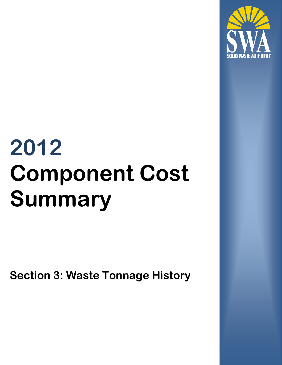

# **2012 Component Cost Summary**

**Section 3: Waste Tonnage History**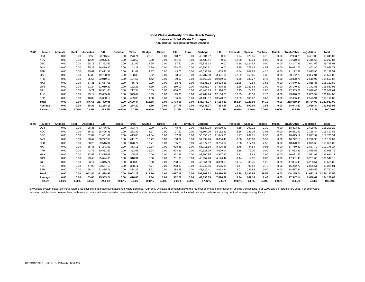#### **Solid Waste Authority of Palm Beach County Historical Solid Waste Tonnages Adjusted for Revised Solid Waste Densities**

| 85/86 | Month      | Animals  | Reef     | <b>Asbestos</b> | C/D        | Residue | Tires         | Sludge | Direct | Fill     | Furn.    | Garbage    | LC.       | Pesticide | Special  | <b>Trailers</b> | Mulch    | Trash/Other | Vegetation | Total                  |
|-------|------------|----------|----------|-----------------|------------|---------|---------------|--------|--------|----------|----------|------------|-----------|-----------|----------|-----------------|----------|-------------|------------|------------------------|
|       | <b>OCT</b> | 0.00     | 0.00     | 32.65           | 23.716.52  | 0.00    | 273.71        | 23.91  | 0.00   | 118.75   | 0.00     | 42,504.37  | 0.00      | 1.74      | 329.35   | 3.75            | 0.00     | 22,933.28   | 3,407.00   | 93,345.03              |
|       | <b>NOV</b> | 0.00     | 0.00     | 12.24           | 23,075.80  | 0.00    | 473.52        | 0.00   | 0.00   | 141.25   | 0.00     | 41,433.41  | 0.00      | 12.88     | 43.04    | 0.00            | 0.00     | 24,610.05   | 2,415.65   | 92,217.84              |
|       | <b>DEC</b> | 0.00     | 0.00     | 58.18           | 27,322.69  | 0.00    | 181.56        | 17.25  | 0.00   | 37.50    | 0.00     | 45,837.13  | 0.00      | 0.18      | ,124.52  | 0.00            | 0.00     | 23,147.46   | 2,041.56   | 99,768.03              |
|       | JAN        | 0.00     | 0.00     | 25.28           | 26,489.35  | 0.00    | 143.27        | 36.89  | 0.00   | 228.75   | 0.00     | 46,896.31  | 0.00      | 15.15     | 273.62   | 4.52            | 0.00     | 30,082.72   | 1,862.85   | 106,058.71             |
|       | <b>FEB</b> | 0.00     | 0.00     | 25.61           | 22.411.99  | 0.00    | 111.69        | 4.37   | 0.00   | 43.75    | 0.00     | 43,533.76  | 603.38    | 0.84      | 209.93   | 4.25            | 0.00     | 21,172.99   | 2,015.95   | 90,138.51              |
|       | <b>MAR</b> | 0.00     | 0.00     | 14.89           | 19,738.94  | 0.00    | 108.36        | 3.22   | 0.00   | 63.64    | 0.00     | 49.707.50  | 3.421.84  | 47.39     | 360.65   | 4.30            | 0.00     | 20,162.28   | 2,022.01   | 95,655.02              |
|       | <b>APR</b> | 0.00     | 0.00     | 25.56           | 22.019.13  | 0.00    | 124.56        | 4.42   | 0.00   | 90.00    | 0.00     | 45.560.25  | 10,059.82 | 0.66      | 333.27   | 0.45            | 0.00     | 23,828.78   | 2,510.97   | 104,557.87             |
|       | MAY        | 0.00     | 0.00     | 57.31           | 17.657.65  | 0.00    | 65.71         | 0.00   | 0.00   | 18.75    | 0.00     | 44.131.03  | 18.623.31 | 32.85     | 77.54    | 3.55            | 0.00     | 24,649.83   | 2,815.36   | 108,132.89             |
|       | <b>JUN</b> | 0.00     | 0.00     | 21.24           | 21.010.29  | 0.00    | 182.23        | 4.89   | 0.00   | 360.00   | 0.00     | 44.881.97  | 17.375.65 | 2.36      | 3,727.63 | 1.00            | 0.00     | 25,140.90   | 3,172.81   | 115,880.96             |
|       | JUL        | 0.00     | 0.00     | 9.71            | 18.951.68  | 0.00    | 212.54        | 10.09  | 0.00   | 438.75   | 0.00     | 45.445.73  | 11.316.05 | 2.15      | 74.82    | 1.00            | 0.00     | 27,363.67   | 3.076.43   | 106,902.61             |
|       | <b>AUG</b> | 0.00     | 0.00     | 23.17           | 19,665.82  | 0.00    | 373.49        | 8.93   | 0.00   | 195.00   | 0.00     | 42.704.94  | 12.186.03 | 16.05     | 63.36    | 7.70            | 0.00     | 23,020.79   | 2,809.52   | 101,074.80             |
|       | <b>SEP</b> | 0.00     | 0.00     | 40.82           | 25,350.12  | 0.00    | 439.80        | 4.68   | 0.00   | 36.92    | 0.00     | 44.138.87  | 13,578.23 | 19.09     | 606.22   | 3.67            | 0.00     | 22.406.48   | 2.573.91   | 109,198.80             |
|       | Total      | 0.00     | 0.00     | 346.66          | 267.409.95 |         | 0.00 2.690.44 | 118.65 | 0.00   | 1.773.06 | 0.00     | 536.775.27 | 87.164.31 | 151.34    | 7.223.95 | 34.19           | 0.00     | 288.519.24  |            | 30.724.02 1.222.931.09 |
|       | Average    | 0.00     | 0.00     | 28.89           | 22.284.16  | 0.00    | 224.20        | 9.89   | 0.00   | 147.76   | 0.00     | 44.731.27  | 7.263.69  | 12.61     | 602.00   | 2.85            | 0.00     | 24.043.27   | 2.560.34   | 101,910.92             |
|       | Percent    | $0.00\%$ | $0.00\%$ | 0.03%           | 21.87%     | 0.00%   | 0.22%         | 0.01%  | 0.00%  | 0.14%    | $0.00\%$ | 43.89%     | 7.13%     | 0.01%     | 0.59%    | $0.00\%$        | $0.00\%$ | 23.59%      | 2.51%      | 100.00%                |

| 86/87 | Month      | Animals  | Reef     | Asbestos | C/D        | Residue  | <b>Tires</b>  | Sludae | Direct   | Fill     | Furniture | Garbage    | LC        | Pesticide | Special  | <b>Trailers</b> | Mulch | <b>Trash/Other</b> | Vegetation | Total        |
|-------|------------|----------|----------|----------|------------|----------|---------------|--------|----------|----------|-----------|------------|-----------|-----------|----------|-----------------|-------|--------------------|------------|--------------|
|       | <b>OCT</b> | 0.00     | 0.00     | 28.36    | 33.776.62  | 0.00     | 393.77        | 0.00   | 0.00     | 48.75    | 0.00      | 45.630.98  | 16.590.42 | 4.58      | 290.22   | 2.30            | 0.00  | 18.833.42          | 2.699.80   | 118,299.22   |
|       | <b>NOV</b> | 0.00     | 0.00     | 35.32    | 28.495.31  | 0.00     | 261.49        | 8.77   | 0.00     | 27.50    | 0.00      | 45.504.00  | 13.112.31 | 2.66      | 281.09   | 1.05            | 0.00  | 16,581.92          | 2.186.44   | 106,497.86   |
|       | DEC        | 0.00     | 0.00     | 62.87    | 31,451.67  | 0.00     | 413.85        | 44.54  | 0.00     | 57.32    | 0.00      | 55,055.42  | 11,845.30 | 1.27      | 269.71   | 8.33            | 0.00  | 16,425.12          | 2,097.92   | 117,733.31   |
|       | <b>JAN</b> | 0.00     | 0.00     | 60.67    | 30.277.69  | 0.00     | 411.70        | 10.72  | 0.00     | 150.62   | 0.00      | 51.699.26  | 8.856.43  | 0.38      | 660.98   | 5.59            | 0.00  | 16.772.10          | 2.270.95   | 111,177.09   |
|       | <b>FEB</b> | 0.00     | 0.00     | 100.20   | 29.516.31  | 0.00     | 1.078.77      | 7.71   | 0.00     | 85.25    | 0.00      | 47.977.67  | 9.284.64  | 1.68      | 117.89   | 2.50            | 0.00  | 18,070.80          | 2.079.60   | 108,323.02   |
|       | <b>MAR</b> | 0.00     | 0.00     | 35.46    | 17.241.63  | 0.00     | 363.16        | 10.84  | 0.00     | 998.88   | 0.00      | 55.711.68  | 8,426.25  | 3.75      | 44.54    | 0.95            | 0.00  | 17,750.43          | 2,587.70   | 103,175.27   |
|       | <b>APR</b> | 0.00     | 0.00     | 42.75    | 20,831.52  | 0.00     | 352.68        | 11.94  | 0.00     | 904.41   | 0.00      | 50,328.29  | 4,609.04  | 2.18      | 77.00    | 0.00            | 0.00  | 17,033.33          | 2,875.57   | 97,068.72    |
|       | MAY        | 0.00     | 0.00     | 77.52    | 23,435.69  | 0.00     | 305.82        | 0.00   | 0.00     | 322.29   | 0.00      | 48,960.85  | 4,957.82  | 12.12     | 3.63     | 3.90            | 0.00  | 16,032.65          | 2,521.97   | 96,634.27    |
|       | <b>JUN</b> | 0.00     | 0.00     | 23.43    | 25.624.36  | 0.00     | 318.31        | 6.30   | 0.00     | 281.98   | 0.00      | 48.957.20  | 4.176.42  | 0.14      | 14.95    | 0.00            | 0.00  | 17,931.40          | 3,207.66   | 100,542.15   |
|       | JUL        | 0.00     | 0.00     | 33.14    | 24.345.24  | 0.00     | 300.39        | 0.00   | 0.00     | 208.12   | 0.00      | 49.564.90  | 3,889.55  | 10.04     | 39.45    | 1.25            | 0.00  | 17,884.48          | 3,288.51   | 99,565.06    |
|       | <b>AUG</b> | 0.00     | 0.00     | 47.99    | 23.557.19  | 0.00     | 368.11        | 7.77   | 0.00     | 253.39   | 0.00      | 45.242.56  | 4.685.84  | 0.47      | 99.52    | 3.70            | 0.00  | 16.262.77          | 2,835.51   | 93,364.81    |
|       | SEP        | 0.00     | 0.00     | 96.14    | 22.885.71  | 0.00     | 434.22        | 3.51   | 0.00     | 288.68   | 0.00      | 48.129.41  | 4.062.24  | 8.01      | 286.98   | 0.00            | 0.00  | 18.587.31          | 2,980.59   | 97,762.80    |
|       | Total      | 0.00     | 0.00     | 643.85   | 311.438.92 |          | 0.00 5,002.27 | 112.10 | 0.00     | 3,627.19 | 0.00      | 592.762.22 | 94.496.26 | 47.28     | 2,185.96 | 29.57           | 0.00  | 208.165.74         | 31.632.22  | 1,250,143.56 |
|       | Average    | 0.00     | 0.00     | 53.65    | 25.953.24  | 0.00     | 416.86        | 9.34   | 0.00     | 302.27   | 0.00      | 49.396.85  | 7.874.69  | 3.94      | 182.16   | 2.46            | 0.00  | 17.347.14          | 2,636.02   | 104,178.63   |
|       | Percent    | $0.00\%$ | $0.00\%$ | 0.05%    | 24.91%     | $0.00\%$ | 0.40%         | 0.01%  | $0.00\%$ | 0.29%    | $0.00\%$  | 47.42%     | 7.56%     | $0.00\%$  | 0.17%    | $0.00\%$        | 0.00% | 16.65%             | 2.53%      | 100.00%      |

SWA scale system output converts volume transactions to tonnage using assumed waste densities. Currently available information allows the retrieval of tonnage information on volume transactions. For 92/93 and on "actuals" assumed weights have been replaced with more accurate estimates based on reasonable and reliable density estimates. Animals not included due to inconsistent recording. Animal tonnage is insignificant.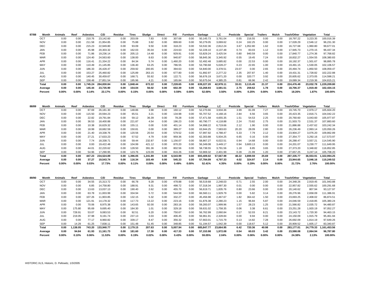| 87/88 | Month      | Animals | Reef     | Asbestos | C/D        | Residue  | Tires         | Sludge | <b>Direct</b> | Fill     | Furniture | Garbage    | LC.       | Pesticide | Special  | <b>Trailers</b> | Mulch    | Trash/Other | Vegetation | Total        |
|-------|------------|---------|----------|----------|------------|----------|---------------|--------|---------------|----------|-----------|------------|-----------|-----------|----------|-----------------|----------|-------------|------------|--------------|
|       | OCT        | 0.00    | 0.00     | 210.76   | 23.142.60  | 0.00     | 203.09        | 7.83   | 0.00          | 307.68   | 0.00      | 50,145.73  | 3.761.04  | 0.55      | 216.55   | 0.00            | 0.00     | 18,797.22   | 3,223.35   | 100,016.39   |
|       | <b>NOV</b> | 0.00    | 0.00     | 211.58   | 21.954.85  | 0.00     | 75.88         | 3.82   | 0.00          | 899.60   | 0.00      | 50.279.05  | 3.069.62  | 0.24      | 162.25   | 0.00            | 0.00     | 17.028.29   | 2,546.12   | 96,231.30    |
|       | <b>DEC</b> | 0.00    | 0.00     | 215.23   | 22.949.80  | 0.00     | 93.09         | 9.50   | 0.00          | 318.23   | 0.00      | 53,532.36  | 2.812.24  | 3.67      | 1,052.80 | 1.62            | 0.00     | 16.727.68   | 1,960.80   | 99,677.01    |
|       | <b>JAN</b> | 0.00    | 0.00     | 45.98    | 20.303.32  | 0.00     | 162.03        | 35.04  | 0.00          | 224.63   | 0.00      | 52,228.10  | 4,137.48  | 0.74      | 83.03    | 1.12            | 0.00     | 17,945.73   | 1,270.15   | 96,437.34    |
|       | <b>FEB</b> | 0.00    | 0.00     | 71.86    | 19,236.14  | 0.00     | 205.13        | 14.48  | 0.00          | 929.91   | 0.00      | 53,829.24  | 3,425.54  | 0.80      | 940.59   | 0.00            | 0.00     | 17,840.77   | 1,274.36   | 97,768.82    |
|       | <b>MAR</b> | 0.00    | 0.00     | 124.40   | 24.563.60  | 0.00     | 138.00        | 8.63   | 0.00          | 940.87   | 0.00      | 58,845.36  | 3.345.92  | 0.55      | 19.45    | 7.24            | 0.00     | 18,832.27   | 1,554.55   | 108,380.83   |
|       | <b>APR</b> | 0.00    | 0.00     | 116.41   | 21.334.22  | 0.00     | 84.34         | 5.74   | 0.00          | 1,460.20 | 0.00      | 52.492.48  | 3,685.82  | 0.00      | 22.53    | 0.00            | 0.00     | 18,192.37   | 1,501.67   | 98,895.78    |
|       | MAY        | 0.00    | 0.00     | 110.49   | 21.145.85  | 0.00     | 136.40        | 63.25  | 0.00          | 786.55   | 0.00      | 53,790.68  | 5,028.27  | 0.23      | 22.65    | 1.00            | 0.00     | 19,491.15   | 1,530.05   | 102,106.57   |
|       | <b>JUN</b> | 0.00    | 0.00     | 186.33   | 26.428.47  | 0.00     | 259.92        | 200.65 | 0.00          | 394.63   | 0.00      | 54.840.00  | 3.378.51  | 23.07     | 0.00     | 2.65            | 0.00     | 20.494.74   | 1,850.50   | 108,059.47   |
|       | <b>JUL</b> | 0.00    | 0.00     | 153.27   | 25.460.82  | 0.00     | 125.89        | 263.15 | 0.00          | 677.80   | 0.00      | 51.892.97  | 2.277.22  | 2.35      | 207.87   | 1.40            | 0.00     | 19,431.31   | 1,728.82   | 102,222.88   |
|       | <b>AUG</b> | 0.00    | 0.00     | 140.45   | 30.459.67  | 0.00     | 168.71        | 55.92  | 0.00          | 122.71   | 0.00      | 56.676.19  | 3.671.20  | 0.00      | 320.77   | 3.92            | 0.00     | 20,605.62   | 2,373.05   | 114,598.21   |
|       | <b>SEP</b> | 0.00    | 0.00     | 158.48   | 27.851.54  | 0.00     | 195.96        | 4.21   | 0.00          | 165.84   | 0.00      | 50.675.04  | 4.385.25  | 0.81      | 66.96    | 2.42            | 0.00     | 19.089.34   | 2.219.36   | 104,815.21   |
|       | Total      | 0.00    | 0.00     | 1.745.24 | 284.830.84 |          | 0.00 1,848.44 | 672.22 | 0.00          | 7,228.65 | 0.00      | 639.227.20 | 42.978.11 | 33.01     | 3,115.45 | 21.37           | 0.00     | 224.476.49  | 23.032.78  | 1,229,209.80 |
|       | Average    | 0.00    | 0.00     | 145.44   | 23.735.90  | 0.00     | 154.04        | 56.02  | 0.00          | 602.39   | 0.00      | 53.268.93  | 3.581.51  | 2.75      | 259.62   | 1.78            | 0.00     | 18.706.37   | 1.919.40   | 102,434.15   |
|       | Percent    | 0.00%   | $0.00\%$ | 0.14%    | 23.17%     | $0.00\%$ | 0.15%         | 0.05%  | $0.00\%$      | 0.59%    | $0.00\%$  | 52.00%     | 3.50%     | 0.00%     | 0.25%    | $0.00\%$        | $0.00\%$ | 18.26%      | 1.87%      | 100.00%      |

| 88/89 | Month      | Animals  | Reef     | Asbestos | C/D        | Residue  | Tires         | Sludae   | Direct   | Fill     | Furniture | Garbage    | LC.       | Pesticide | Special  | <b>Trailers</b> | Mulch    | Trash/Other | Vegetation | Total        |
|-------|------------|----------|----------|----------|------------|----------|---------------|----------|----------|----------|-----------|------------|-----------|-----------|----------|-----------------|----------|-------------|------------|--------------|
|       | OCT        | 0.00     | 0.00     | 87.69    | 26.181.30  | 0.00     | 148.86        | 3.98     | 0.00     | 160.12   | 0.00      | 52,270.66  | 3,934.36  | 3.99      | 81.09    | 7.27            | 0.00     | 19.745.70   | 2.979.17   | 105,604.20   |
|       | <b>NOV</b> | 0.00     | 0.00     | 115.50   | 20.594.23  | 0.00     | 65.51         | 3.21     | 0.00     | 134.98   | 0.00      | 55,707.52  | 4,168.16  | 2.84      | 6.56     | 3.65            | 0.00     | 20,423.35   | 2,816.71   | 104,042.22   |
|       | <b>DEC</b> | 0.00     | 0.00     | 22.82    | 19.791.84  | 0.00     | 59.12         | 36.39    | 0.00     | 78.28    | 0.00      | 57.471.58  | 4,655.35  | 1.51      | 54.53    | 2.25            | 0.00     | 20.760.60   | 3.043.60   | 105,977.87   |
|       | <b>JAN</b> | 0.00     | 0.00     | 36.53    | 18.400.88  | 0.00     | 221.87        | 4.54     | 0.00     | 196.23   | 0.00      | 60,790.77  | 4,118.88  | 2.24      | 73.82    | 2.75            | 0.00     | 21,503.73   | 2,531.37   | 107,883.60   |
|       | <b>FEB</b> | 0.00     | 0.00     | 10.38    | 16,629.32  | 0.00     | 155.11        | 0.00     | 0.00     | 401.14   | 0.00      | 54,998.22  | 6.719.66  | 2.12      | 1.90     | 0.00            | 0.00     | 21,886.88   | 2.437.62   | 103,242.34   |
|       | <b>MAR</b> | 0.00     | 0.00     | 18.99    | 18,682.59  | 0.00     | 150.81        | 0.00     | 0.00     | 389.27   | 0.00      | 63,944.25  | 7,583.63  | 20.20     | 28.09    | 2.80            | 0.00     | 26,236.49   | 2.993.14   | 120,050.26   |
|       | <b>APR</b> | 0.00     | 0.00     | 21.40    | 19.338.76  | 0.00     | 120.56        | 20.54    | 0.00     | 579.52   | 0.00      | 57.997.92  | 4.788.47  | 5.33      | 7.79     | 2.12            | 0.00     | 23.904.27   | 3.076.20   | 109,862.89   |
|       | MAY        | 0.00     | 0.00     | 27.21    | 17.633.23  | 0.00     | 57.52         | 4.79     | 0.00     | 959.36   | 0.00      | 62,303.88  | 5,934.25  | 6.65      | 0.16     | 0.00            | 0.00     | 27,354.77   | 3.292.16   | 117,573.97   |
|       | <b>JUN</b> | 0.00     | 0.00     | 7.74     | 18,338.71  | 0.00     | 59.44         | 232.87   | 0.00     | ,156.07  | 0.00      | 58,867.27  | 6,022.51  | 0.94      | 14.68    | 0.00            | 0.00     | 26,288.47   | 3.557.21   | 114,545.90   |
|       | JUL        | 0.00     | 0.00     | 0.00     | 19.422.48  | 0.00     | 104.99        | 421.12   | 0.00     | 870.20   | 0.00      | 56,349.08  | 3.449.17  | 0.94      | 3,600.13 | 0.00            | 0.00     | 24.201.07   | 3.230.77   | 111,649.95   |
|       | <b>AUG</b> | 0.00     | 0.00     | 44.01    | 22,220.62  | 0.00     | 128.50        | 391.36   | 0.00     | 802.56   | 0.00      | 58,738.55  | 3,791.56  | 1.18      | 8.85     | 3.65            | 0.00     | 27,373.20   | 3,348.82   | 116,852.85   |
|       | <b>SEP</b> | 0.00     | 0.00     | 54.96    | 17,290.95  | 0.00     | 123.76        | 123.09   | 0.00     | 816.26   | 0.00      | 53,969.32  | 2,401.99  | 0.28      | 21.99    | 1.20            | 0.00     | 27,657.25   | 3.247.14   | 105,708.20   |
|       | Total      | 0.00     | 0.00     | 447.23   | 234.524.89 |          | 0.00 1.396.05 | 1.241.89 | 0.00     | 6.543.99 | 0.00      | 693.409.02 | 57.567.99 | 48.22     | 3.899.59 | 25.69           | 0.00     | 287.335.77  | 36.553.91  | 1.322.994.25 |
|       | Average    | 0.00     | 0.00     | 37.27    | 19.543.74  | 0.00     | 116.34        | 103.49   | 0.00     | 545.33   | 0.00      | 57.784.09  | 4,797.33  | 4.02      | 324.97   | 2.14            | 0.00     | 23.944.65   | 3.046.16   | 110,249.52   |
|       | Percent    | $0.00\%$ | $0.00\%$ | 0.03%    | 17.73%     | $0.00\%$ | 0.11%         | 0.09%    | $0.00\%$ | 0.49%    | $0.00\%$  | 52.41%     | 4.35%     | $0.00\%$  | 0.29%    | $0.00\%$        | $0.00\%$ | 21.72%      | 2.76%      | 100.00%      |

| 89/90 | Month      | Animals  | Reef     | Asbestos | C/D        | Residue  | Tires         | Sludge | Direct   | Fill     | Furniture | Garbage    | LC.       | Pesticide | Special  | Trailers | Mulch    | Trash/Other | Vegetation | Total                  |
|-------|------------|----------|----------|----------|------------|----------|---------------|--------|----------|----------|-----------|------------|-----------|-----------|----------|----------|----------|-------------|------------|------------------------|
|       | OCT        | 0.00     | 0.00     | 34.55    | 15,313.72  | 0.00     | 66.78         | 9.28   | 0.00     | 478.88   | 0.00      | 56,519.68  | 2,248.03  | 0.71      | 2.55     | 2.00     | 0.00     | 24,348.26   | 2,919.45   | 101,943.88             |
|       | <b>NOV</b> | 0.00     | 0.00     | 6.85     | 14,758.80  | 0.00     | 188.91        | 9.31   | 0.00     | 498.72   | 0.00      | 57,318.34  | 1.997.30  | 0.01      | 0.00     | 0.00     | 0.00     | 22,957.82   | 2,555.62   | 100,291.68             |
|       | <b>DEC</b> | 0.00     | 0.00     | 13.63    | 13,037.13  | 0.00     | 190.40        | 2.62   | 0.00     | 455.70   | 0.00      | 56,619.71  | 1,835.76  | 0.80      | 23.66    | 0.00     | 0.00     | 20,140.62   | 807.94     | 93,127.97              |
|       | JAN        | 0.00     | 0.00     | 63.78    | 11,003.99  | 0.00     | 334.94        | 5.72   | 0.00     | 544.58   | 0.00      | 66,560.11  | 1,929.79  | 0.00      | 5.82     | 3.14     | 0.00     | 28,276.96   | 2,658.09   | 111,386.91             |
|       | <b>FEB</b> | 0.00     | 0.00     | 107.26   | 11,903.85  | 0.00     | 132.15        | 5.32   | 0.00     | 332.27   | 0.00      | 45,456.98  | 2,467.67  | 1.82      | 364.42   | 1.50     | 0.00     | 23,693.25   | 2,408.02   | 86,874.51              |
|       | <b>MAR</b> | 0.00     | 0.00     | 121.91   | 14,178.32  | 0.00     | 117.73        | 13.22  | 0.00     | 223.16   | 0.00      | 61,876.38  | 2,280.23  | 1.15      | 96.84    | 5.87     | 0.00     | 24,046.59   | 2,418.85   | 105,380.24             |
|       | <b>APR</b> | 0.00     | 0.00     | 70.06    | 8,975.38   | 0.00     | 143.65        | 92.00  | 0.00     | 283.16   | 0.00      | 59,283.07  | 1.999.96  | 1.57      | 28.23    | 1.25     | 0.00     | 21,566.82   | 2,035.72   | 94,480.87              |
|       | MAY        | 0.00     | 175.80   | 95.69    | 9,695.40   | 0.00     | 184.30        | 1.01   | 0.00     | 329.18   | 0.00      | 59,631.02  | 1.758.35  | 0.06      | 3.38     | 6.61     | 0.00     | 23,251.28   | 1,920.19   | 97,052.27              |
|       | <b>JUN</b> | 0.00     | 728.91   | 53.07    | 9,083.53   | 0.00     | 92.51         | 6.20   | 0.00     | 750.67   | 0.00      | 56.762.99  | 2.060.84  | 0.17      | 52.03    | 8.21     | 0.00     | 23.143.72   | 1,720.30   | 94,463.15              |
|       | JUL        | 0.00     | 219.05   | 37.98    | 9.191.74   | 0.00     | 237.13        | 3.03   | 0.00     | 406.45   | 0.00      | 56.961.91  | 2.328.84  | 0.00      | 9.94     | 0.00     | 0.00     | 24.150.09   | 1,915.79   | 95,461.94              |
|       | <b>AUG</b> | 0.00     | 0.00     | 77.17    | 8,960.82   | 0.00     | 339.17        | 8.47   | 0.00     | 356.32   | 0.00      | 57,663.01  | 1.715.79  | 0.13      | 14.82    | 7.28     | 0.00     | 26,692.09   | 1,814.19   | 97,649.26              |
|       | <b>SEP</b> | 0.00     | 14.29    | 61.25    | 7,838.11   | 0.00     | 151.48        | 51.45  | 0.00     | 348.85   | 0.00      | 51.194.57  | 1.042.39  | 0.00      | 118.67   | 5.12     | 0.00     | 20,909.52   | 1,605.17   | 83,340.87              |
|       | Total      | 0.00     | 1,138.05 | 743.20   | 133.940.77 |          | 0.00 2,179.15 | 207.63 | 0.00     | 5,007.94 | 0.00      | 685.847.77 | 23,664.95 | 6.42      | 720.36   | 40.98    | 0.00     | 283.177.01  |            | 24,779.33 1,161,453.56 |
|       | Average    | 0.00     | 94.84    | 61.93    | 11.161.73  | 0.00     | 181.60        | 17.30  | 0.00     | 417.33   | 0.00      | 57.153.98  | 1.972.08  | 0.54      | 60.03    | 3.42     | 0.00     | 23,598.08   | 2.064.94   | 96,787.80              |
|       | Percent    | $0.00\%$ | 0.10%    | $0.06\%$ | 11.53%     | $0.00\%$ | 0.19%         | 0.02%  | $0.00\%$ | 0.43%    | $0.00\%$  | 59.05%     | 2.04%     | $0.00\%$  | $0.06\%$ | $0.00\%$ | $0.00\%$ | 24.38%      | 2.13%      | 100.00%                |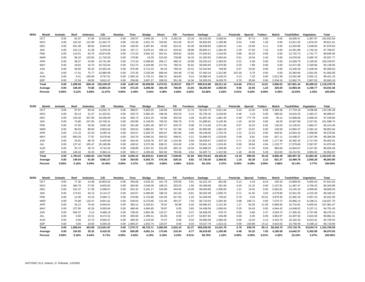| 90/91 | Month      | Animals | Reef     | Asbestos | C/D        | Residue  | Tires         | Sludge    | <b>Direct</b> | Fill     | Furniture | Garbage    | LC        | Pesticide | Special | Trailers | Mulch    | <b>Trash/Other</b> | Vegetation | Total                  |
|-------|------------|---------|----------|----------|------------|----------|---------------|-----------|---------------|----------|-----------|------------|-----------|-----------|---------|----------|----------|--------------------|------------|------------------------|
|       | OCT        | 0.00    | 81.97    | 47.00    | 15,023.85  | 0.00     | 155.57        | 2,944.28  | 2.79          | 2,282.29 | 23.19     | 60,219.29  | 2,638.54  | 0.62      | 97.73   | 0.00     | 0.00     | 16,930.47          | 2,367.97   | 102,815.55             |
|       | <b>NOV</b> | 0.00    | 152.42   | 112.59   | 12,342.72  | 0.00     | 123.36        | 2,921.79  | 333.82        | 914.45   | 20.37     | 56,903.50  | ,195.99   | 0.54      | 0.96    | 1.30     | 0.00     | 13,911.55          | 1,876.25   | 90,811.61              |
|       | DEC        | 0.00    | 551.38   | 88.92    | 8,354.20   | 0.00     | 106.59        | 3.487.84  | 18.00         | 615.22   | 34.28     | 58,938.83  | 1,833.42  | 1.44      | 22.60   | 4.11     | 0.00     | 12,264.98          | 1,548.83   | 87,870.64              |
|       | <b>JAN</b> | 0.00    | 162.13   | 31.28    | 9,378.26   | 0.00     | 197.17        | 3.676.14  | 405.14        | 619.44   | 28.88     | 65,854.11  | 1.284.45  | 2.29      | 27.50   | 7.10     | 0.00     | 14.351.88          | 1,743.10   | 97,768.87              |
|       | <b>FEB</b> | 0.00    | 110.51   | 50.75    | 10,874.66  | 0.00     | 173.16        | 3,591.33  | 501.01        | 650.82   | 19.63     | 57,626.91  | 1,519.55  | 0.89      | 43.23   | 0.00     | 0.00     | 12.742.73          | 1,741.77   | 89,646.95              |
|       | <b>MAR</b> | 0.00    | 99.10    | 120.83   | 11.729.20  | 0.00     | 170.90        | 19.29     | 523.50        | 730.80   | 18.10     | 61,303.55  | 2.064.64  | 0.51      | 15.54   | 2.40     | 0.00     | 14.078.65          | 2,060.76   | 92,937.77              |
|       | <b>APR</b> | 0.00    | 38.37    | 24.84    | 10,741.84  | 0.00     | 173.18        | 6,368.85  | 264.17        | 480.14   | 24.89     | 63,033.24  | 2,393.04  | 0.22      | 6.48    | 0.00     | 0.00     | 14,569.79          | 2,130.92   | 100,249.97             |
|       | MAY        | 0.00    | 18.62    | 10.70    | 10,753.04  | 0.00     | 513.74        | 4.164.88  | 217.91        | 760.23   | 25.62     | 59,583.95  | 2.370.90  | 0.25      | 7.68    | 0.00     | 0.00     | 14,371.58          | 2,330.96   | 95,130.05              |
|       | <b>JUN</b> | 0.00    | 49.02    | 55.42    | 10,355.46  | 0.00     | 975.99        | 3.713.10  | 85.43         | 760.24   | 24.41     | 52,543.94  | 748.90    | 0.07      | 19.30   | 0.00     | 0.00     | 13,240.29          | 2,428.46   | 85,000.03              |
|       | JUL        | 0.00    | 17.41    | 75.77    | 10,986.06  | 0.00     | 275.30        | 2.332.08  | 858.40        | 344.48   | 17.92     | 57.463.19  | 1.312.80  | 107.00    | 6.70    | 0.00     | 0.00     | 15,384.84          | 2,501.05   | 91,683.00              |
|       | <b>AUG</b> | 0.00    | 6.31     | 160.56   | 9,797.51   | 0.00     | 1.365.18      | 2.732.13  | 894.21        | 483.60   | 8.14      | 53,990.34  | 2.419.23  | 0.13      | 7.33    | 0.00     | 1.612.39 | 13,291.99          | 2,652.12   | 89,421.16              |
|       | <b>SEP</b> | 0.00    | 12.34    | 69.50    | 9.912.47   | 0.00     | 236.89        | 3.607.27  | 269.53        | 551.36   | 14.34     | 52,055.03  | 8,429.70  | 0.70      | 20.06   | 0.00     | 2.294.24 | 12.662.70          | 2,907.03   | 93,043.16              |
|       | Total      | 0.00    | 1.299.58 | 848.16   | 130.249.25 |          | 0.00 4.467.03 | 39.558.98 | 4.373.91      | 9.193.07 | 259.77    | 699.515.88 | 28.211.16 | 114.66    | 275.11  | 14.91    | 3.906.63 | 167.801.44         |            | 26,289.22 1,116,378.76 |
|       | Average    | 0.00    | 108.30   | 70.68    | 10,854.10  | 0.00     | 372.25        | 3,296.58  | 364.49        | 766.09   | 21.65     | 58,292.99  | 2,350.93  | 9.56      | 22.93   | 1.24     | 325.55   | 13,983.45          | 2,190.77   | 93,031.56              |
|       | Percent    | 0.00%   | 0.12%    | $0.08\%$ | 11.67%     | $0.00\%$ | 0.40%         | 3.54%     | 0.39%         | 0.82%    | 0.02%     | 62.66%     | 2.53%     | 0.01%     | 0.02%   | $0.00\%$ | 0.35%    | 15.03%             | 2.35%      | 100.00%                |

| 91/92 | Month      | Animals  | Reef    | Asbestos | C/D        | Residue  | Tires         | Sludge    | <b>Direct</b> | Fill     | Furniture | Garbage    | LC        | Pesticide | Special | <b>Trailers</b> | Mulch    | Trash/Other | Vegetation | Total        |
|-------|------------|----------|---------|----------|------------|----------|---------------|-----------|---------------|----------|-----------|------------|-----------|-----------|---------|-----------------|----------|-------------|------------|--------------|
|       | OCT        | 0.00     | 97.97   | 60.44    | 14.291.72  | 0.00     | 368.07        | 5.653.25  | 126.68        | 633.89   | 11.74     | 59.194.73  | 5.611.94  | 0.33      | 13.20   | 8.08            | 3.360.38 | 17.724.19   | 3,038.68   | 110,195.28   |
|       | <b>NOV</b> | 0.00     | 50.14   | 31.27    | 11.422.61  | 0.00     | 203.73        | 5.882.20  | 348.30        | 402.53   | 5.14      | 55.735.10  | 3.220.66  | 0.46      | 4.19    | 0.00            | 585.82   | 15,615.25   | 2,392.27   | 95,899.67    |
|       | <b>DEC</b> | 0.00     | 125.20  | 207.95   | 10,238.59  | 0.00     | 305.73        | 4.621.20  | 93.86         | 302.03   | 4.28      | 61,957.35  | 1.891.35  | 0.49      | 777.78  | 0.00            | 39.12    | 14,068.06   | 2,606.02   | 97,239.00    |
|       | JAN        | 0.00     | 74.80   | 247.83   | 10,700.41  | 0.00     | 203.96        | 6.149.55  | 700.52        | 556.79   | 9.76      | 61,899.91  | 3,126.39  | 1.33      | 42.50   | 0.00            | 49.29    | 15,507.89   | 2,327.81   | 101,598.74   |
|       | <b>FEB</b> | 0.00     | 47.65   | 50.30    | 9,091.28   | 0.00     | 261.68        | 5,901.09  | 907.57        | 819.70   | 8.08      | 57.714.58  | 4.371.96  | 0.57      | 16.10   | 6.92            | 116.04   | 14,135.61   | 1.964.27   | 95,413.40    |
|       | <b>MAR</b> | 0.00     | 99.03   | 88.50    | 8,953.63   | 0.00     | 329.54        | 5,885.62  | 787.74        | 517.66   | 5.45      | 62.950.66  | 1.691.59  | 1.07      | 15.87   | 0.00            | 140.69   | 14,994.37   | 2,391.42   | 98,852.84    |
|       | <b>APR</b> | 0.00     | 172.15  | 61.54    | 9,295.16   | 0.00     | 342.67        | 5.403.70  | 663.97        | 481.84   | 3.65      | 59.248.00  | 1.754.76  | 2.12      | 12.23   | 0.00            | 843.81   | 14,924.16   | 2,368.89   | 95,578.65    |
|       | MAY        | 0.00     | 800.29  | 77.87    | 8,078.46   | 0.00     | 333.76        | 6.094.16  | 565.52        | 598.91   | 4.21      | 53,686.53  | 1,533.65  | 0.48      | 8.81    | 0.00            | 827.11   | 14,408.37   | 2,337.96   | 89,356.09    |
|       | <b>JUN</b> | 0.00     | 25.81   | 86.78    | 8,445.59   | 0.00     | 534.43        | 3.918.78  | 877.36        | 154.30   | 5.59      | 58,559.67  | 1.040.53  | 5.71      | 21.28   | 0.00            | 1.177.30 | 16,482.16   | 2,717.63   | 95,052.91    |
|       | JUL        | 0.00     | 127.42  | 105.47   | 10,180.89  | 0.00     | 426.52        | 3,572.38  | 638.21        | 616.49   | 4.36      | 53,841.19  | 1,533.45  | 0.00      | 29.84   | 4.94            | 1.120.77 | 17,079.69   | 2,597.87   | 91,879.49    |
|       | <b>AUG</b> | 0.00     | 25.72   | 30.74    | 9,716.42   | 0.00     | 438.89        | 3.357.42  | 631.90        | 682.15   | 15.04     | 53.688.20  | 1.336.98  | 0.17      | 17.20   | 0.00            | 983.06   | 14.844.67   | 3,157.92   | 88,926.48    |
|       | SEP        | 0.00     | 148.34  | 43.33    | 9,364.14   | 0.00     | 506.17        | 4.205.66  | 562.92        | 783.66   | 4.54      | 54.287.71  | 1,312.58  | 1.45      | 40.36   | 5.49            | 613.00   | 16,212.91   | 3,962.62   | 92,054.87    |
|       | Total      | 0.00     | .794.52 | 1.092.02 | 119.778.89 |          | 0.00 4.255.15 | 60.645.01 | 6.904.55      | 7.549.95 | 81.84     | 692.763.63 | 28.425.82 | 14.18     | 999.36  | 25.43           | 9.856.39 | 185.997.33  | 31.863.36  | 1,152,047.42 |
|       | Average    | 0.00     | 149.54  | 91.00    | 9,981.57   | 0.00     | 354.60        | 5.053.75  | 575.38        | 629.16   | 6.82      | 57,730.30  | 2,368.82  | 1.18      | 83.28   | 2.12            | 821.37   | 15,499.78   | 2,655.28   | 96,003.95    |
|       | Percent    | $0.00\%$ | 0.16%   | $0.09\%$ | 10.40%     | $0.00\%$ | 0.37%         | 5.26%     | 0.60%         | 0.66%    | $0.01\%$  | 60.13%     | 2.47%     | 0.00%     | 0.09%   | $0.00\%$        | 0.86%    | 16.14%      | 2.77%      | 100.00%      |

| 92/93 | Month      | Animals  | Reef     | Asbestos | C/D        | Residue | Tires         | Sludae    | <b>Direct</b> | Fill     | Furniture | Garbage    | LC.       | Pesticide | Special | Trailers | Mulch     | Trash/Other | Vegetation | Total                  |
|-------|------------|----------|----------|----------|------------|---------|---------------|-----------|---------------|----------|-----------|------------|-----------|-----------|---------|----------|-----------|-------------|------------|------------------------|
|       | OCT        | 0.00     | 77.35    | 14.38    | 10,903.42  | 0.00    | 355.68        | 3,533.10  | 321.79        | 376.56   | 3.01      | 52,221.19  | 901.66    | 0.12      | 4.19    | 8.19     | 220.34    | 13,869.03   | 5,002.03   | 87,812.04              |
|       | <b>NOV</b> | 0.00     | 360.79   | 27.92    | 8,825.62   | 0.00    | 394.90        | 2.549.39  | 428.23        | 302.53   | 1.50      | 55,468.68  | 561.06    | 0.45      | 21.22   | 0.00     | 2.157.91  | 11.487.47   | 3,756.22   | 86,343.89              |
|       | <b>DEC</b> | 0.00     | 331.07   | 27.28    | 9,499.07   | 0.00    | 552.32        | 5,181.17  | 310.89        | 444.92   | 14.05     | 58,058.88  | 2,300.00  | 1.21      | 19.42   | 0.00     | 5,062.81  | 13,145.16   | 3,909.95   | 98,858.20              |
|       | JAN        | 0.00     | 173.61   | 40.13    | 9,114.27   | 0.00    | 434.67        | 6.400.60  | 186.23        | 341.62   | 8.81      | 60,202.58  | 1,050.70  | 0.71      | 41.92   | 3.63     | 4,579.96  | 12,551.50   | 4,215.28   | 99,346.22              |
|       | <b>FEB</b> | 0.00     | 14.40    | 23.15    | 9,584.71   | 0.00    | 478.89        | 5.723.80  | 152.05        | 617.92   | 2.32      | 54,269.58  | 735.62    | 0.70      | 0.54    | 53.51    | 3,976.35  | 12,382.16   | 4,007.23   | 92,022.93              |
|       | <b>MAR</b> | 0.00     | 75.68    | 110.47   | 8,841.61   | 0.00    | 530.04        | 6.273.66  | 121.46        | 491.57   | 7.54      | 66,710.54  | 2,392.36  | 0.98      | 336.72  | 0.00     | 7,070.72  | 16,866.14   | 8,198.21   | 118,027.70             |
|       | <b>APR</b> | 0.00     | 34.12    | 76.43    | 9,944.01   | 0.00    | 383.12        | 5.193.91  | 79.52         | 56.98    | 9.32      | 60,680.25  | 2,131.30  | 1.27      | 63.35   | 11.05    | 5,985.82  | 16.724.81   | 6,605.81   | 107,981.07             |
|       | MAY        | 0.00     | 227.65   | 42.26    | 9,593.94   | 0.00    | 486.49        | 4,664.85  | 78.87         | 0.00     | 3.83      | 54,408.59  | 1.060.04  | 0.35      | 34.43   | 0.00     | 4,944.42  | 14,048.62   | 5,107.11   | 94,701.45              |
|       | <b>JUN</b> | 0.00     | 564.37   | 5.13     | 9,488.19   | 0.00    | 709.25        | 2.861.08  | 123.27        | 0.00     | 5.47      | 56,938.35  | 478.75    | 0.00      | 0.86    | 2.47     | 4.029.72  | 17.305.44   | 5,757.86   | 98,270.21              |
|       | JUL        | 0.00     | 0.00     | 22.51    | 8.472.31   | 0.00    | 495.69        | 2.499.41  | 83.05         | 0.00     | 11.07     | 53.867.84  | 546.89    | 0.00      | 6.05    | 0.00     | 3.854.97  | 15.397.63   | 4,623.59   | 89,881.01              |
|       | <b>AUG</b> | 0.00     | 0.00     | 14.73    | 9,564.47   | 0.00    | 480.30        | 2.210.00  | 73.47         | 0.00     | 6.02      | 55,685.09  | 1.060.26  | 0.00      | 10.20   | 2.14     | 3,433.70  | 16,182.33   | 6,013.31   | 94,736.02              |
|       | <b>SEP</b> | 0.00     | 0.00     | 19.50    | 9,200.25   | 0.00    | 1.969.37      | 1.642.74  | 125.07        | 0.00     | 8.33      | 54.527.79  | 1.013.15  | 0.00      | 100.88  | 14.12    | 4.910.03  | 15.750.49   | 6,438.13   | 95,719.85              |
|       | Total      | 0.00     | 1.859.04 | 423.89   | 113.031.87 |         | 0.00 7.270.72 | 48.733.71 | 2.083.90      | 2.632.10 | 81.27     | 683.039.36 | 14,231.79 | 5.79      | 639.78  | 95.11    | 50,226.75 | 175.710.78  |            | 63,634.73 1,163,700.59 |
|       | Average    | 0.00     | 154.92   | 35.32    | 9.419.32   | 0.00    | 605.89        | 4.061.14  | 173.66        | 219.34   | 6.77      | 56.919.95  | 1.185.98  | 0.48      | 53.32   | 7.93     | 4.185.56  | 14.642.57   | 5.302.89   | 96,975.05              |
|       | Percent    | $0.00\%$ | 0.16%    | 0.04%    | 9.71%      | 0.00%   | 0.62%         | 4.19%     | 0.18%         | 0.23%    | 0.01%     | 58.70%     | 1.22%     | $0.00\%$  | 0.05%   | 0.01%    | 4.32%     | 15.10%      | 5.47%      | 100.00%                |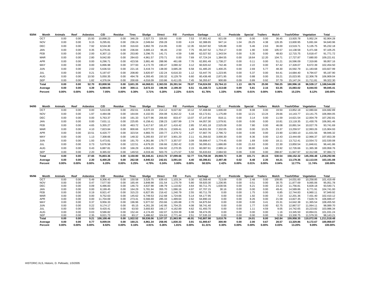| 93/94 | Month      | Animals | Reef     | <b>Asbestos</b> | C/D       | Residue  | Tires         | Sludae    | <b>Direct</b> | Fill      | Furniture | Garbage    | LC.       | Pesticide | Special | <b>Trailers</b> | Mulch  | <b>Trash/Other</b> | Vegetation | Total      |
|-------|------------|---------|----------|-----------------|-----------|----------|---------------|-----------|---------------|-----------|-----------|------------|-----------|-----------|---------|-----------------|--------|--------------------|------------|------------|
|       | OCT        | 0.00    | 0.00     | 15.93           | 10.898.23 | 0.00     | 346.29        | 2,527.73  | 326.60        | 0.00      | 7.53      | 57,951.42  | 921.08    | 0.00      | 0.00    | 0.00            | 36.45  | 13,920.78          | 5,952.24   | 92,904.28  |
|       | <b>NOV</b> | 0.00    | 0.00     | 9.15            | 9,295.81  | 0.00     | 236.24        | 2.049.64  | 259.28        | 0.00      | 4.24      | 62.388.65  | 947.14    | 1.04      | 26.25   | 4.38            | 126.35 | 13,600.95          | 5,691.84   | 94,640.96  |
|       | <b>DEC</b> | 0.00    | 0.00     | 7.92            | 8,534.30  | 0.00     | 316.63        | 3,862.78  | 214.95        | 0.00      | 12.35     | 63,047.82  | 535.88    | 0.00      | 5.46    | 2.63            | 36.00  | 13,519.71          | 5,135.75   | 95,232.18  |
|       | <b>JAN</b> | 0.00    | 0.00     | 0.35            | 6,276.81  | 0.00     | 236.84        | 3,665.13  | 96.45         | 2.50      | 7.75      | 65,347.52  | 1.754.17  | 0.00      | 1.90    | 0.00            | 105.57 | 14,138.58          | 5,471.68   | 97,105.25  |
|       | FEB        | 0.00    | 0.00     | 2.00            | 6,307.13  | 0.00     | 253.80        | 3,296.75  | 141.71        | 4.59      | 5.88      | 62,027.92  | 1,343.54  | 0.00      | 5.35    | 0.00            | 48.83  | 12,715.75          | 5,618.47   | 91,771.72  |
|       | <b>MAR</b> | 0.00    | 0.00     | 2.80            | 9.042.00  | 0.00     | 284.63        | 4.961.57  | 270.71        | 0.00      | 7.69      | 67.724.24  | 1.384.55  | 0.00      | 18.64   | 12.20           | 104.71 | 17.727.87          | 7,680.00   | 109,221.61 |
|       | <b>APR</b> | 0.00    | 0.00     | 0.00            | 6,296.71  | 0.00     | 423.56        | 3.881.46  | 288.96        | 461.68    | 7.76      | 62,891.49  | 1,738.27  | 0.00      | 0.11    | 0.00            | 51.21  | 16,596.09          | 7,319.86   | 99,957.16  |
|       | MAY        | 0.00    | 0.00     | 0.00            | 6,896.98  | 0.00     | 377.93        | 4.172.70  | 190.47        | 3,080.32  | 3.12      | 60,920.42  | 742.46    | 0.00      | 2.22    | 0.00            | 67.42  | 17,328.07          | 8,672.39   | 102,454.50 |
|       | <b>JUN</b> | 0.00    | 0.00     | 2.02            | 5,636.53  | 0.00     | 221.16        | 3.419.74  | 138.00        | 3,685.28  | 6.58      | 61.485.20  | 1,400.25  | 0.00      | 2.69    | 5.77            | 48.30  | 16,592.79          | 11,183.68  | 103,827.99 |
|       | JUL        | 0.00    | 0.00     | 0.21            | 5,197.67  | 0.00     | 208.80        | 3,820.97  | 132.24        | 6,616.33  | 1.12      | 53.447.76  | 1,223.95  | 0.00      | 5.37    | 0.00            | 64.41  | 14,684.40          | 9,794.67   | 95,197.90  |
|       | <b>AUG</b> | 0.00    | 0.00     | 10.50           | 5,050.35  | 0.00     | 494.78        | 4,393.45  | 150.32        | 6,129.79  | 6.60      | 60,436.48  | 2,871.95  | 0.00      | 0.88    | 0.00            | 33.21  | 15,023.95          | 12,306.78  | 106,909.04 |
|       | <b>SEP</b> | 0.00    | 0.00     | 1.82            | 4.376.04  | 0.00     | 200.69        | 4.016.09  | 153.86        | 6.411.05  | 7.45      | 56,355.67  | 900.89    | 0.09      | 0.89    | 0.92            | 37.79  | 15,147.24          | 11.711.81  | 99,322.30  |
|       | Total      | 0.00    | 0.00     | 52.70           | 83,808.56 |          | 0.00 3.601.35 | 44.068.01 | 2.363.55      | 26.391.54 | 78.07     | 734.024.59 | 15.764.13 | 1.13      | 69.76   | 25.90           | 760.25 | 180,996.18         | 96,539.17  | 188,544.89 |
|       | Average    | 0.00    | 0.00     | 4.39            | 6,984.05  | 0.00     | 300.11        | 3.672.33  | 196.96        | 2.199.30  | 6.51      | 61.168.72  | 1,313.68  | 0.09      | 5.81    | 2.16            | 63.35  | 15,083.02          | 8,044.93   | 99,045.41  |
|       | Percent    | 0.00%   | $0.00\%$ | $0.00\%$        | 7.05%     | $0.00\%$ | 0.30%         | 3.71%     | 0.20%         | 2.22%     | 0.01%     | 61.76%     | 1.33%     | $0.00\%$  | 0.01%   | $0.00\%$        | 0.06%  | 15.23%             | 8.12%      | 100.00%    |

| 94/95 | Month              | Animals       | Reef             | <b>Asbestos</b>  | C/D               | Residue          | Tires           | Sludae            | <b>Direct</b>   | Fill              | Furniture        | Garbage             | LC.               | Pesticide        | Special       | Trailers         | Mulch          | Trash/Other         | Vegetation          | Total                 |
|-------|--------------------|---------------|------------------|------------------|-------------------|------------------|-----------------|-------------------|-----------------|-------------------|------------------|---------------------|-------------------|------------------|---------------|------------------|----------------|---------------------|---------------------|-----------------------|
|       | OCT                | 0.00          | 0.00             | 0.00             | 5.613.06          | 0.00             | 202.61          | 4.639.19          | 214.12          | 9.027.82          | 10.12            | 57.408.68           | 1.606.69          | 0.00             | 8.08          | 0.00             | 19.50          | 13.852.18           | 12.080.84           | 104.682.89            |
|       | <b>NOV</b>         | 0.00          | 0.00             | 1.97             | 4,484.08          | 0.00             | 164.84          | 4,102.55          | 204.08          | 6.342.22          | 5.18             | 63.172.61           | 1,175.89          | 0.00             | 12.21         | 13.24            | 29.66          | 14.143.77           | 13.141.75           | 106,994.05            |
|       | <b>DEC</b>         | 0.00          | 0.00             | 0.00             | 5,763.37          | 0.00             | 191.33          | 5.677.96          | 206.60          | 833.47            | 13.07            | 67.147.84           | 818.11            | 0.00             | 3.14          | 0.00             | 11.59          | 14.621.54           | 12.004.79           | 107,292.81            |
|       | JAN                | 0.00          | 0.00             | 0.00             | 7,631.11          | 0.00             | 225.85          | 6,158.41          | 238.23          | 1,607.99          | 2.74             | 64.057.30           | 1,579.91          | 0.00             | 0.00          | 0.00             | 10.81          | 13.118.35           | 11,430.76           | 106,061.46            |
|       | <b>FEB</b>         | 0.00          | 0.00             | 4.65             | 5,355.27          | 0.00             | 463.72          | 5.417.67          | 181.67          | 1.416.42          | 2.85             | 57,401.18           | 2,525.08          | 0.00             | 7.80          | 0.00             | 46.08          | 10,891.54           | 10,027.76           | 93,741.69             |
|       | <b>MAR</b>         | 0.00          | 0.00             | 4.10             | 7,823.84          | 0.00             | 800.66          | 6.077.03          | 235.31          | 2.509.41          | 1.49             | 64.831.59           | 7.332.05          | 0.00             | 0.00          | 13.25            | 23.37          | 13.259.57           | 12.993.26           | 115,904.93            |
|       | <b>APR</b>         | 0.00          | 0.00             | 10.51            | 6.420.77          | 0.00             | 323.54          | 4.883.70          | 220.77          | 2,379.72          | 4.27             | 57.667.76           | 2,796.72          | 0.00             | 0.00          | 0.00             | 23.90          | 12.583.10           | 11.631.56           | 98,946.32             |
|       | MAY                | 0.00          | 0.00             | 1.13             | 7,308.66          | 0.00             | 148.32          | 5.265.93          | 237.87          | 3.901.20          | 2.11             | 61.356.02           | 3.000.30          | 0.00             | 8.36          | 0.00             | 12.43          | 13.444.69           | 12.966.37           | 107,653.39            |
|       | <b>JUN</b>         | 0.00          | 0.00             | 1.93             | 5.473.81          | 0.00             | 191.70          | 4.361.86          | 179.77          | 3,357.07          | 3.09             | 59.899.47           | 1.774.45          | 0.00             | 1.69          | 0.00             | 18.11          | 13.712.41           | 13.554.72           | 102,530.08            |
|       | JUL                | 0.00          | 0.00             | 0.73             | 5,676.56          | 0.00             | 122.51          | 4.679.20          | 156.66          | 2,282.42          | 0.20             | 56.095.61           | 1,686.89          | 0.00             | 21.63         | 0.00             | 22.30          | 13.850.54           | 11.846.61           | 96,441.86             |
|       | <b>AUG</b>         | 0.00          | 0.00             | 0.43             | 6,887.81          | 0.00             | 166.29          | 4,063.45          | 334.92          | 2,270.35          | 2.15             | 60.087.61           | 2,989.14          | 0.19             | 38.80         | 1.66             | 23.92          | 12.726.66           | 11.365.38           | 100,958.76            |
|       | SEP                | 0.00          | 0.00             | 2.20             | 8,365.02          | 0.00             | 149.53          | 4.019.46          | 503.70          | 1.171.57          | 5.50             | 55.633.63           | 2.684.50          | 0.09             | 0.00          | 0.00             | 288.87         | 11.947.97           | 12,312.68           | 97,084.72             |
|       | Total              | 0.00          | 0.00             | 27.65            | 76,803.36         |                  | 0.00 3.150.90   | 59.346.41         | 2.913.70        | 37.099.66         | 52.77            | 724.759.30          | 29,969.73         | 0.28             | 101.71        | 28.15            | 530.54         | 158.152.32          | 145.356.48          | 1,238,292.96          |
|       | Average<br>Percent | 0.00<br>0.00% | 0.00<br>$0.00\%$ | 2.30<br>$0.00\%$ | 6,400.28<br>6.20% | 0.00<br>$0.00\%$ | 262.58<br>0.25% | 4,945.53<br>4.79% | 242.81<br>0.24% | 3,091.64<br>3.00% | 4.40<br>$0.00\%$ | 60,396.61<br>58.53% | 2,497.48<br>2.42% | 0.02<br>$0.00\%$ | 8.48<br>0.01% | 2.35<br>$0.00\%$ | 44.21<br>0.04% | 13.179.36<br>12.77% | 12.113.04<br>11.74% | 103,191.08<br>100.00% |

| 95/96 | Month      | Animals | Reef     | Asbestos | C/D        | Residue  | Tires    | Sludae    | <b>Direct</b> | Fill      | Furn.    | Garbage    | LC       | Pesticide | Special  | Trailers | Mulch  | Trash/Other | Vegetation | Total        |
|-------|------------|---------|----------|----------|------------|----------|----------|-----------|---------------|-----------|----------|------------|----------|-----------|----------|----------|--------|-------------|------------|--------------|
|       | OCT        | 0.00    | 0.00     | 5.49     | 8.306.43   | 0.00     | 150.58   | 3.529.75  | 639.43        | .103.24   | 0.30     | 62,568.40  | 713.09   | 0.00      | 2.48     | 0.00     | 109.85 | 14.031.60   | 10.258.85  | 101.419.49   |
|       | <b>NOV</b> | 0.00    | 0.00     | 0.47     | 7.577.50   | 0.00     | 165.44   | 3.848.98  | 151.54        | .170.79   | 5.80     | 59,920.30  | .236.95  | 0.00      | 0.51     | 0.00     | 30.75  | 11.877.69   | 9,065.06   | 95,051.78    |
|       | DEC        | 0.00    | 0.00     | 0.09     | 6.486.83   | 0.00     | 146.73   | 4.637.98  | 196.79        | .110.82   | 4.64     | 60.711.75  | 1,630.56 | 0.00      | 6.21     | 0.00     | 23.32  | 11.756.81   | 6,828.18   | 93.540.71    |
|       | JAN        | 0.00    | 0.00     | 0.00     | 8.199.45   | 0.00     | 164.29   | 5.781.94  | 355.70        | .086.16   | 4.97     | 67.707.15  | 30.16    | 0.00      | 0.00     | 0.00     | 49.41  | 14.589.86   | 6.771.91   | 104.741.00   |
|       | <b>FEB</b> | 0.00    | 0.00     | 0.19     | 8,921.47   | 0.00     | 315.23   | 6.827.95  | 216.42        | .240.79   | 2.55     | 60.711.78  | 0.00     | 0.00      | 1.75     | 0.00     | 6.85   | 12,744.83   | 6,960.11   | 97,949.92    |
|       | <b>MAR</b> | 0.00    | 0.00     | 0.00     | 9.752.63   | 0.00     | 145.62   | 6.749.53  | 212.68        | .724.66   | 5.14     | 64.177.95  | 0.00     | 0.00      | 1.92     | 0.00     | 7.23   | 12.201.36   | 7.431.40   | 102.410.12   |
|       | <b>APR</b> | 0.00    | 0.00     | 0.00     | 11.704.69  | 0.00     | 273.41   | 6.566.69  | 285.33        | .489.64   | 2.62     | 64,890.16  | 0.00     | 0.00      | 8.26     | 0.00     | 21.58  | 13.827.35   | 7.629.74   | 106,699.47   |
|       | MAY        | 0.00    | 0.00     | 0.37     | 9.956.33   | 0.00     | 196.96   | 5.977.02  | 253.66        | .165.88   | 2.70     | 64.875.94  | 0.00     | 0.00      | 0.00     | 3.41     | 15.31  | 14.642.38   | 11.365.54  | 108,455.50   |
|       | <b>JUN</b> | 0.00    | 0.00     | 0.22     | 9.174.17   | 0.00     | 65.15    | 4.261.28  | 142.95        | .704.25   | 4.08     | 58.741.40  | 0.00     | 0.00      | 1.77     | 0.00     | 62.75  | 12.867.57   | 11.064.11  | 98.089.70    |
|       | <b>JUL</b> | 0.00    | 0.00     | 0.00     | 9.420.41   | 0.00     | 63.50    | 3.693.83  | 166.17        | 4.162.89  | 4.62     | 61.493.70  | 0.00     | 0.00      | 1.11     | 4.59     | 9.05   | 14.742.65   | 10.223.82  | 103,986.34   |
|       | <b>AUG</b> | 0.00    | 0.00     | 0.03     | 9,586.82   | 0.00     | 152.44   | 4.174.49  | 162.07        | 3,233.39  | 6.98     | 59.474.35  | 0.00     | 0.00      | 0.00     | 0.00     | 1.16   | 13.345.50   | 10.894.01  | 101.031.24   |
|       | <b>SEP</b> | 0.00    | 0.00     | 2.35     | 9.021.73   | 0.00     | 83.17    | 3.486.62  | 324.63        | 2.771.44  | 2.51     | 57,535.10  | 0.00     | 0.00      | 0.00     | 0.00     | 5.58   | 13.330.75   | 11.579.33  | 98,143.21    |
|       | Total      | 0.00    | 0.00     | 9.21     | 108.108.46 | 0.00     | 1.922.52 | 59.536.06 | 3.107.37      | 21.963.95 | 46.91    | 742.807.98 | 3.610.76 | 0.00      | 24.01    | 8.00     | 342.84 | 159.958.35  | 110.072.06 | 1.211.518.48 |
|       | Average    | 0.00    | 0.00     | 0.77     | 9.009.04   | 0.00     | 160.21   | 4.961.34  | 258.95        | 1,830.33  | 3.91     | 61,900.67  | 300.90   | 0.00      | 2.00     | 0.67     | 28.57  | 13.329.86   | 9.172.67   | 100.959.87   |
|       | Percent    | 0.00%   | $0.00\%$ | $0.00\%$ | 8.92%      | $0.00\%$ | 0.16%    | 4.91%     | 0.26%         | 1.81%     | $0.00\%$ | 61.31%     | 0.30%    | 0.00%     | $0.00\%$ | $0.00\%$ | 0.03%  | 13.20%      | $9.09\%$   | 100.00%      |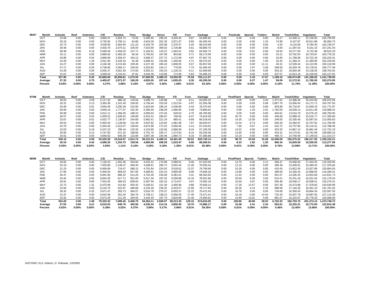| 96/97 | Month      | Animals | Reef     | Asbestos | C/D       | Residue   | Tires    | Sludge    | Direct   | Fill      | Furn.    | Garbage    | LC       | Pesticide | Special  | <b>Trailers</b> | Mulch   | Trash/Other | Vegetation | Total                   |
|-------|------------|---------|----------|----------|-----------|-----------|----------|-----------|----------|-----------|----------|------------|----------|-----------|----------|-----------------|---------|-------------|------------|-------------------------|
|       | OCT        | 24.08   | 0.00     | 0.00     | 4.899.37  | 2.604.72  | 74.95    | 5.092.65  | 299.32   | 3.420.44  | 9.87     | 63.684.82  | 0.00     | 0.00      | 0.30     | 0.00            | 25.27   | 12.500.11   | 12.159.05  | 104.794.95              |
|       | <b>NOV</b> | 25.16   | 0.00     | 0.00     | 3.735.92  | 3.700.11  | 64.80    | 4.816.39  | 251.30   | 2.871.07  | 9.65     | 60.493.45  | 0.00     | 0.00      | 0.00     | 1.23            | 74.90   | 9.107.87    | 10.911.88  | 96,063.73               |
|       | DEC        | 32.73   | 0.00     | 0.00     | 3,539.05  | 3.364.94  | 121.22   | 6.343.78  | 253.38   | 2.370.37  | 6.20     | 68.224.69  | 0.00     | 0.00      | 0.00     | 0.00            | 4.25    | 9,110.56    | 8,784.40   | 102,155.57              |
|       | JAN        | 30.40   | 0.00     | 0.00     | 4.926.70  | 2.674.21  | 105.04   | 7.023.80  | 359.02   | 1.726.88  | 5.61     | 69,890.70  | 0.00     | 0.00      | 0.00     | 0.00            | 0.00    | 11.397.53   | 9.101.15   | 107.241.04              |
|       | <b>FEB</b> | 38.48   | 0.00     | 0.18     | 5.586.94  | 2.458.25  | 137.71   | 5.184.91  | 143.22   | 1,943.51  | 4.82     | 64.004.73  | 0.00     | 0.00      | 0.91     | 0.00            | 18.64   | 10.277.50   | 8,723.38   | 98,523.18               |
|       | <b>MAR</b> | 25.11   | 0.00     | 0.05     | 3.689.92  | 2.483.20  | 66.34    | 5.759.53  | 187.09   | 853.66    | 5.71     | 69.172.09  | 0.00     | 0.00      | 0.00     | 0.00            | 15.21   | 10.792.54   | 10.725.87  | 103,776.32              |
|       | <b>APR</b> | 29.80   | 0.00     | 0.54     | 3.868.09  | 2.559.37  | 154.13   | 4.690.37  | 237.72   | 1.172.69  | 4.97     | 67.967.76  | 0.00     | 0.00      | 0.00     | 0.00            | 23.60   | 11.789.09   | 10.722.18  | 103,220.31              |
|       | MAY        | 24.29   | 0.00     | 1.29     | 3.551.83  | 3.433.44  | 62.48    | 4.838.42  | 154.68   | 1.295.94  | 4.71     | 66.075.02  | 0.00     | 0.00      | 0.00     | 1.95            | 32.44   | 11.359.21   | 11.390.90  | 102,226.60              |
|       | <b>JUN</b> | 24.27   | 0.00     | 0.00     | 4.166.48  | 3.215.69  | 109.49   | 3.227.39  | 185.34   | 1.808.05  | 5.57     | 65.657.00  | 0.00     | 0.00      | 0.00     | 11.11           | 45.31   | 12.539.44   | 14.122.95  | 105,118.09              |
|       | JUL        | 27.17   | 0.00     | 6.29     | 4.738.95  | 3.393.17  | 106.50   | 3.323.82  | 143.17   | 779.05    | 7.73     | 62.495.40  | 0.00     | 0.00      | 1.97     | 3.38            | 268.59  | 16.303.78   | 15.178.51  | 106.777.48              |
|       | <b>AUG</b> | 24.29   | 0.00     | 0.00     | 5.565.27  | 3.561.30  | 174.93   | 3.555.21  | 155.23   | 1,135.23  | 6.11     | 61,959.68  | 0.00     | 0.00      | 0.00     | 0.00            | 343.32  | 18.084.09   | 14.138.26  | 108,702.92              |
|       | <b>SEP</b> | 22.07   | 0.00     | 0.00     | 4.599.54  | 2.210.41  | 97.91    | 4.044.28  | 119.86   | 174.06    | 4.63     | 63.486.23  | 0.00     | 0.00      | 0.00     | 0.00            | 337.57  | 12.813.16   | 15.228.09  | 103,137.81              |
|       | Total      | 327.85  | 0.00     | 8.35     | 52.868.06 | 35.658.81 | 1.275.50 | 57.900.55 | 2.489.33 | 19.550.95 | 75.58    | 783.111.57 | 0.00     | 0.00      | 3.18     | 17.67           | .189.10 | 146.074.88  |            | 141.186.62 1.241.738.00 |
|       | Average    | 27.32   | 0.00     | 0.70     | 4.405.67  | 2.971.57  | 106.29   | 4.825.05  | 207.44   | 1.629.25  | 6.30     | 65.259.30  | 0.00     | 0.00      | 0.27     | 1.47            | 99.09   | 12.172.91   | 11.765.55  | 103.274.95              |
|       | Percent    | 0.03%   | $0.00\%$ | 0.00%    | 4.27%     | 2.88%     | 0.10%    | 4.67%     | 0.20%    | 1.58%     | $0.01\%$ | 63.19%     | $0.00\%$ | 0.00%     | $0.00\%$ | $0.00\%$        | 0.10%   | 11.79%      | 11.39%     | 100.00%                 |

| 97/98 | Month      | Animals | Reef     | Asbestos | C/D       | Residue   | Tires    | Sludge    | <b>Direct</b> | Fill      | Furn. | Garbage    | LC.      | <b>Pest/Paint</b> | Special  | Trailers | Mulch     | <b>Trash/Other</b> | Vegetation | Total        |
|-------|------------|---------|----------|----------|-----------|-----------|----------|-----------|---------------|-----------|-------|------------|----------|-------------------|----------|----------|-----------|--------------------|------------|--------------|
|       | OCT        | 30.03   | 0.00     | 3.58     | 5.117.25  | 886.16    | 118.56   | 4.658.74  | 125.88        | 1.16      | 6.11  | 63.954.20  | 0.00     | 0.00              | 0.00     | 4.26     | .371.62   | 14.388.30          | 16.310.09  | 106,975.94   |
|       | <b>NOV</b> | 29.31   | 0.00     | 0.13     | 3.383.36  | .101.40   | 106.00   | 4.756.44  | 153.59        | 1.512.54  | 6.97  | 61.556.38  | 0.00     | 0.00              | 0.00     | 5.99     | 2.867.70  | 15.056.04          | 14.171.71  | 104.707.56   |
|       | <b>DEC</b> | 29.28   | 0.00     | 0.01     | 3.556.46  | 3.205.38  | 210.00   | 5.623.69  | 166.24        | 2.436.99  | 4.43  | 76.370.40  | 0.00     | 0.00              | 0.00     | 0.00     | 933.89    | 26.734.87          | 12.500.23  | 131.771.87   |
|       | <b>JAN</b> | 30.08   | 0.00     | 0.00     | 3.846.19  | 1.777.57  | 162.35   | 5.356.55  | 238.28        | 1.080.95  | 9.48  | 73.860.62  | 0.00     | 0.00              | 1.33     | 2.91     | .782.50   | 18.028.13          | 13.811.48  | 119.988.42   |
|       | <b>FEB</b> | 36.99   | 0.00     | 0.00     | 4.012.11  | 1.358.45  | 188.23   | 4.859.63  | 473.34        | 549.54    | 4.75  | 68.785.89  | 0.00     | 0.00              | 0.00     | 0.00     | 404.81    | 13.510.78          | 15.576.43  | 109.760.95   |
|       | <b>MAR</b> | 36.57   | 0.00     | 0.54     | 4.359.51  | .040.02   | 148.89   | 5.910.31  | 290.97        | 758.58    | 8.37  | 74.819.39  | 0.00     | 20.75             | 0.00     | 0.00     | 430.69    | 13.989.24          | 15.516.77  | 117,330.60   |
|       | <b>APR</b> | 23.67   | 0.00     | 0.52     | 4.552.77  | .130.97   | 244.69   | 5.662.41  | 221.24        | 985.41    | 6.69  | 69.318.43  | 0.00     | 14.35             | 12.05    | 0.00     | 249.50    | 15.335.40          | 15.697.53  | 113,455.63   |
|       | MAY        | 28.53   | 0.00     | 0.00     | 5.992.04  | .139.68   | 131.46   | 4.937.82  | 123.83        | 1.681.89  | 7.87  | 65.843.07  | 0.00     | 14.34             | 8.73     | 0.00     | 646.33    | 15.492.87          | 15.707.62  | 111,756.08   |
|       | JUN        | 24.76   | 0.00     | 0.00     | 5.364.35  | 1.013.57  | 139.84   | 4.872.86  | 172.25        | 3.369.46  | 4.13  | 67.419.02  | 0.00     | 7.95              | 0.97     | 2.42     | 542.72    | 13.737.85          | 16.116.31  | 112.788.46   |
|       | JUL        | 23.03   | 0.00     | 0.18     | 5.437.23  | 785.44    | 133.26   | 4.153.95  | 132.06        | 2.666.90  | 8.44  | 67.195.38  | 0.00     | 14.52             | 0.00     | 0.00     | 323.20    | 14.867.14          | 16.981.46  | 112.722.19   |
|       | <b>AUG</b> | 30.00   | 0.00     | 0.13     | 4.747.50  | 671.25    | 198.66   | 3.731.75  | 245.17        | 1.373.54  | 8.10  | 64.250.48  | 0.00     | 12.65             | 0.00     | 0.00     | 434.41    | 14.174.91          | 16.781.69  | 106.660.24   |
|       | <b>SEP</b> | 26.91   | 0.00     | 0.00     | 4.666.82  | 935.08    | 132.80   | 3.807.38  | 156.46        | 1.984.73  | 8.18  | 67.366.88  | 0.00     | 14.19             | 0.00     | 0.00     | 408.72    | 14.759.49          | 17.146.63  | 111,414.27   |
|       | Total      | 349.16  | 0.00     | 5.09     | 55.035.59 | 15.044.97 | 1.914.74 | 58.331.53 | 2.499.31      | 18.401.69 | 83.52 | 820.740.14 | 0.00     | 98.75             | 23.08    | 15.58    | 10.396.09 | 190.075.02         | 186.317.95 | 1.359.332.21 |
|       | Average    | 29.10   | 0.00     | 0.42     | 4.586.30  | 1.253.75  | 159.56   | 4.860.96  | 208.28        | 1.533.47  | 6.96  | 68.395.01  | 0.00     | 8.23              | 1.92     | 1.30     | 866.34    | 15.839.59          | 15.526.50  | 113.277.68   |
|       | Percent    | 0.03%   | $0.00\%$ | 0.00%    | 4.05%     | 1.11%     | 0.14%    | 4.29%     | 0.18%         | 1.35%     | 0.01% | 60.38%     | $0.00\%$ | 0.01%             | $0.00\%$ | $0.00\%$ | 0.76%     | 13.98%             | 13.71%     | 100.00%      |

| 98/99 | Month      | Animals | Reef     | Asbestos | C/D       | Residue  | Tires    | Sludge    | <b>Direct</b> | Fill      | Furn.  | Garbage    | LC.      | <b>Pest/Paint</b> | Special | <b>Trailers</b> | Mulch    | Trash/Other | Vegetation | Total        |
|-------|------------|---------|----------|----------|-----------|----------|----------|-----------|---------------|-----------|--------|------------|----------|-------------------|---------|-----------------|----------|-------------|------------|--------------|
|       | OCT        | 28.82   | 0.00     | 0.00     | .130.23   | .501.06  | 343.84   | 4,015.31  | 170.98        | 2,080.61  | 8.46   | 67,524.06  | 0.00     | 13.70             | 0.00    | 2.12            | 558.47   | 15,608.93   | 17.343.25  | 116,329.84   |
|       | <b>NOV</b> | 25.19   | 0.00     | 0.00     | 455.80    | .149.37  | 469.40   | 4.048.61  | 290.72        | 3.932.44  | 11.00  | 70.550.44  | 0.00     | 12.15             | 0.00    | 0.00            | 390.38   | 13.409.91   | 15.480.43  | 117.225.84   |
|       | DEC        | 31.23   | 0.00     | 0.00     | 6,969.96  | 719.47   | 586.15   | 4.701.64  | 224.02        | 3.518.02  | 13.37  | 76.769.96  | 0.00     | 10.29             | 0.00    | 0.00            | 410.43   | 13.822.50   | 13.027.89  | 120,804.93   |
|       | <b>JAN</b> | 27.84   | 0.00     | 0.00     | 5.406.54  | 859.03   | 557.00   | 4.909.81  | 224.10        | 4.895.99  | 8.08   | 74.846.18  | 0.00     | 13.89             | 0.00    | 0.00            | 498.56   | 14.330.34   | 12.688.65  | 119.266.01   |
|       | <b>FEB</b> | 30.47   | 0.00     | 0.03     | 6,061.65  | 886.32   | 514.29   | 4.752.49  | 235.69        | 6,381.01  | 4.31   | 68,363.65  | 0.00     | 11.92             | 0.00    | 0.00            | 551.07   | 13,335.25   | 13,503.58  | 114,631.73   |
|       | <b>MAR</b> | 33.42   | 0.00     | 0.82     | 8,064.36  | 617.71   | 551.65   | 5.617.34  | 187.52        | 5,558.88  | 14.16  | 78,501.86  | 0.00     | 20.93             | 9.30    | 3.36            | 515.21   | 15,231.18   | 16.251.54  | 131,179.24   |
|       | <b>APR</b> | 26.91   | 0.00     | 0.00     | 7,552.92  | 394.53   | 609.04   | 5.487.50  | 220.16        | 4.714.67  | 4.97   | 73.092.18  | 0.00     | 15.50             | 0.97    | 0.00            | 594.48   | 16.048.17   | 16.508.31  | 125,270.31   |
|       | MAY        | 22.73   | 0.00     | 1.31     | 6.475.69  | 312.83   | 504.42   | 5,536.91  | 151.28        | 3.495.96  | 9.88   | 70.640.14  | 0.00     | 17.29             | 12.57   | 0.00            | 507.36   | 15.473.88   | 17.378.65  | 120,540.90   |
|       | <b>JUN</b> | 23.94   | 0.00     | 0.00     | 6.216.75  | 422.97   | 496.66   | 4.234.26  | 239.25        | 6.203.57  | 12.90  | 76.717.83  | 0.00     | 20.26             | 4.14    | 2.33            | 588.58   | 17.126.35   | 19.451.23  | 131.761.02   |
|       | <b>JUL</b> | 28.32   | 0.00     | 0.32     | 5.671.07  | 263.73   | 304.57   | 3.916.79  | 270.37        | 6.655.37  | 12.22  | 70.472.43  | 0.00     | 16.79             | 0.00    | 0.00            | 734.69   | 16.356.54   | 18.864.34  | 123,567.55   |
|       | <b>AUG</b> | 22.47   | 0.00     | 0.00     | 6.642.06  | 351.04   | 284.76   | 3.709.11  | 158.15        | 6.056.03  | 17.40  | 73.471.41  | 0.00     | 19.18             | 0.00    | 14.54           | 732.43   | 15,637.78   | 19.997.93  | 127,114.29   |
|       | <b>SEP</b> | 22.92   | 0.00     | 0.00     | 5.673.29  | 211.39   | 184.92   | 3.434.34  | 197.73        | 4,820.80  | 12.40  | 73,683.91  | 0.00     | 13.90             | 13.91   | 5.68            | 681.67   | 16.322.87   | 20,778.33  | 126,058.06   |
|       | Total      | 324.26  | 0.00     | 2.48     | 79.320.32 | 7.689.45 | 5.406.70 | 54.364.11 | 2.569.97      | 58.313.35 | 129.15 | 874.634.05 | 0.00     | 185.80            | 40.89   | 28.03           | 6.763.33 | 182.703.70  | 201.274.13 | 1.473.749.72 |
|       | Average    | 27.02   | 0.00     | 0.21     | 6.610.03  | 640.79   | 450.56   | 4.530.34  | 214.16        | 4.859.45  | 10.76  | 72.886.17  | 0.00     | 15.48             | 3.41    | 2.34            | 563.61   | 15.225.31   | 16.772.84  | 122.812.48   |
|       | Percent    | 0.02%   | $0.00\%$ | $0.00\%$ | 5.38%     | 0.52%    | 0.37%    | 3.69%     | 0.17%         | 3.96%     | 0.01%  | 59.35%     | $0.00\%$ | 0.01%             | 0.00%   | $0.00\%$        | 0.46%    | 12.40%      | 13.66%     | 100.00%      |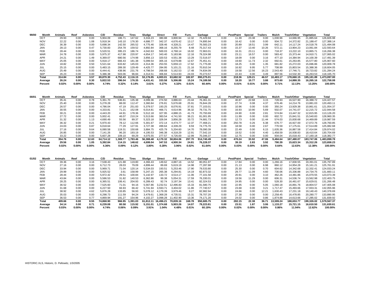| 99/00      | Month      | Animals | Reef     | Asbestos | C/D       | Residue | Tires             | Sludge    | Direct   | Fill      | Furn.    | Garbage    | LC.      | Pest/Paint | Special | Trailers | Mulch     | Trash/Other | Vegetation | Total                    |
|------------|------------|---------|----------|----------|-----------|---------|-------------------|-----------|----------|-----------|----------|------------|----------|------------|---------|----------|-----------|-------------|------------|--------------------------|
| OCT        |            | 29.93   | 0.00     | 0.00     | 5.904.09  | 186.71  | 147.62            | 3.316.23  | 380.88   | 3.800.94  | 12.32    | 75.429.94  | 0.00     | 11.39      | 23.38   | 0.00     | 1.030.96  | 14.666.95   | 21.885.64  | 126,826.98               |
| <b>NOV</b> |            | 22.22   | 0.00     | 1.08     | 5,918.34  | 143.10  | 176.30            | 4.686.77  | 342.37   | 4.676.42  | 13.17    | 74.895.94  | 0.00     | 16.42      | 0.00    | 0.00     | 934.72    | 14.372.82   | 21.188.47  | 127,388.14               |
| <b>DEC</b> |            | 36.39   | 0.00     | 0.00     | 5,698.34  | 142.50  | 265.52            | 4.775.46  | 328.46   | 4.328.21  | 14.47    | 76,583.23  | 0.00     | 20.89      | 18.51   | 3.99     | 642.11    | 14.117.24   | 14.518.76  | 121,494.08               |
| JAN        |            | 28.13   | 0.00     | 0.47     | 5.730.83  | 254.78  | 159.52            | 4.892.84  | 368.16   | 8.255.79  | 8.48     | 75.317.43  | 0.00     | 15.37      | 13.40   | 10.26    | 572.11    | 13.904.23   | 13.061.84  | 122.593.64               |
| <b>FEB</b> |            | 28.44   | 0.00     | 0.03     | 5.520.51  | 395.23  | 186.74            | 4.042.63  | 500.03   | 4.768.14  | 16.02    | 72.963.01  | 0.00     | 16.31      | 23.11   | 0.00     | 718.37    | 13.222.10   | 13.865.71  | 116,266.38               |
| <b>MAR</b> |            | 24.78   | 0.00     | 0.00     | 5.975.37  | 417.98  | 220.97            | 4.654.17  | 343.40   | 5.183.96  | 12.16    | 79.324.98  | 0.00     | 23.11      | 16.57   | 0.00     | 583.42    | 15.373.44   | 14.910.71  | 127,065.02               |
| <b>APR</b> |            | 24.21   | 0.00     | 1.49     | 6,369.07  | 680.56  | 174.98            | 3.856.13  | 320.53   | 4.551.38  | 13.29    | 72.516.07  | 0.00     | 18.09      | 0.00    | 3.16     | 477.10    | 14.384.94   | 14.100.39  | 117.491.39               |
| MAY        |            | 25.05   | 0.00     | 0.00     | 5.918.17  | 666.43  | 181.38            | 5.099.54  | 305.16   | 6.679.88  | 12.67    | 75.451.41  | 0.00     | 19.60      | 11.73   | 2.32     | 692.61    | 15.263.85   | 15.577.80  | 125.907.60               |
| JUN        |            | 18.82   | 0.00     | 0.50     | 5.521.64  | 633.82  | 145.03            | 4.314.36  | 253.55   | 5.659.13  | 17.62    | 71.775.00  | 0.00     | 18.25      | 0.00    | 1.35     | 681.82    | 15.272.03   | 15.696.86  | 120,009.78               |
| JUL        |            | 25.15   | 0.00     | 0.00     | 5,483.15  | 289.30  | 129.49            | 4.425.77  | 284.95   | 5.101.21  | 21.16    | 70.910.34  | 0.00     | 16.92      | 9.95    | 5.77     | 708.99    | 15.803.54   | 15.388.36  | 118,604.05               |
|            | <b>AUG</b> | 25.49   | 0.00     | 0.00     | 6.444.41  | 438.96  | 231.76            | 4.798.54  | 268.68   | 5.162.53  | 17.48    | 74.834.09  | 0.00     | 19.58      | 12.56   | 16.23    | 2.543.40  | 17.746.71   | 18.723.82  | 131,284.24               |
| <b>SEP</b> |            | 26.23   | 0.00     | 0.00     | 5.386.38  | 503.06  | 96.84             | 4.314.51  | 306.84   | 5.514.93  | 24.03    | 70.273.57  | 0.00     | 22.43      | 0.00    | 3.49     | 897.56    | 14.532.30   | 16.263.53  | 118,165.70               |
|            | Total      | 314.84  | 0.00     | 3.57     | 69.870.30 |         | 4.752.43 2.116.15 | 53.176.95 | 4.003.01 | 63.682.52 | 182.87   | 890.275.01 | 0.00     | 218.36     | 129.21  | 46.57    | 10.483.17 | 178.660.15  |            | 195.181.89  1.473.097.00 |
|            | Average    | 26.24   | 0.00     | 0.30     | 5.822.53  | 396.04  | 176.35            | 4.431.41  | 333.58   | 5.306.88  | 15.24    | 74.189.58  | 0.00     | 18.20      | 10.77   | 3.88     | 873.60    | 14.888.35   | 16.265.16  | 122.758.08               |
|            | Percent    | 0.02%   | $0.00\%$ | 0.00%    | 4.74%     | 0.32%   | 0.14%             | 3.61%     | 0.27%    | 4.32%     | $0.01\%$ | 60.44%     | $0.00\%$ | 0.01%      | 0.01%   | $0.00\%$ | 0.71%     | 12.13%      | 13.25%     | 100.00%                  |

| 00/01<br>Month | Animals | Reef     | Asbestos | C/D       | Residue  | Tires    | Sludae    | Direct   | Fill      | Furn.    | Garbage    | LC.   | <b>Pest/Paint</b> | Special  | Trailers | Mulch    | Trash/Other | Vegetation   | Total        |
|----------------|---------|----------|----------|-----------|----------|----------|-----------|----------|-----------|----------|------------|-------|-------------------|----------|----------|----------|-------------|--------------|--------------|
| OCT            | 35.41   | 0.00     | 0.78     | 5.361.70  | 536.81   | 135.38   | 4.099.36  | 274.50   | 3.886.63  | 23.44    | 76.361.31  | 0.00  | 40.87             | 22.68    | 3.15     | 728.93   | 16.527.90   | 16.388.72    | 124.427.57   |
| <b>NOV</b>     | 25.40   | 0.00     | 0.00     | 5.278.28  | 88.00    | 112.47   | 3.360.84  | 276.81   | 5.676.68  | 25.91    | 76.844.28  | 0.00  | 27.74             | 0.08     | 4.37     | 676.46   | 14.214.76   | 13.881.03    | 120.493.11   |
| <b>DEC</b>     | 26.57   | 0.00     | 0.00     | 4.786.04  | 47.19    | 251.83   | 5.379.57  | 193.25   | 8.076.91  | 37.81    | 77.103.01  | 0.00  | 10.96             | 0.00     | 0.00     | 350.24   | 13.929.38   | 10.861.61    | 121.054.37   |
| <b>JAN</b>     | 30.55   | 0.00     | 0.00     | 4.333.81  | 71.21    | 152.08   | 6.014.81  | 466.71   | 4.614.96  | 36.32    | 79.731.75  | 0.00  | 16.93             | 10.90    | 5.69     | 502.07   | 14.741.07   | 12.215.72    | 122.944.58   |
| <b>FEB</b>     | 30.21   | 0.00     | 0.00     | 4.443.20  | 44.91    | 178.36   | 5.512.18  | 327.95   | 4.888.15  | 41.73    | 70.793.69  | 0.00  | 24.90             | 0.00     | 2.81     | 574.84   | 13.447.32   | 12.815.95    | 113.126.20   |
| <b>MAR</b>     | 27.72   | 0.00     | 0.00     | 5.002.41  | 46.07    | 210.24   | 5.513.66  | 383.54   | 4.741.50  | 36.21    | 81.001.95  | 0.00  | 11.99             | 0.00     | 0.00     | 602.72   | 15.841.51   | 15.540.83    | 128,960.35   |
| <b>APR</b>     | 31.32   | 0.00     | 1.13     | 4.690.49  | 55.56    | 89.37    | 5.323.18  | 326.04   | 3.856.28  | 33.72    | 74.681.73  | 0.00  | 12.73             | 0.00     | 11.44    | 574.03   | 15.830.68   | 14.469.89    | 119,987.59   |
| MAY            | 36.32   | 0.00     | 0.21     | 5.970.43  | 78.12    | 112.66   | 5.301.67  | 372.14   | 4.474.77  | 12.37    | 77.468.21  | 0.00  | 250.78            | 0.26     | 6.38     | 676.77   | 16.927.00   | 17.072.76    | 128.760.85   |
| JUN            | 24.03   | 0.00     | 0.87     | 6.018.64  | 77.29    | 127.91   | 3.727.38  | 499.64   | 4.339.29  | 9.59     | 74.775.70  | 0.00  | 18.58             | 0.00     | 2.67     | 770.59   | 17.175.61   | 17.514.89    | 125,082.68   |
| JUL            | 27.16   | 0.00     | 9.64     | 6.080.58  | 119.31   | 150.68   | 3.884.75  | 425.79   | 5.204.60  | 14.70    | 78.090.39  | 0.00  | 22.49             | 0.00     | 6.15     | .635.36  | 16.887.58   | 17.414.84    | 129.974.02   |
| <b>AUG</b>     | 26.85   | 0.00     | 0.00     | 7.141.26  | 96.20    | 193.19   | 4.195.53  | 346.38   | 4.318.29  | 12.91    | 77.542.10  | 0.00  | 19.52             | 0.00     | 4.40     | .458.59  | 16.938.83   | 18.410.64    | 130.704.69   |
| <b>SEP</b>     | 33.22   | 0.00     | 0.00     | 5.607.28  | 109.10   | 69.29    | 4.075.55  | 277.57   | 4.726.00  | 12.99    | 70.346.37  | 0.00  | 12.75             | 0.00     | 0.00     | 934.04   | 15.018.43   | 17.160.18    | 118.382.77   |
| Total          | 354.76  | 0.00     | 12.63    | 64.714.12 | 1.369.77 | 1.783.46 | 56.388.48 | 4.170.32 | 58.804.06 | 297.70   | 914.740.49 | 0.00  | 470.24            | 33.92    | 47.06    | 9.484.64 | 187.480.07  | 183.747.06 1 | 1.483.898.78 |
| Average        | 29.56   | 0.00     | 1.05     | 5.392.84  | 114.15   | 148.62   | 4.699.04  | 347.53   | 4.900.34  | 24.81    | 76.228.37  | 0.00  | 39.19             | 2.83     | 3.92     | 790.39   | 15.623.34   | 15.312.26    | 123.658.23   |
| Percent        | 0.02%   | $0.00\%$ | $0.00\%$ | 4.36%     | $0.09\%$ | 0.12%    | 3.80%     | 0.28%    | 3.96%     | $0.02\%$ | 61.64%     | 0.00% | 0.03%             | $0.00\%$ | $0.00\%$ | 0.64%    | 12.63%      | 12.38%       | 100.00%      |

| 01/02 | Month      | Animals | Reef     | Asbestos | C/D       | Residue | Tires    | Sludge    | <b>Direct</b> | Fill      | Furn.  | Garbage    | LC.      | <b>Pest/Paint</b> | Special | <b>Trailers</b> | Mulch     | Trash/Other | Vegetation | Total        |
|-------|------------|---------|----------|----------|-----------|---------|----------|-----------|---------------|-----------|--------|------------|----------|-------------------|---------|-----------------|-----------|-------------|------------|--------------|
|       | OCT        | 39.36   | 0.00     | 3.16     | 7.538.43  | 121.88  | 119.80   | 4,366.43  | 149.62        | 4,887.16  | 14.52  | 80,051.97  | 0.00     | 17.84             | 0.00    | 0.00            | .266.16   | 17,830.55   | 19,391.01  | 135,797.89   |
|       | <b>NOV</b> | 27.16   | 0.00     | 0.00     | 6.712.73  | 28.03   | 79.09    | 4.899.44  | 89.69         | 5.619.19  | 14.98  | 77.287.88  | 0.00     | 21.13             | 0.00    | 6.98            | 860.12    | 14.954.28   | 15.161.21  | 125.761.91   |
|       | DEC        | 33.94   | 0.00     | 0.00     | 5,969.71  | 71.04   | 120.14   | 5,534.03  | 193.51        | 5.253.46  | 17.90  | 79,533.80  | 0.00     | 25.30             | 0.00    | 0.70            | 604.62    | 14.342.68   | 12,332.41  | 124,033.24   |
|       | <b>JAN</b> | 29.99   | 0.00     | 0.00     | 5,925.52  | 3.61    | 158.99   | 5.247.15  | 265.38        | 6.294.81  | 14.19  | 82.873.32  | 0.00     | 29.77             | 11.09   | 4.60            | 730.06    | 15.336.88   | 14.734.75  | 131.660.11   |
|       | <b>FEB</b> | 28.44   | 0.00     | 0.00     | 5.972.42  | 29.51   | 100.84   | 5.142.97  | 133.72        | 4.514.17  | 11.06  | 77.101.58  | 0.00     | 20.91             | 0.00    | 3.10            | 462.26    | 14.481.86   | 15.070.55  | 123,073.39   |
|       | <b>MAR</b> | 43.84   | 0.00     | 0.00     | 5.586.53  | 31.82   | 140.53   | 6.362.86  | 99.38         | 5.054.31  | 17.59  | 76.330.01  | 0.00     | 19.56             | 11.29   | 0.00            | 606.31    | 14.536.74   | 13.562.98  | 122.403.75   |
|       | <b>APR</b> | 28.25   | 0.00     | 0.00     | 6,365.51  | 106.41  | 204.93   | 6.289.43  | 92.74         | 3.197.34  | 13.41  | 82.324.53  | 0.00     | 24.95             | 0.00    | 0.00            | 528.30    | 16.461.67   | 15.629.01  | 131,266.48   |
|       | MAY        | 36.52   | 0.00     | 0.00     | 7.525.60  | 71.01   | 94.16    | 5.567.86  | 3.232.51      | 12.496.83 | 15.33  | 81.580.75  | 0.00     | 22.95             | 0.00    | 5.05            | 1,060.18  | 16,891.76   | 18.804.57  | 147,405.08   |
|       | JUN        | 31.68   | 0.00     | 0.00     | 6.227.50  | 66.93   | 66.42    | 5.741.94  | 3.593.71      | 3.404.02  | 11.86  | 77.740.57  | 0.00     | 23.68             | 0.00    | 3.21            | 1.717.47  | 15.493.66   | 17.933.31  | 132,055.96   |
|       | <b>JUL</b> | 38.92   | 0.00     | 4.62     | 5.876.28  | 133.85  | 56.93    | 5.078.12  | 4.179.39      | 3.979.46  | 9.27   | 82.982.94  | 0.00     | 24.66             | 0.00    | 12.21           | 1.630.43  | 17.231.18   | 19.140.43  | 140,378.69   |
|       | AUG        | 35.03   | 0.00     | 0.00     | 6,298.73  | 111.59  | 94.24    | 3.479.61  | 1,368.28      | 4.735.51  | 15.31  | 78.707.20  | 0.00     | 27.38             | 0.00    | 0.00            | 2,258.45  | 16.478.85   | 20.280.77  | 133,890.95   |
|       | <b>SEP</b> | 36.53   | 0.00     | 0.77     | 4,869.94  | 191.27  | 154.96   | 4.102.27  | 3.098.28      | 11.402.90 | 13.36  | 74.171.20  | 0.00     | 24.02             | 0.00    | 0.86            | 1.874.88  | 14,613.66   | 17.285.02  | 131,839.92   |
|       | Total      | 409.66  | 0.00     | 8.55     | 74.868.90 | 966.95  | 1.391.03 | 61.812.11 | 16.496.21     | 70.839.16 | 168.78 | 950.685.75 | 0.00     | 282.15            | 22.38   | 36.71           | 13.599.24 | 188.653.77  | 199.326.02 | 1.579.567.37 |
|       | Average    | 34.14   | 0.00     | 0.71     | 6,239.08  | 80.58   | 115.92   | 5.151.01  | 1.374.68      | 5.903.26  | 14.07  | 79.223.81  | 0.00     | 23.51             | 1.87    | 3.06            | 1,133.27  | 15.721.15   | 16.610.50  | 131.630.61   |
|       | Percent    | 0.03%   | $0.00\%$ | $0.00\%$ | 4.74%     | 0.06%   | $0.09\%$ | 3.91%     | 1.04%         | 4.48%     | 0.01%  | 60.19%     | $0.00\%$ | 0.02%             | 0.00%   | $0.00\%$        | 0.86%     | 11.94%      | 12.62%     | 100.00%      |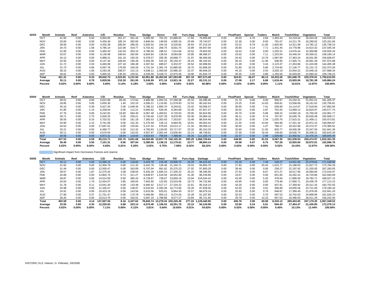| 02/03 | Month      | Animals | Reef     | <b>Asbestos</b> | C/D       | Residue | Tires             | Sludge                         | Direct   | Fill                        |          | Furn./App Garbage | LC       | Pest/Paint | Special  | Trailers | Mulch     | Trash/Other | Vegetation | <b>Total</b>            |
|-------|------------|---------|----------|-----------------|-----------|---------|-------------------|--------------------------------|----------|-----------------------------|----------|-------------------|----------|------------|----------|----------|-----------|-------------|------------|-------------------------|
|       | OCT        | 41.83   | 0.00     | 0.00            | 6.004.05  | 261.27  | 341.44            | 5.005.58                       | 752.25   | 22.889.02                   | 17.84    | 79.959.99         | 0.00     | 20.03      | 6.76     | 2.84     | .463.43   | 15.219.54   | 16.544.26  | 148.530.13              |
|       | <b>NOV</b> | 33.83   | 0.00     | 0.00            | 5.456.46  | 185.24  | 392.66            | 4.846.04                       | 149.83   | 4.005.34                    | 25.69    | 78.743.07         | 0.00     | 22.30      | 0.00     | 8.50     | 791.07    | 14.211.79   | 16.290.02  | 125.161.84              |
|       | <b>DEC</b> | 39.06   | 0.00     | 0.00            | 4,202.38  | 280.94  | 286.43            | 5.555.02                       | 164.16   | 8.220.82                    | 34.64    | 87.215.24         | 0.00     | 23.22      | 8.79     | 11.65    | 1,602.60  | 14.311.08   | 13.782.12  | 135,738.15              |
|       | JAN        | 34.73   | 0.00     | 1.58            | 5.785.14  | 222.08  | 419.77            | 5.702.42                       | 206.75   | 8.831.75                    | 15.89    | 84.947.05         | 0.00     | 35.60      | 0.14     | 7.71     | 1.431.45  | 14.778.96   | 14.614.32  | 137,035.34              |
|       | <b>FEB</b> | 31.06   | 0.00     | 0.00            | 5.483.43  | 142.04  | 403.10            | 4.786.56                       | 186.51   | 7.014.66                    | 19.52    | 78.843.50         | 0.00     | 18.43      | 0.00     | 0.00     | 1.020.31  | 13.676.44   | 15.300.88  | 126,926.44              |
|       | <b>MAR</b> | 33.67   | 0.00     | 0.00            | 6.136.99  | 330.64  | 282.84            | 6.603.84                       | 136.54   | 8.093.68                    | 23.85    | 88.486.37         | 0.00     | 23.02      | 0.00     | 7.11     | 1.322.04  | 16.440.24   | 20.269.31  | 148.190.14              |
|       | <b>APR</b> | 34.12   | 0.00     | 0.00            | 5.888.21  | 191.16  | 193.43            | 6.378.57                       | 335.35   | 18.668.77                   | 21.97    | 86.406.08         | 0.00     | 24.42      | 0.00     | 13.76    | 1.687.69  | 17.363.24   | 19.631.90  | 156,838.67              |
|       | MAY        | 32.50   | 0.00     | 0.00            | 6.147.44  | 169.04  | 195.49            | 5.550.30                       | 542.42   | 30.150.47                   | 26.23    | 86.192.02         | 0.00     | 30.10      | 0.00     | 11.90    | 938.95    | 17.926.73   | 20.061.39  | 167,974.98              |
|       | <b>JUN</b> | 31.72   | 0.00     | 2.03            | 6.483.08  | 227.18  | 186.48            | 4.307.54                       | 699.67   | 9.332.07                    | 20.54    | 82.088.83         | 0.00     | 21.49      | 0.00     | 3.44     | 2.123.37  | 17.453.86   | 21.424.08  | 144,405.38              |
|       | <b>JUL</b> | 31.73   | 0.00     | 4.66            | 6.097.76  | 175.09  | 193.26            | 4.731.34                       | 1.391.74 | 15.885.55                   | 18.75    | 81.808.35         | 0.00     | 31.85      | 10.33    | 5.80     | 2.724.60  | 17.130.77   | 22.131.72  | 152,373.30              |
|       | <b>AUG</b> | 38.15   | 0.00     | 1.06            | 6.292.26  | 208.57  | 131.13            | 4.938.11                       | 2.460.00 | 10.986.20                   | 22.37    | 80.948.25         | 0.00     | 44.10      | 0.00     | 2.54     | 3.035.19  | 15.934.22   | 22.646.19  | 147,688.34              |
|       | <b>SEP</b> | 38.91   | 0.00     | 0.00            | 5.965.53  | 130.40  | 105.91            |                                |          | 4.546.56 3.428.72 22.975.56 | 19.90    | 81,934.74         | 0.00     | 30.35      | 0.05     | 4.88     | 1.292.56  | 16.593.83   | 22.680.32  | 159,748.22              |
|       | Total      | 421.31  | 0.00     | 9.33            | 69.942.73 |         | 2.523.65 3.131.94 | 62.951.88 10.453.94 167.053.89 |          |                             | 267.19   | 997.573.49        | 0.00     | 324.91     | 26.07    | 80.13    | 19.433.26 | 191.040.70  |            | 225.376.51 1.750.610.93 |
|       | Average    | 35.11   | 0.00     | 0.78            | 5.828.56  | 210.30  | 261.00            | 5.245.99                       |          | 871.16 13.921.16            | 22.27    | 83.131.12         | 0.00     | 27.08      | 2.17     | 6.68     | 1.619.44  | 15.920.06   | 18.781.38  | 145.884.24              |
|       | Percent    | 0.02%   | $0.00\%$ | $0.00\%$        | 4.00%     | 0.14%   | 0.18%             | 3.60%                          | 0.60%    | 9.54%                       | $0.02\%$ | 56.98%            | $0.00\%$ | 0.02%      | $0.00\%$ | $0.00\%$ | 1.11%     | 10.91%      | 12.87%     | 100.00%                 |

| 03/04 | Month      | Animals | Reef     | <b>Asbestos</b> | C/D       | Residue | Tires    | Sludge                         | Direct   | Fill      | Furn./App | Garbage             | LC       | <b>Pest/Paint</b> | Special | <b>Trailers</b> | Mulch    | <b>Trash/Other</b> | Vegetation | Total        |
|-------|------------|---------|----------|-----------------|-----------|---------|----------|--------------------------------|----------|-----------|-----------|---------------------|----------|-------------------|---------|-----------------|----------|--------------------|------------|--------------|
|       | OCT        | 39.01   | 0.00     | 0.00            | 6.622.89  | 60.46   | 172.64   | 4.966.58                       | 1.054.16 | 27.266.08 | 25.10     | 83.280.46           | 0.00     | 21.70             | 0.00    | 0.00            | 950.97   | 15.244.31          | 21.501.01  | 161,205.37   |
|       | <b>NOV</b> | 29.85   | 0.00     | 0.00            | 5.830.30  | 1.40    | 152.24   | 4.595.21                       | 1.116.85 | 11.078.83 | 22.52     | 80.342.64           | 0.00     | 23.25             | 0.00    | 14.63           | 828.81   | 13.558.66          | 18.161.62  | 135.756.81   |
|       | <b>DEC</b> | 35.16   | 0.00     | 0.39            | 5.627.50  | 2.06    | .548.45  | 5.786.22                       | .800.70  | 8.250.81  | 23.42     | 93.006.37           | 0.00     | 30.95             | 0.00    | 7.41            | 639.99   | 14.114.57          | 17.018.84  | 147.892.84   |
|       | <b>JAN</b> | 41.85   | 0.00     | 1.14            | 6,208.64  | 0.00    | 112.21   | 5.665.62                       | 628.45   | 8.364.68  | 22.30     | 87.947.47           | 0.00     | 34.02             | 0.85    | 2.87            | 752.55   | 13,969.12          | 16.825.97  | 140.577.74   |
|       | <b>FEB</b> | 37.76   | 0.00     | 0.00            | 6.242.82  | 19.90   | 584.40   | 5.067.48                       | 1.400.81 | 6.720.63  | 20.05     | 82.824.86           | 0.00     | 20.70             | 0.00    | 5.68            | 508.22   | 13.692.18          | 15.756.28  | 132.901.77   |
|       | <b>MAR</b> | 39.71   | 0.00     | 2.75            | 5.500.25  | 0.00    | 259.21   | 6.740.49                       | 1.537.29 | 9,978.99  | 50.36     | 93,969.16           | 0.00     | 46.11             | 0.00    | 0.74            | 767.87   | 16.045.76          | 20.630.48  | 155,569.17   |
|       | <b>APR</b> | 36.50   | 0.00     | 0.16            | 5.702.52  | 0.00    | 161.18   | 7.365.53                       | 1.353.43 | 7.253.87  | 15.49     | 88.504.46           | 0.00     | 28.15             | 0.00    | 2.34            | .025.76  | 17.615.31          | 21.409.11  | 150,473.81   |
|       | MAY        | 29.90   | 0.00     | 2.15            | 5.761.06  | 0.00    | 101.33   | 5.275.58                       | 135.13   | 8.684.55  | 16.91     | 85.063.42           | 0.00     | 21.45             | 0.00    | 14.94           | 694.96   | 17.421.34          | 22.872.15  | 146.094.87   |
|       | <b>JUN</b> | 44.54   | 0.00     | 0.00            | 17.687.61 | 0.00    | 126.94   | 5.137.44                       | 679.63   | 16.514.17 | 21.34     | 86.558.12           | 0.00     | 30.55             | 0.00    | 1.07            | 788.17   | 18.322.96          | 24.473.37  | 170.385.91   |
|       | JUL        | 33.21   | 0.00     | 0.00            | 6.489.77  | 0.00    | 212.42   | 4.783.93                       | 1.130.05 | 20.717.07 | 25.32     | 85.310.33           | 0.00     | 32.60             | 0.00    | 11.92           | 820.77   | 18.926.38          | 23.347.59  | 161,841.36   |
|       | <b>AUG</b> | 39.11   | 0.00     | 0.00            | 6.570.04  | 0.00    | 142.02   | 4.557.97                       | 2.061.44 | 13.836.83 | 22.14     | 88.738.61           | 0.00     | 37.05             | 0.00    | 16.44           | 149.60   | 18,636.74          | 26.008.31  | 160.816.30   |
|       | <b>SEP</b> | 30.93   | 0.00     | 0.00            | 6.972.31  | 18.94   | 118.64   | 4.623.93                       | 759.84   | 7.488.84  | 20.34     | 111.183.74          | 0.00     | 22.37             | 0.00    | 2.99            | 1.639.68 | 13.492.61          | 22,470.24  | 168,845.40   |
|       | Total      | 437.53  | 0.00     | 6.59            | 85.215.71 | 102.76  | 3.691.68 | 64.565.98 13.657.78 146.155.35 |          |           |           | 285.29 1.066.729.64 | 0.00     | 348.90            | 0.85    | 81.03           | 9.567.35 | 191.039.94         | 250.474.97 | 1.832.361.35 |
|       | Average    | 36.46   | 0.00     | 0.55            | 7.101.31  | 8.56    | 307.64   | 5.380.50                       | 1.138.15 | 12.179.61 | 23.77     | 88.894.14           | 0.00     | 29.08             | 0.07    | 6.75            | 797.28   | 15.920.00          | 20.872.91  | 152.696.78   |
|       | Percent    | 0.02%   | $0.00\%$ | $0.00\%$        | 4.65%     | 0.01%   | 0.20%    | 3.52%                          | 0.75%    | 7.98%     | 0.02%     | 58.22%              | $0.00\%$ | 0.02%             | 0.00%   | $0.00\%$        | 0.52%    | 10.43%             | 13.67%     | 100.00%      |

**Significant impact from Hurricanes Frances and Jeanne** 

| 04/05 | Month      | Animals | Reef     | Asbestos | C/D        | Residue  | <b>Tires</b>  | Sludge   | Direct   | Fill                           | Furn./App | Garbage             | LC       | <b>Pest/Paint</b> | Special | Trailers | Mulch    | <b>Trash/Other</b> | Vegetation | Total        |
|-------|------------|---------|----------|----------|------------|----------|---------------|----------|----------|--------------------------------|-----------|---------------------|----------|-------------------|---------|----------|----------|--------------------|------------|--------------|
|       | <b>OCT</b> | 45.11   | 0.00     | 0.00     | 12,590.13  | 0.00     | 118.83        | 5,024.78 | 219.48   | 19,906.74                      | 20.29     | 96,423.44           | 0.00     | 23.18             | 0.00    | 7.49     | 528.27   | 14.551.56          | 22.079.64  | 171,538.94   |
|       | <b>NOV</b> | 41.82   | 0.00     | 0.00     | 12.304.79  | 0.00     | 111.32        | 6.442.78 | 128.46   | 21.194.71                      | 23.02     | 94.856.70           | 0.00     | 27.83             | 0.00    | 20.44    | .615.77  | 15.188.93          | 21.827.72  | 173.784.29   |
|       | <b>DEC</b> | 31.44   | 0.00     | 0.00     | 12,500.47  | 0.00     | 343.09        | 6.707.04 | 681.82   | 25.375.23                      | 27.02     | 97,800.29           | 0.00     | 39.46             | 0.00    | 0.00     | 259.27   | 22.197.92          | 21.320.00  | 187,283.05   |
|       | <b>JAN</b> | 39.57   | 0.00     | 1.87     | 12.275.42  | 3.58     | 238.04        | 6.425.29 | 1.695.23 | 17.205.22                      | 32.22     | 96.296.96           | 0.00     | 27.52             | 0.00    | 8.07     | 671.27   | 18.517.96          | 19.580.85  | 173.019.07   |
|       | <b>FEB</b> | 32.89   | 0.00     | 0.00     | 13,802.74  | 0.73     | 311.27        | 6.839.97 | 1.534.59 | 18.552.60                      | 31.46     | 88.239.89           | 0.00     | 19.67             | 0.00    | 0.00     | 651.60   | 16.202.42          | 16.720.86  | 162,940.69   |
|       | <b>MAR</b> | 38.87   | 0.00     | 0.00     | 14.014.56  | 0.00     | 385.43        | 8.729.67 | 739.67   | 23.859.19                      | 23.94     | 104.044.42          | 0.00     | 43.49             | 0.00    | 5.35     | 478.83   | 17,880.00          | 18.783.71  | 189.027.13   |
|       | <b>APR</b> | 34.04   | 0.00     | 1.79     | 12.454.07  | 3.85     | 160.04        | 7.942.95 | 122.83   | 23.533.06                      | 16.73     | 94.732.89           | 0.00     | 43.95             | 0.00    | 0.00     | 779.48   | 17.850.71          | 19.436.76  | 177.113.15   |
|       | MAY        | 31.78   | 0.00     | 0.11     | 13.041.44  | 0.00     | 133.48        | 6.940.42 | 2.517.17 | 27.104.22                      | 22.61     | 95.318.14           | 0.00     | 34.20             | 0.00    | 0.00     | 937.81   | 17.359.92          | 20.311.25  | 183,752.55   |
|       | <b>JUN</b> | 25.99   | 0.00     | 0.00     | 11.335.57  | 0.00     | 138.97        | 6.533.94 | 2.265.49 | 16.773.65                      | 25.26     | 97.939.56           | 0.00     | 52.55             | 2.90    | 3.01     | 306.89   | 19.055.56          | 23.721.09  | 178.180.43   |
|       | JUL        | 24.91   | 0.00     | 0.00     | 10.423.19  | 0.00     | 143.56        | 5.615.06 | 625.61   | 8.864.30                       | 15.57     | 86.879.16           | 0.00     | 32.60             | 0.00    | 0.79     | 848.87   | 17.389.49          | 21.978.09  | 152.841.20   |
|       | <b>AUG</b> | 27.90   | 0.00     | 0.37     | 11.751.47  | 0.00     | 170.78        | 5,946.68 | 959.13   | 9.274.26                       | 15.28     | 91.187.85           | 0.00     | 32.53             | 0.00    | 0.70     | 597.53   | 16.762.63          | 24,898.99  | 161,626.10   |
|       | <b>SEP</b> | 28.26   | 0.00     | 0.00     | 10.513.70  | 0.00     | 182.81        | 5.697.16 | 1,788.86 | 8.577.27                       | 23.84     | 85,721.65           | 0.00     | 29.78             | 0.00    | 14.23    | 657.53   | 16.496.55          | 26.511.29  | 156,242.93   |
|       | Total      | 402.58  | 0.00     | 4.14     | 147.007.55 |          | 8.16 2.437.62 |          |          | 78.845.74 13.278.34 220.220.45 |           | 277.24 1.129.440.95 | 0.00     | 406.76            | 2.90    | 60.08    | 8.333.12 | 209.453.65         | 257.170.25 | 2.067.349.53 |
|       | Average    | 33.55   | 0.00     | 0.35     | 12.250.63  | 0.68     | 203.14        | 6.570.48 | 1.106.53 | 18.351.70                      | 23.10     | 94.120.08           | 0.00     | 33.90             | 0.24    | 5.01     | 694.43   | 17.454.47          | 21.430.85  | 172.279.13   |
|       | Percent    | 0.02%   | $0.00\%$ | $0.00\%$ | 7.11%      | $0.00\%$ | 0.12%         | 3.81%    | 0.64%    | 10.65%                         | 0.01%     | 54.63%              | $0.00\%$ | 0.02%             | 0.00%   | $0.00\%$ | 0.40%    | 10.13%             | 12.44%     | 100.00%      |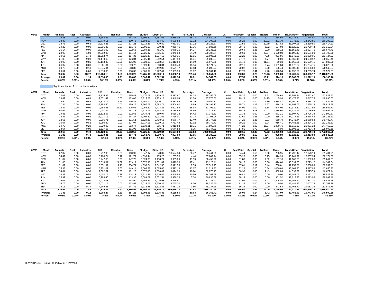| 05/06 | Month      | Animals | Reef     | Asbestos | C/D        | Residue  | Tires   | Sludae    | <b>Direct LF</b> | Fill      | Furn./App | Garbage      | LC       | <b>Pest/Paint</b> | Special  | Trailers | Mulch    | <b>Trash/Other</b> | Vegetation | Total        |
|-------|------------|---------|----------|----------|------------|----------|---------|-----------|------------------|-----------|-----------|--------------|----------|-------------------|----------|----------|----------|--------------------|------------|--------------|
|       | OCT        | 29.38   | 0.00     | 0.00     | 8.564.65   | 0.00     | 141.87  | 5,506.80  | .587.61          | 6,936.04  | 16.28     | 94,920.99    | 0.00     | 28.20             | 0.00     | 3.43     | 334.98   | 13,032.22          | 20,714.80  | 151.817.25   |
|       | <b>NOV</b> | 28.88   | 0.00     | 0.00     | 10.779.11  | 0.00     | 100.75  | 6,683.19  | 564.40           | 9,525.82  | 21.32     | 104,308.85   | 0.00     | 38.28             | 0.00     | 22.92    | 231.30   | 9.746.30           | 14.242.81  | 156,293.93   |
|       | DEC        | 24.73   | 0.00     | 0.68     | 17.634.21  | 0.00     | 177.21  | 8.019.86  | 779.89           | 7,953.01  | 17.12     | 99,328.87    | 0.00     | 21.56             | 0.00     | 20.79    | 297.82   | 16,907.98          | 18,230.50  | 169,414.23   |
|       | <b>JAN</b> | 39.20   | 0.00     | 0.00     | 19.901.82  | 0.00     | 101.78  | 7.306.13  | 809.31           | 7.056.46  | 17.16     | 97.985.66    | 0.00     | 29.70             | 0.00     | 6.72     | 527.03   | 18.829.53          | 20.700.44  | 173,310.94   |
|       | FEB        | 25.14   | 0.00     | 0.00     | 17,265.02  | 4.27     | 232.65  | 7,084.26  | 781.90           | 6,078.26  | 14.17     | 89,136.99    | 0.00     | 29.64             | 2.85     | 2.00     | 559.12   | 16,553.46          | 18,907.76  | 156,677.49   |
|       | <b>MAR</b> | 28.90   | 0.00     | 1.04     | 24.392.95  | 0.00     | 194.14  | 7.525.37  | 2.755.45         | 6.045.93  | 24.79     | 100.787.74   | 0.00     | 39.61             | 0.00     | 20.07    | 120.08   | 18.192.43          | 20,581.00  | 181.709.50   |
|       | <b>APR</b> | 30.56   | 0.00     | 1.78     | 21.252.74  | 0.00     | 117.36  | 6,625.37  | .227.12          | 5,930.15  | 11.01     | 91,605.35    | 0.00     | 22.25             | 0.00     | 4.78     | 923.86   | 15.943.98          | 20.028.0   | 163,724.32   |
|       | MAY        | 21.89   | 0.00     | 9.23     | 21.170.62  | 0.00     | 126.04  | 7,825.41  | 3.792.54         | 5.447.98  | 15.31     | 99,285.87    | 0.00     | 27.72             | 0.00     | 4.77     | 0.00     | 17,969.15          | 24,653.92  | 180,350.45   |
|       | <b>JUN</b> | 39.99   | 0.00     | 0.81     | 22.113.32  | 10.26    | 135.09  | 5.829.10  | 3.253.57         | 11.313.89 | 14.59     | 91.979.75    | 0.00     | 31.49             | 0.00     | 31.84    | 69.38    | 17.563.81          | 25.599.41  | 177.986.30   |
|       | JUL        | 26.97   | 0.00     | 0.00     | 16.901.31  | 0.00     | 209.72  | 6,928.42  | 2,338.04         | 9.023.40  | 13.54     | 88.171.24    | 0.00     | 22.16             | 0.00     | 6.74     | .651.34  | 16.072.37          | 25.254.75  | 166,620.00   |
|       | <b>AUG</b> | 30.79   | 0.00     | 0.18     | 15.975.04  | 0.00     | 263.30  | 5.145.11  | 9.412.87         | 8.571.77  | 14.63     | 89.208.74    | 0.00     | 22.02             | 0.00     | 0.00     | 106.44   | 14.906.15          | 26.886.03  | 170,543.07   |
|       | <b>SEP</b> | 29.64   | 0.00     | 0.00     | 14.513.36  | 0.00     | 130.38  | 4.306.02  | 8.727.41         | 12.985.39 | 21.82     | 88.334.18    | 0.00     | 17.73             | 0.41     | 4.40     | 1.548.54 | 14.692.59          | 24.265.74  | 169,577.61   |
|       | Total      | 356.07  | 0.00     | 13.72    | 210.464.15 | 14.53    | .930.29 | 78.785.04 | 36.030.11        | 96.868.10 | 201.74    | 1.135.054.23 | 0.00     | 330.36            | 3.26     | 128.46   | 7.369.89 | 190.409.97         | 260.065.17 | 2.018.025.09 |
|       | Average    | 29.67   | 0.00     | 1.14     | 17.538.68  | 1.21     | 160.86  | 6.565.42  | 3.002.51         | 8.072.34  | 16.81     | 94.587.85    | 0.00     | 27.53             | 0.27     | 10.71    | 614.16   | 15.867.50          | 21.672.10  | 168.168.76   |
|       | Percent    | 0.02%   | $0.00\%$ | $0.00\%$ | 10.18%     | $0.00\%$ | 0.09%   | 3.81%     | 1.74%            | 4.69%     | 0.01%     | 54.90%       | $0.00\%$ | 0.02%             | $0.00\%$ | 0.01%    | 0.36%    | 9.21%              | 12.58%     | 97.61%       |

| Significant impact from Hurricane Wilma |  |
|-----------------------------------------|--|
|-----------------------------------------|--|

| 06/07 | Month      | Animals | Reef     | Asbestos | C/D        | Residue  | Tires    | Sludge    | <b>Direct LF</b> | Fill      | Furn./App | Garbage     | LC.      | <b>Pest/Paint</b> | Special  | Trailers | Mulch    | <b>Trash/Other</b> | Vegetation | Total        |
|-------|------------|---------|----------|----------|------------|----------|----------|-----------|------------------|-----------|-----------|-------------|----------|-------------------|----------|----------|----------|--------------------|------------|--------------|
|       | OCT        | 32.02   | 0.00     | 0.00     | 13.716.95  | 0.00     | 165.41   | 4.470.08  | 4,329.25         | 16.313.67 | 14.28     | 85,256.05   | 0.00     | 25.37             | 0.00     | 3.51     | .754.63  | 13.994.84          | 22.452.47  | 162,528.53   |
|       | <b>NOV</b> | 23.62   | 0.00     | 6.83     | 12.571.49  | 0.00     | 153.06   | 5.315.03  | .903.18          | 9.949.04  | 11.58     | 87.776.62   | 0.00     | 29.13             | 0.00     | 24.15    | 5.93     | 13.473.26          | 18.647.75  | 149,890.67   |
|       | DEC        | 28.90   | 0.00     | 0.58     | 11.312.72  | 2.13     | 136.82   | 6.757.72  | 2.270.10         | 6,833.49  | 16.19     | 90,459.72   | 0.00     | 22.71             | 0.00     | 5.89     | 2.588.87 | 13.160.32          | 14.238.13  | 147,834.29   |
|       | <b>JAN</b> | 37.34   | 0.00     | 0.00     | 12,883.50  | 0.00     | 159.26   | 8,567.71  | 2,683.74         | 6,504.60  | 9.69      | 96,194.13   | 0.00     | 35.71             | 11.12    | 5.67     | 434.28   | 14,992.02          | 17,295.19  | 159,813.96   |
|       | <b>FEB</b> | 33.42   | 0.00     | 0.00     | 9,653.58   | 22.50    | 176.65   | 7.065.32  | 2.424.25         | 3.591.89  | 15.98     | 83.792.63   | 0.00     | 34.01             | 0.00     | 5.14     | 644.05   | 12.375.32          | 15.097.99  | 134,932.73   |
|       | <b>MAR</b> | 40.62   | 0.00     | 0.32     | 10,401.32  | 0.00     | 157.18   | 7.514.7'  | 2.594.25         | 5.734.94  | 25.55     | 92,311.83   | 0.00     | 30.78             | 3.08     | 10.02    | .235.60  | 13.439.14          | 17.156.65  | 150,655.99   |
|       | <b>APR</b> | 29.83   | 0.00     | 0.00     | 11.122.67  | 0.00     | 172.63   | 7.434.71  | 189.94           | 3.556.23  | 14.42     | 87.373.33   | 0.00     | 21.33             | 0.50     | 0.00     | 671.21   | 13.607.79          | 18.796.28  | 142,990.87   |
|       | MAY        | 32.85   | 0.00     | 0.65     | 11.017.16  | 0.00     | 147.27   | 6.209.49  | .031.56          | 7,756.01  | 11.18     | 91,203.96   | 0.00     | 32.61             | 1.53     | 0.00     | 885.24   | 14.277.53          | 23.514.49  | 156,121.53   |
|       | <b>JUN</b> | 32.55   | 0.00     | 0.00     | 9,906.71   | 0.00     | 131.51   | 5,524.89  | 2,408.65         | 4.676.77  | 13.49     | 88.774.59   | 0.00     | 34.26             | 2.36     | 0.33     | 659.70   | 14.245.44          | 23.078.52  | 149,489.77   |
|       | JUL        | 26.67   | 0.00     | 0.82     | 8,080.89   | 0.00     | 117.07   | 5.217.15  | 2.999.16         | 7.763.44  | 12.02     | 89.772.71   | 0.00     | 30.21             | 0.00     | 3.94     | 916.41   | 14.483.58          | 22.824.26  | 152.248.33   |
|       | <b>AUG</b> | 39.72   | 0.00     | 0.20     | 8,929.02   | 0.00     | 313.74   | 5.630.01  | 265.71           | 5.919.84  | 10.11     | 87,899.70   | 0.00     | 44.22             | 0.00     | 15.34    | .470.76  | 15.013.33          | 21.901.23  | 147,452.93   |
|       | <b>SEP</b> | 24.64   | 0.00     | 0.00     | 6.527.67   | 0.00     | 181.93   | 5.518.26  | 429.55           | 6.574.88  | 9.35      | 79.747.39   | 0.00     | 17.81             | 0.79     | 3.64     | 0.00     | 12.802.96          | 16.763.78  | 128,602.65   |
|       | Total      | 382.18  | 0.00     | 9.40     | 126.123.68 | 24.63    | 2.012.53 | 75.225.08 | 23.529.34        | 85.174.80 | 163.84    | .060.562.66 | 0.00     | 358.15            | 19.38    | 77.63    | 1.266.68 | 165.865.53         | 231.766.74 | 1.782.562.25 |
|       | Average    | 31.85   | 0.00     | 0.78     | 10.510.31  | 2.05     | 167.71   | 6.268.76  | .960.78          | 7.097.90  | 13.65     | 88,380.22   | 0.00     | 29.85             | 1.62     | 6.47     | 938.89   | 13.822.13          | 19.313.90  | 148,546.85   |
|       | Percent    | 0.02%   | $0.00\%$ | 0.00%    | 6.10%      | $0.00\%$ | 0.10%    | 3.64%     | 1.14%            | 4.12%     | 0.01%     | 51.30%      | $0.00\%$ | 0.02%             | $0.00\%$ | $0.00\%$ | 0.54%    | 8.02%              | 11.21%     | 86.22%       |

| 07/08 | Month      | Animals | Reef     | <b>Asbestos</b> | C/D       | Residue  | Tires    | Sludae    | <b>Direct LF</b> | Fill       | Furn./App | Garbage      | LC.      | <b>Pest/Paint</b> | Special | Trailers | Mulch    | Trash/Other | Vegetation | <b>Total</b> |
|-------|------------|---------|----------|-----------------|-----------|----------|----------|-----------|------------------|------------|-----------|--------------|----------|-------------------|---------|----------|----------|-------------|------------|--------------|
|       | OCT        | 27.37   | 0.00     | 0.00            | 6.717.09  | 0.00     | 160.97   | 5.342.07  | 648.07           | 10.524.34  | 26.77     | 93.741.53    | 0.00     | 34.44             | 1.50    | 0.00     | 738.95   | 15.795.42   | 17.673.19  | 151,431.71   |
|       | <b>NOV</b> | 34.49   | 0.00     | 0.00            | 5.780.74  | 0.42     | 121.79   | 4,098.44  | 435.26           | 11,205.55  | 4.44      | 87,802.94    | 0.00     | 35.28             | 0.00    | 0.25     | 374.99   | 13,241.97   | 15,037.94  | 138,174.50   |
|       | <b>DEC</b> | 31.87   | 0.00     | 0.00            | 5.442.68  | 6.25     | 142.75   | 5.524.63  | .418.21          | 9.905.89   | 11.59     | 88.459.28    | 0.00     | 31.83             | 0.00    | 2.82     | .187.18  | 12.167.55   | 11.332.08  | 135,664.61   |
|       | JAN        | 31.88   | 0.00     | 0.00            | 6,518.81  | 24.39    | 219.12   | 6.072.90  | ,301.82          | 9,470.28   | 17.41     | 93,120.41    | 0.00     | 38.15             | 0.00    | 0.00     | 414.60   | 13,394.70   | 13,723.17  | 144,347.64   |
|       | FEB        | 31.81   | 0.00     | 0.00            | 5.551.99  | 4.48     | 234.71   | 4.630.24  | 2.342.30         | 6.971.53   | 7.53      | 87.517.75    | 0.00     | 37.61             | 0.11    | 0.44     | 700.61   | 12.259.01   | 12.668.89  | 132,959.01   |
|       | <b>MAR</b> | 35.38   | 0.00     | 0.00            | 5,951.02  | 19.60    | 149.14   | 7.066.68  | 2,065.65         | 8,572.13   | 13.07     | 91,211.82    | 0.00     | 32.28             | 0.00    | 0.64     | 0.050.03 | 13.164.90   | 14,317.98  | 143,650.32   |
|       | <b>APR</b> | 34.61   | 0.00     | 0.58            | 7.092.57  | 0.00     | 161.25   | 6.872.05  | .866.67          | 9.674.29   | 10.94     | 88.978.15    | 0.00     | 50.96             | 0.00    | 2.43     | 808.84   | 14.593.37   | 16.525.73  | 146.672.44   |
|       | MAY        | 28.31   | 0.00     | 0.54            | 5,402.15  | 20.28    | 114.13   | 5.521.51  | 2.516.49         | 9.349.89   | 10.56     | 84,267.69    | 0.00     | 36.41             | 0.00    | 0.00     | 0.00     | 13.142.06   | 19.112.27  | 139,522.29   |
|       | <b>JUN</b> | 25.92   | 0.00     | 0.00            | 6.293.40  | 0.00     | 113.36   | 6.089.02  | 3.672.54         | 8,936.23   | 7.34      | 80.835.58    | 0.00     | 38.14             | 0.00    | 0.00     | 901.52   | 12.613.35   | 19.573.06  | 139,099.46   |
|       | JUL        | 36.01   | 0.00     | 0.00            | 6.418.03  | 0.00     | 148.90   | 5.553.47  | 015.98           | 8.458.57   | 7.77      | 82.731.93    | 0.00     | 53.94             | 0.04    | 3.42     | .405.80  | 14.152.42   | 20.861.30  | 146,847.58   |
|       | <b>AUG</b> | 26.76   | 0.00     | 0.00            | 5.021.19  | 0.00     | 173.52   | 5.016.09  | 2.900.39         | 8.760.30   | 6.30      | 78,336.60    | 0.00     | 31.34             | 0.00    | 7.09     | 0.00     | 13.481.42   | 20.007.28  | 133,768.28   |
|       | <b>SEP</b> | 32.15   | 0.00     | 0.34            | 4.649.58  | 0.00     | 147.32   | 6.715.91  | .122.41          | 7.837.23   | 3.86      | 79.237.26    | 0.00     | 36.19             | 0.00    | 0.00     | 542.54   | 13.464.72   | 20.083.25  | 133.872.76   |
|       | Total      | 376.56  | 0.00     | 1.46            | 70.839.25 | 75.42    | 1.886.96 | 68.503.01 | 27.305.79        | 109.666.23 | 127.58    | 1.036.240.94 | 0.00     | 456.57            | 1.65    | 17.09    | 8.125.06 | 161.470.89  | 200.916.14 | .686.010.60  |
|       | Average    | 31.38   | 0.00     | 0.12            | 5.903.27  | 6.29     | 157.25   | 5.708.58  | 2.275.48         | 9.138.85   | 10.63     | 86.353.41    | 0.00     | 38.05             | 0.14    | 1.42     | 677.09   | 13.455.91   | 16.743.01  | 140,500.88   |
|       | Percent    | 0.02%   | $0.00\%$ | $0.00\%$        | 3.43%     | $0.00\%$ | 0.09%    | 3.31%     | 1.32%            | 5.30%      | 0.01%     | 50.12%       | $0.00\%$ | 0.02%             | 0.00%   | 0.00%    | 0.39%    | 7.81%       | 9.72%      | 81.55%       |